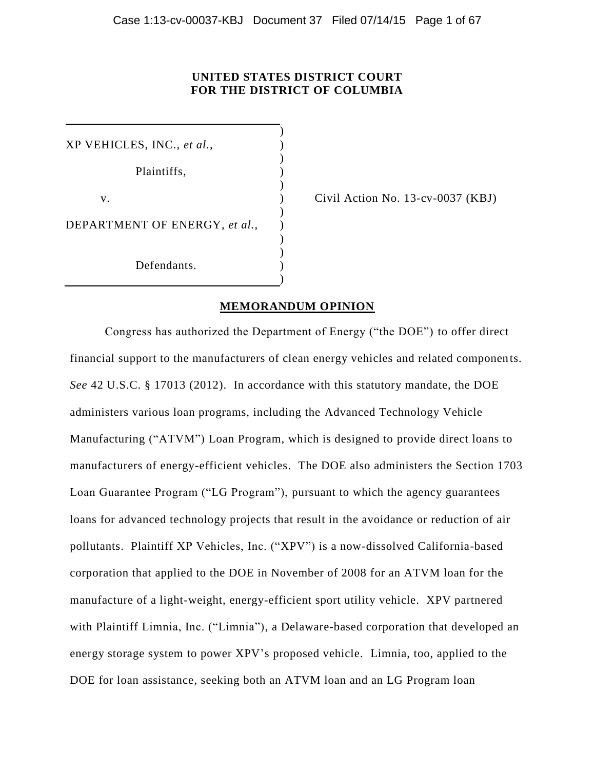## **UNITED STATES DISTRICT COURT FOR THE DISTRICT OF COLUMBIA**

)

)

)

) )

)

XP VEHICLES, INC., *et al.*, ) Plaintiffs, )  $\mathcal{L}$ DEPARTMENT OF ENERGY, *et al.*, Defendants.

v.  $\qquad \qquad$  (vil Action No. 13-cv-0037 (KBJ)

## **MEMORANDUM OPINION**

Congress has authorized the Department of Energy ("the DOE") to offer direct financial support to the manufacturers of clean energy vehicles and related components. *See* 42 U.S.C. § 17013 (2012). In accordance with this statutory mandate, the DOE administers various loan programs, including the Advanced Technology Vehicle Manufacturing ("ATVM") Loan Program, which is designed to provide direct loans to manufacturers of energy-efficient vehicles. The DOE also administers the Section 1703 Loan Guarantee Program ("LG Program"), pursuant to which the agency guarantees loans for advanced technology projects that result in the avoidance or reduction of air pollutants. Plaintiff XP Vehicles, Inc. ("XPV") is a now-dissolved California-based corporation that applied to the DOE in November of 2008 for an ATVM loan for the manufacture of a light-weight, energy-efficient sport utility vehicle. XPV partnered with Plaintiff Limnia, Inc. ("Limnia"), a Delaware-based corporation that developed an energy storage system to power XPV's proposed vehicle. Limnia, too, applied to the DOE for loan assistance, seeking both an ATVM loan and an LG Program loan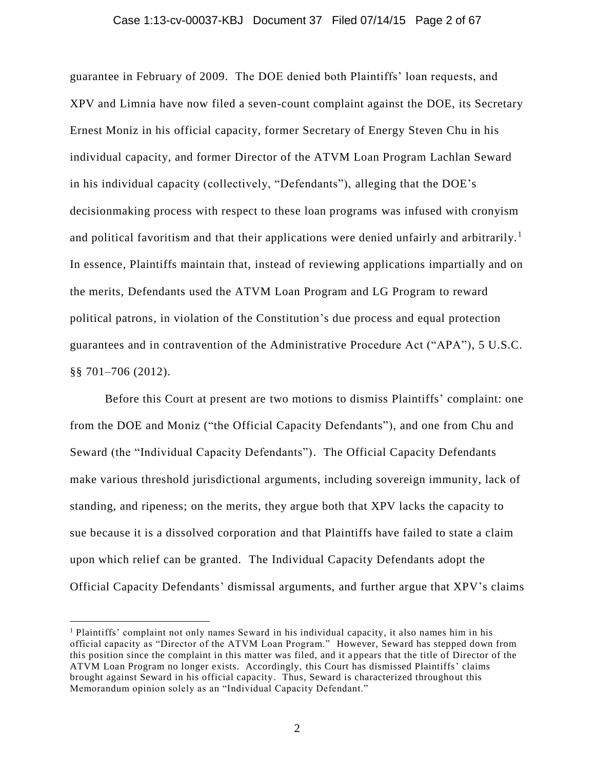#### Case 1:13-cv-00037-KBJ Document 37 Filed 07/14/15 Page 2 of 67

guarantee in February of 2009. The DOE denied both Plaintiffs' loan requests, and XPV and Limnia have now filed a seven-count complaint against the DOE, its Secretary Ernest Moniz in his official capacity, former Secretary of Energy Steven Chu in his individual capacity, and former Director of the ATVM Loan Program Lachlan Seward in his individual capacity (collectively, "Defendants"), alleging that the DOE's decisionmaking process with respect to these loan programs was infused with cronyism and political favoritism and that their applications were denied unfairly and arbitrarily.<sup>1</sup> In essence, Plaintiffs maintain that, instead of reviewing applications impartially and on the merits, Defendants used the ATVM Loan Program and LG Program to reward political patrons, in violation of the Constitution's due process and equal protection guarantees and in contravention of the Administrative Procedure Act ("APA"), 5 U.S.C. §§ 701–706 (2012).

Before this Court at present are two motions to dismiss Plaintiffs' complaint: one from the DOE and Moniz ("the Official Capacity Defendants"), and one from Chu and Seward (the "Individual Capacity Defendants"). The Official Capacity Defendants make various threshold jurisdictional arguments, including sovereign immunity, lack of standing, and ripeness; on the merits, they argue both that XPV lacks the capacity to sue because it is a dissolved corporation and that Plaintiffs have failed to state a claim upon which relief can be granted. The Individual Capacity Defendants adopt the Official Capacity Defendants' dismissal arguments, and further argue that XPV's claims

<sup>&</sup>lt;sup>1</sup> Plaintiffs' complaint not only names Seward in his individual capacity, it also names him in his official capacity as "Director of the ATVM Loan Program." However, Seward has stepped down from this position since the complaint in this matter was filed, and it a ppears that the title of Director of the ATVM Loan Program no longer exists. Accordingly, this Court has dismissed Plaintiffs' claims brought against Seward in his official capacity. Thus, Seward is characterized throughout this Memorandum opinion solely as an "Individual Capacity Defendant."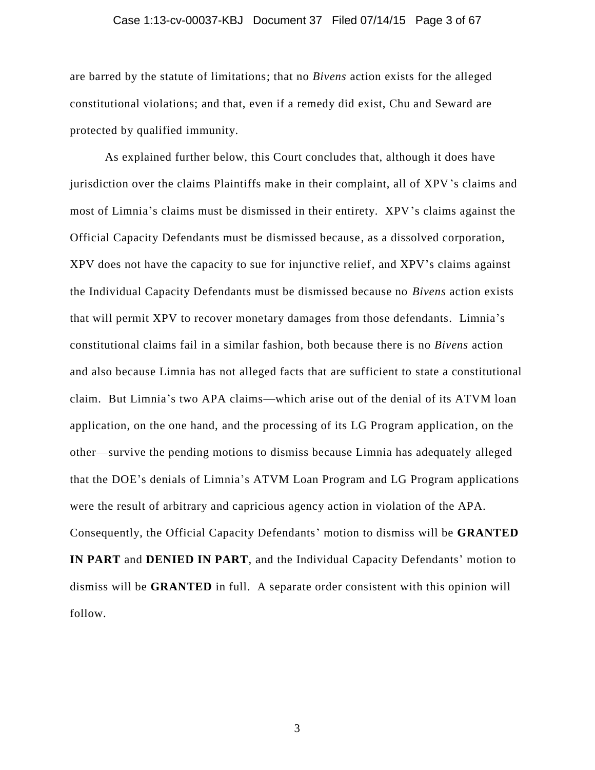#### Case 1:13-cv-00037-KBJ Document 37 Filed 07/14/15 Page 3 of 67

are barred by the statute of limitations; that no *Bivens* action exists for the alleged constitutional violations; and that, even if a remedy did exist, Chu and Seward are protected by qualified immunity.

As explained further below, this Court concludes that, although it does have jurisdiction over the claims Plaintiffs make in their complaint, all of XPV's claims and most of Limnia's claims must be dismissed in their entirety. XPV's claims against the Official Capacity Defendants must be dismissed because, as a dissolved corporation, XPV does not have the capacity to sue for injunctive relief, and XPV's claims against the Individual Capacity Defendants must be dismissed because no *Bivens* action exists that will permit XPV to recover monetary damages from those defendants. Limnia's constitutional claims fail in a similar fashion, both because there is no *Bivens* action and also because Limnia has not alleged facts that are sufficient to state a constitutional claim. But Limnia's two APA claims—which arise out of the denial of its ATVM loan application, on the one hand, and the processing of its LG Program application, on the other—survive the pending motions to dismiss because Limnia has adequately alleged that the DOE's denials of Limnia's ATVM Loan Program and LG Program applications were the result of arbitrary and capricious agency action in violation of the APA. Consequently, the Official Capacity Defendants' motion to dismiss will be **GRANTED IN PART** and **DENIED IN PART**, and the Individual Capacity Defendants' motion to dismiss will be **GRANTED** in full. A separate order consistent with this opinion will follow.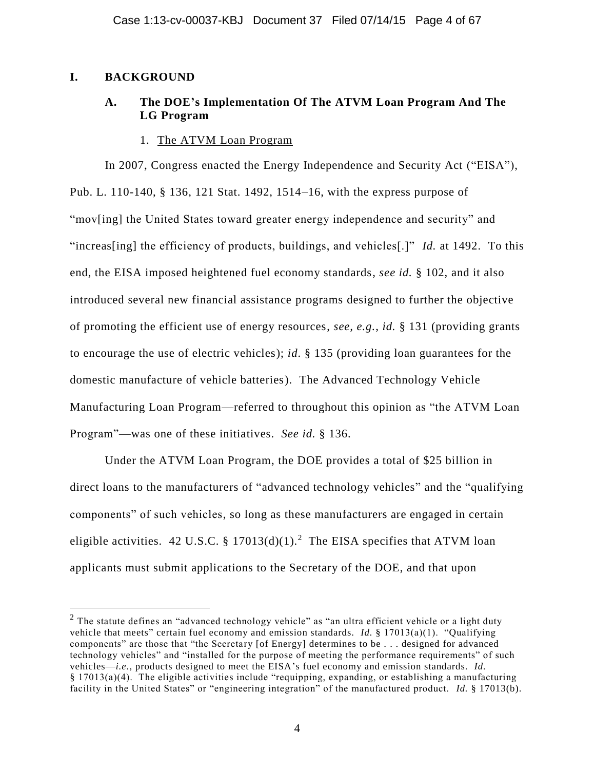# **I. BACKGROUND**

 $\overline{a}$ 

# **A. The DOE's Implementation Of The ATVM Loan Program And The LG Program**

## 1. The ATVM Loan Program

In 2007, Congress enacted the Energy Independence and Security Act ("EISA"), Pub. L. 110-140, § 136, 121 Stat. 1492, 1514–16, with the express purpose of "mov[ing] the United States toward greater energy independence and security" and "increas[ing] the efficiency of products, buildings, and vehicles[.]" *Id.* at 1492. To this end, the EISA imposed heightened fuel economy standards, *see id.* § 102, and it also introduced several new financial assistance programs designed to further the objective of promoting the efficient use of energy resources, *see, e.g.*, *id.* § 131 (providing grants to encourage the use of electric vehicles); *id*. § 135 (providing loan guarantees for the domestic manufacture of vehicle batteries). The Advanced Technology Vehicle Manufacturing Loan Program—referred to throughout this opinion as "the ATVM Loan Program"—was one of these initiatives. *See id.* § 136.

Under the ATVM Loan Program, the DOE provides a total of \$25 billion in direct loans to the manufacturers of "advanced technology vehicles" and the "qualifying components" of such vehicles, so long as these manufacturers are engaged in certain eligible activities. 42 U.S.C. § 17013(d)(1).<sup>2</sup> The EISA specifies that ATVM loan applicants must submit applications to the Secretary of the DOE, and that upon

<sup>&</sup>lt;sup>2</sup> The statute defines an "advanced technology vehicle" as "an ultra efficient vehicle or a light duty vehicle that meets" certain fuel economy and emission standards. *Id.* § 17013(a)(1). "Qualifying components" are those that "the Secretary [of Energy] determines to be . . . designed for advanced technology vehicles" and "installed for the purpose of meeting the performance requirements" of such vehicles—*i.e.*, products designed to meet the EISA's fuel economy and emission standards. *Id.* § 17013(a)(4). The eligible activities include "requipping, expanding, or establishing a manufacturing facility in the United States" or "engineering integration" of the manufactured product. *Id.* § 17013(b).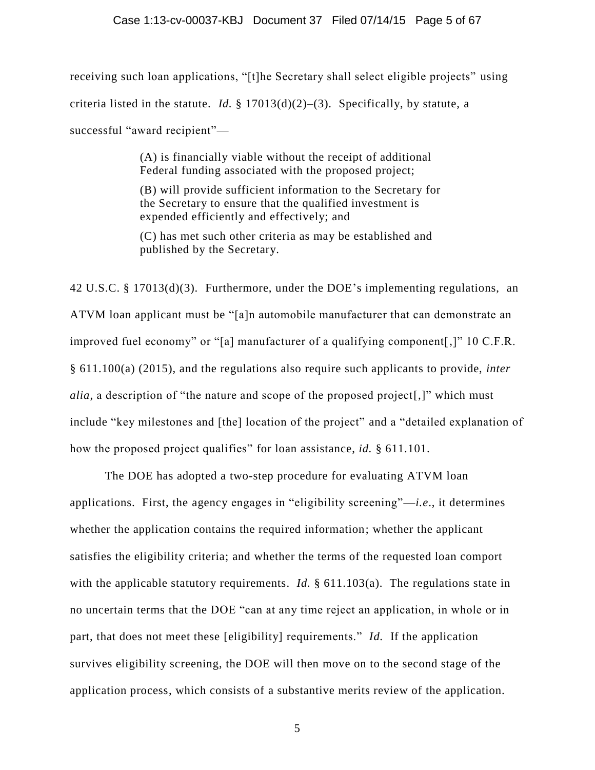receiving such loan applications, "[t]he Secretary shall select eligible projects" using criteria listed in the statute. *Id.* § 17013(d)(2)–(3). Specifically, by statute, a successful "award recipient"—

> (A) is financially viable without the receipt of additional Federal funding associated with the proposed project;

(B) will provide sufficient information to the Secretary for the Secretary to ensure that the qualified investment is expended efficiently and effectively; and

(C) has met such other criteria as may be established and published by the Secretary.

42 U.S.C. § 17013(d)(3). Furthermore, under the DOE's implementing regulations, an ATVM loan applicant must be "[a]n automobile manufacturer that can demonstrate an improved fuel economy" or "[a] manufacturer of a qualifying component[,]" 10 C.F.R. § 611.100(a) (2015), and the regulations also require such applicants to provide, *inter alia*, a description of "the nature and scope of the proposed project[,]" which must include "key milestones and [the] location of the project" and a "detailed explanation of how the proposed project qualifies" for loan assistance, *id.* § 611.101.

The DOE has adopted a two-step procedure for evaluating ATVM loan applications. First, the agency engages in "eligibility screening"—*i.e*., it determines whether the application contains the required information; whether the applicant satisfies the eligibility criteria; and whether the terms of the requested loan comport with the applicable statutory requirements. *Id.* § 611.103(a). The regulations state in no uncertain terms that the DOE "can at any time reject an application, in whole or in part, that does not meet these [eligibility] requirements." *Id.* If the application survives eligibility screening, the DOE will then move on to the second stage of the application process, which consists of a substantive merits review of the application.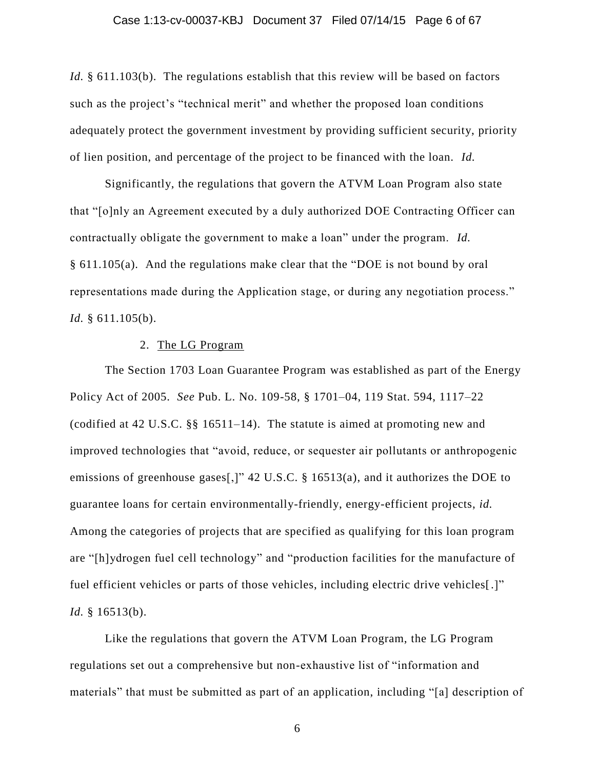#### Case 1:13-cv-00037-KBJ Document 37 Filed 07/14/15 Page 6 of 67

*Id.* § 611.103(b). The regulations establish that this review will be based on factors such as the project's "technical merit" and whether the proposed loan conditions adequately protect the government investment by providing sufficient security, priority of lien position, and percentage of the project to be financed with the loan. *Id.*

Significantly, the regulations that govern the ATVM Loan Program also state that "[o]nly an Agreement executed by a duly authorized DOE Contracting Officer can contractually obligate the government to make a loan" under the program. *Id.* § 611.105(a). And the regulations make clear that the "DOE is not bound by oral representations made during the Application stage, or during any negotiation process." *Id.* § 611.105(b).

### 2. The LG Program

The Section 1703 Loan Guarantee Program was established as part of the Energy Policy Act of 2005. *See* Pub. L. No. 109-58, § 1701–04, 119 Stat. 594, 1117–22 (codified at 42 U.S.C. §§ 16511–14). The statute is aimed at promoting new and improved technologies that "avoid, reduce, or sequester air pollutants or anthropogenic emissions of greenhouse gases[,]" 42 U.S.C. § 16513(a), and it authorizes the DOE to guarantee loans for certain environmentally-friendly, energy-efficient projects, *id.* Among the categories of projects that are specified as qualifying for this loan program are "[h]ydrogen fuel cell technology" and "production facilities for the manufacture of fuel efficient vehicles or parts of those vehicles, including electric drive vehicles[.]" *Id.* § 16513(b).

Like the regulations that govern the ATVM Loan Program, the LG Program regulations set out a comprehensive but non-exhaustive list of "information and materials" that must be submitted as part of an application, including "[a] description of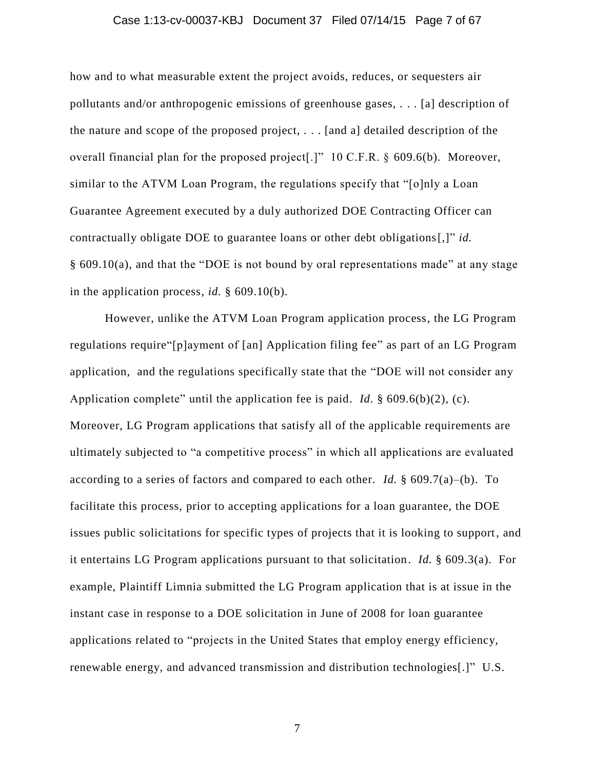#### Case 1:13-cv-00037-KBJ Document 37 Filed 07/14/15 Page 7 of 67

how and to what measurable extent the project avoids, reduces, or sequesters air pollutants and/or anthropogenic emissions of greenhouse gases, . . . [a] description of the nature and scope of the proposed project, . . . [and a] detailed description of the overall financial plan for the proposed project[.]" 10 C.F.R. § 609.6(b). Moreover, similar to the ATVM Loan Program, the regulations specify that "[o]nly a Loan Guarantee Agreement executed by a duly authorized DOE Contracting Officer can contractually obligate DOE to guarantee loans or other debt obligations[,]" *id.* § 609.10(a), and that the "DOE is not bound by oral representations made" at any stage in the application process, *id.* § 609.10(b).

However, unlike the ATVM Loan Program application process, the LG Program regulations require"[p]ayment of [an] Application filing fee" as part of an LG Program application, and the regulations specifically state that the "DOE will not consider any Application complete" until the application fee is paid. *Id.* § 609.6(b)(2), (c). Moreover, LG Program applications that satisfy all of the applicable requirements are ultimately subjected to "a competitive process" in which all applications are evaluated according to a series of factors and compared to each other. *Id.* § 609.7(a)–(b). To facilitate this process, prior to accepting applications for a loan guarantee, the DOE issues public solicitations for specific types of projects that it is looking to support, and it entertains LG Program applications pursuant to that solicitation. *Id.* § 609.3(a). For example, Plaintiff Limnia submitted the LG Program application that is at issue in the instant case in response to a DOE solicitation in June of 2008 for loan guarantee applications related to "projects in the United States that employ energy efficiency, renewable energy, and advanced transmission and distribution technologies[.]" U.S.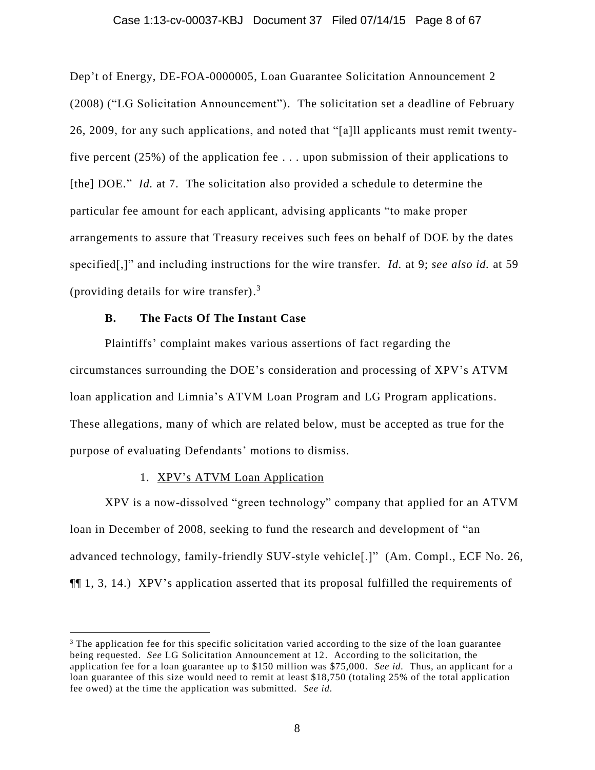#### Case 1:13-cv-00037-KBJ Document 37 Filed 07/14/15 Page 8 of 67

Dep't of Energy, DE-FOA-0000005, Loan Guarantee Solicitation Announcement 2 (2008) ("LG Solicitation Announcement"). The solicitation set a deadline of February 26, 2009, for any such applications, and noted that "[a]ll applicants must remit twentyfive percent (25%) of the application fee . . . upon submission of their applications to [the] DOE." *Id.* at 7. The solicitation also provided a schedule to determine the particular fee amount for each applicant, advising applicants "to make proper arrangements to assure that Treasury receives such fees on behalf of DOE by the dates specified[,]" and including instructions for the wire transfer. *Id.* at 9; *see also id.* at 59 (providing details for wire transfer).<sup>3</sup>

## **B. The Facts Of The Instant Case**

Plaintiffs' complaint makes various assertions of fact regarding the circumstances surrounding the DOE's consideration and processing of XPV's ATVM loan application and Limnia's ATVM Loan Program and LG Program applications. These allegations, many of which are related below, must be accepted as true for the purpose of evaluating Defendants' motions to dismiss.

## 1. XPV's ATVM Loan Application

 $\overline{a}$ 

XPV is a now-dissolved "green technology" company that applied for an ATVM loan in December of 2008, seeking to fund the research and development of "an advanced technology, family-friendly SUV-style vehicle[.]" (Am. Compl., ECF No. 26, ¶¶ 1, 3, 14.) XPV's application asserted that its proposal fulfilled the requirements of

<sup>&</sup>lt;sup>3</sup> The application fee for this specific solicitation varied according to the size of the loan guarantee being requested. *See* LG Solicitation Announcement at 12. According to the solicitation, the application fee for a loan guarantee up to \$150 million was \$75,000. *See id.* Thus, an applicant for a loan guarantee of this size would need to remit at least \$18,750 (totaling 25% of the total application fee owed) at the time the application was submitted. *See id.*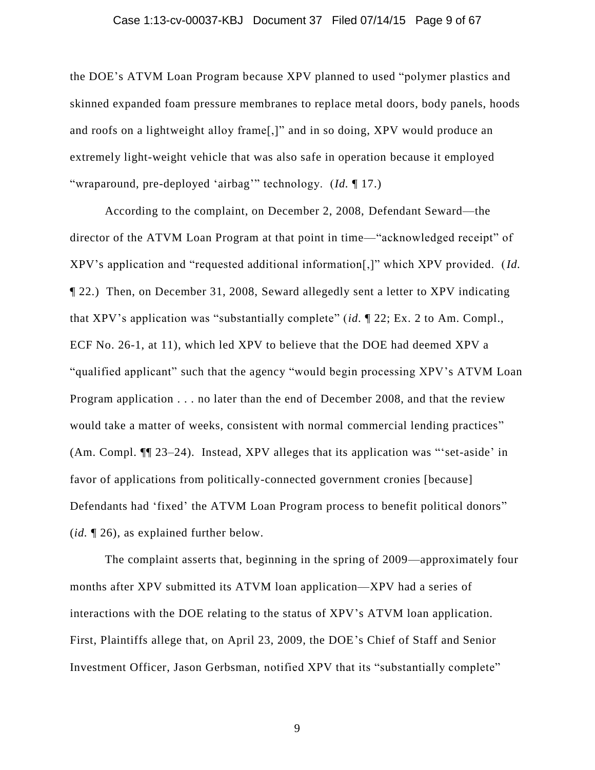#### Case 1:13-cv-00037-KBJ Document 37 Filed 07/14/15 Page 9 of 67

the DOE's ATVM Loan Program because XPV planned to used "polymer plastics and skinned expanded foam pressure membranes to replace metal doors, body panels, hoods and roofs on a lightweight alloy frame[,]" and in so doing, XPV would produce an extremely light-weight vehicle that was also safe in operation because it employed "wraparound, pre-deployed 'airbag'" technology. (*Id.* ¶ 17.)

According to the complaint, on December 2, 2008, Defendant Seward—the director of the ATVM Loan Program at that point in time—"acknowledged receipt" of XPV's application and "requested additional information[,]" which XPV provided. (*Id.* ¶ 22.) Then, on December 31, 2008, Seward allegedly sent a letter to XPV indicating that XPV's application was "substantially complete" (*id.* ¶ 22; Ex. 2 to Am. Compl., ECF No. 26-1, at 11), which led XPV to believe that the DOE had deemed XPV a "qualified applicant" such that the agency "would begin processing XPV's ATVM Loan Program application . . . no later than the end of December 2008, and that the review would take a matter of weeks, consistent with normal commercial lending practices" (Am. Compl. ¶¶ 23–24). Instead, XPV alleges that its application was "'set-aside' in favor of applications from politically-connected government cronies [because] Defendants had 'fixed' the ATVM Loan Program process to benefit political donors" (*id.* ¶ 26), as explained further below.

The complaint asserts that, beginning in the spring of 2009—approximately four months after XPV submitted its ATVM loan application—XPV had a series of interactions with the DOE relating to the status of XPV's ATVM loan application. First, Plaintiffs allege that, on April 23, 2009, the DOE's Chief of Staff and Senior Investment Officer, Jason Gerbsman, notified XPV that its "substantially complete"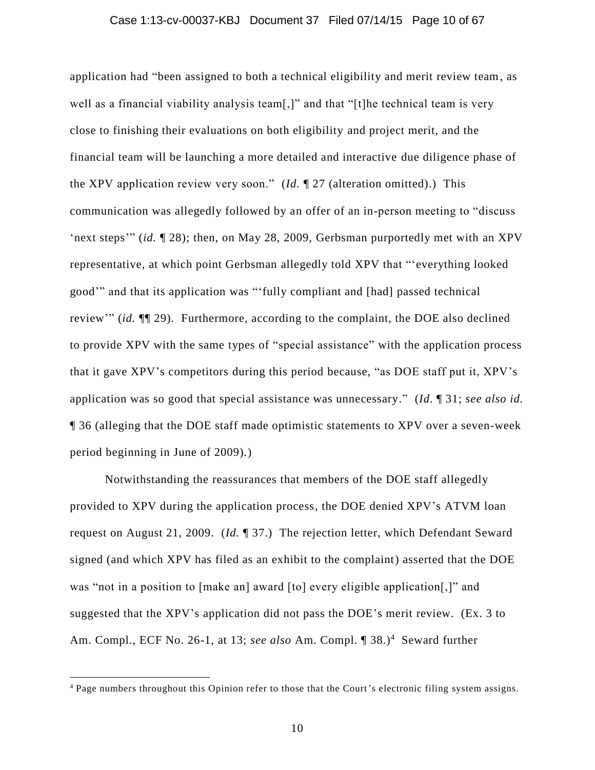#### Case 1:13-cv-00037-KBJ Document 37 Filed 07/14/15 Page 10 of 67

application had "been assigned to both a technical eligibility and merit review team, as well as a financial viability analysis team[,]" and that "[t]he technical team is very close to finishing their evaluations on both eligibility and project merit, and the financial team will be launching a more detailed and interactive due diligence phase of the XPV application review very soon." (*Id.* ¶ 27 (alteration omitted).) This communication was allegedly followed by an offer of an in-person meeting to "discuss 'next steps'" (*id.* ¶ 28); then, on May 28, 2009, Gerbsman purportedly met with an XPV representative, at which point Gerbsman allegedly told XPV that "'everything looked good'" and that its application was "'fully compliant and [had] passed technical review'" (*id.* ¶¶ 29). Furthermore, according to the complaint, the DOE also declined to provide XPV with the same types of "special assistance" with the application process that it gave XPV's competitors during this period because, "as DOE staff put it, XPV's application was so good that special assistance was unnecessary." (*Id*. ¶ 31; *see also id.* ¶ 36 (alleging that the DOE staff made optimistic statements to XPV over a seven-week period beginning in June of 2009).)

Notwithstanding the reassurances that members of the DOE staff allegedly provided to XPV during the application process, the DOE denied XPV's ATVM loan request on August 21, 2009. (*Id.* ¶ 37.) The rejection letter, which Defendant Seward signed (and which XPV has filed as an exhibit to the complaint) asserted that the DOE was "not in a position to [make an] award [to] every eligible application[,]" and suggested that the XPV's application did not pass the DOE's merit review. (Ex. 3 to Am. Compl., ECF No. 26-1, at 13; see also Am. Compl. ¶ 38.)<sup>4</sup> Seward further

<sup>4</sup> Page numbers throughout this Opinion refer to those that the Court's electronic filing system assigns.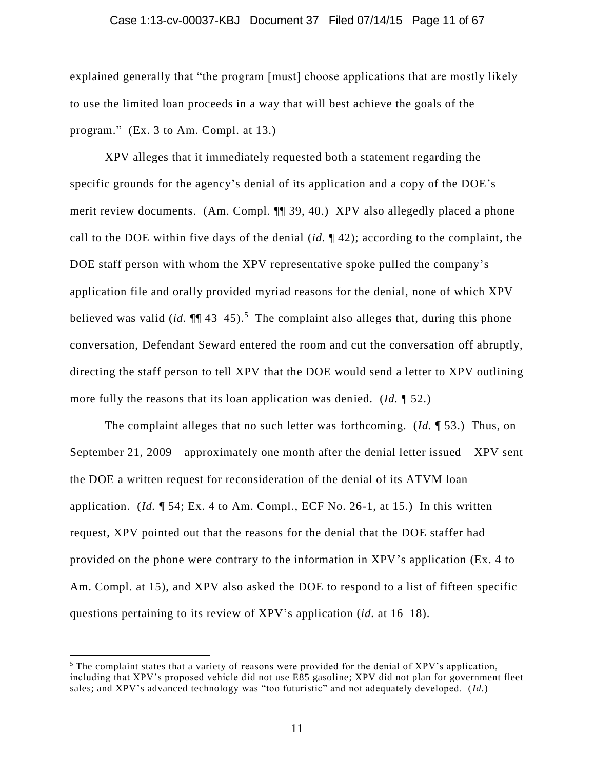#### Case 1:13-cv-00037-KBJ Document 37 Filed 07/14/15 Page 11 of 67

explained generally that "the program [must] choose applications that are mostly likely to use the limited loan proceeds in a way that will best achieve the goals of the program." (Ex. 3 to Am. Compl. at 13.)

XPV alleges that it immediately requested both a statement regarding the specific grounds for the agency's denial of its application and a copy of the DOE's merit review documents. (Am. Compl. ¶¶ 39, 40.) XPV also allegedly placed a phone call to the DOE within five days of the denial (*id.* ¶ 42); according to the complaint, the DOE staff person with whom the XPV representative spoke pulled the company's application file and orally provided myriad reasons for the denial, none of which XPV believed was valid (*id.*  $\P$ <sup> $[$ </sup> 43–45).<sup>5</sup> The complaint also alleges that, during this phone conversation, Defendant Seward entered the room and cut the conversation off abruptly, directing the staff person to tell XPV that the DOE would send a letter to XPV outlining more fully the reasons that its loan application was denied. (*Id.* ¶ 52.)

The complaint alleges that no such letter was forthcoming. (*Id.* ¶ 53.) Thus, on September 21, 2009—approximately one month after the denial letter issued—XPV sent the DOE a written request for reconsideration of the denial of its ATVM loan application. (*Id.* ¶ 54; Ex. 4 to Am. Compl., ECF No. 26-1, at 15.) In this written request, XPV pointed out that the reasons for the denial that the DOE staffer had provided on the phone were contrary to the information in XPV's application (Ex. 4 to Am. Compl. at 15), and XPV also asked the DOE to respond to a list of fifteen specific questions pertaining to its review of XPV's application (*id.* at 16–18).

<sup>&</sup>lt;sup>5</sup> The complaint states that a variety of reasons were provided for the denial of XPV's application, including that XPV's proposed vehicle did not use E85 gasoline; XPV did not plan for government fleet sales; and XPV's advanced technology was "too futuristic" and not adequately developed. (*Id.*)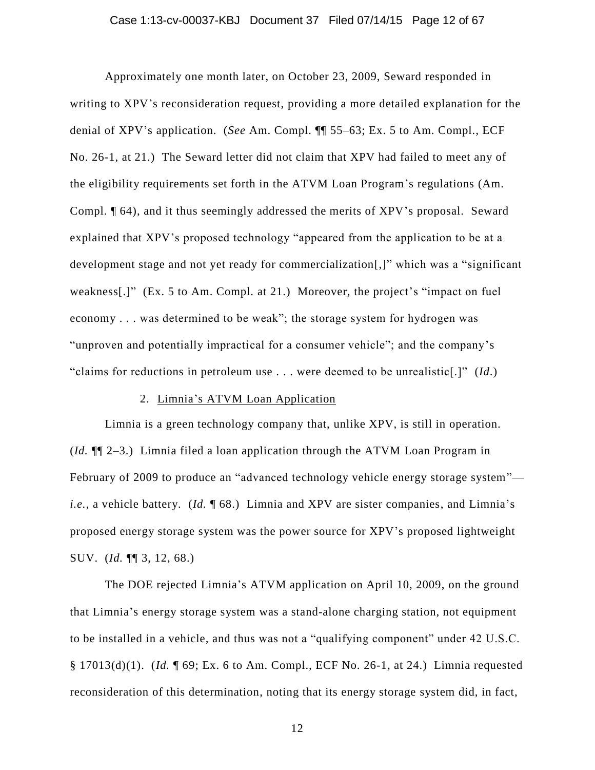#### Case 1:13-cv-00037-KBJ Document 37 Filed 07/14/15 Page 12 of 67

Approximately one month later, on October 23, 2009, Seward responded in writing to XPV's reconsideration request, providing a more detailed explanation for the denial of XPV's application. (*See* Am. Compl. ¶¶ 55–63; Ex. 5 to Am. Compl., ECF No. 26-1, at 21.) The Seward letter did not claim that XPV had failed to meet any of the eligibility requirements set forth in the ATVM Loan Program's regulations (Am. Compl. ¶ 64), and it thus seemingly addressed the merits of XPV's proposal. Seward explained that XPV's proposed technology "appeared from the application to be at a development stage and not yet ready for commercialization[,]" which was a "significant weakness[.]" (Ex. 5 to Am. Compl. at 21.) Moreover, the project's "impact on fuel economy . . . was determined to be weak"; the storage system for hydrogen was "unproven and potentially impractical for a consumer vehicle"; and the company's "claims for reductions in petroleum use . . . were deemed to be unrealistic[.]" (*Id*.)

## 2. Limnia's ATVM Loan Application

Limnia is a green technology company that, unlike XPV, is still in operation. (*Id.* ¶¶ 2–3.) Limnia filed a loan application through the ATVM Loan Program in February of 2009 to produce an "advanced technology vehicle energy storage system" *i.e.*, a vehicle battery. (*Id.* 168.) Limnia and XPV are sister companies, and Limnia's proposed energy storage system was the power source for XPV's proposed lightweight SUV. (*Id.* ¶¶ 3, 12, 68.)

The DOE rejected Limnia's ATVM application on April 10, 2009, on the ground that Limnia's energy storage system was a stand-alone charging station, not equipment to be installed in a vehicle, and thus was not a "qualifying component" under 42 U.S.C. § 17013(d)(1). (*Id.* ¶ 69; Ex. 6 to Am. Compl., ECF No. 26-1, at 24.) Limnia requested reconsideration of this determination, noting that its energy storage system did, in fact,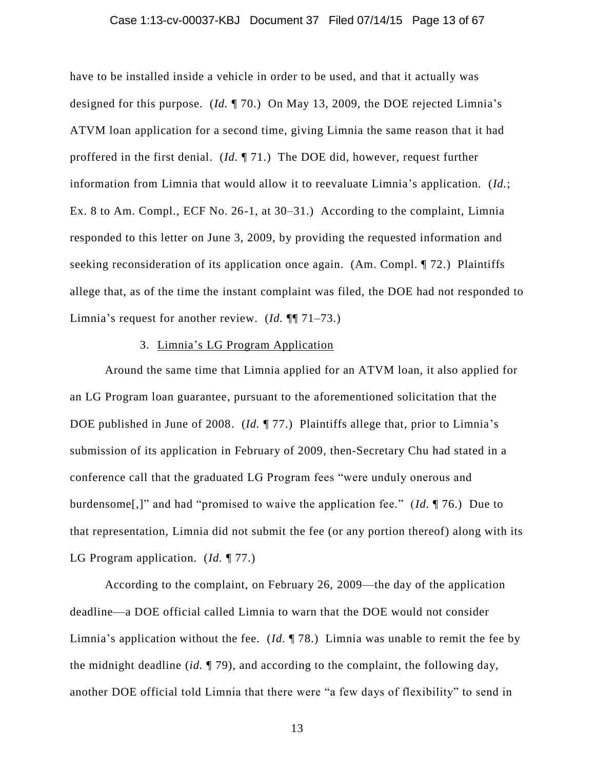#### Case 1:13-cv-00037-KBJ Document 37 Filed 07/14/15 Page 13 of 67

have to be installed inside a vehicle in order to be used, and that it actually was designed for this purpose. (*Id.* ¶ 70.) On May 13, 2009, the DOE rejected Limnia's ATVM loan application for a second time, giving Limnia the same reason that it had proffered in the first denial. (*Id.* ¶ 71.) The DOE did, however, request further information from Limnia that would allow it to reevaluate Limnia's application. (*Id.*; Ex. 8 to Am. Compl., ECF No. 26-1, at 30–31.) According to the complaint, Limnia responded to this letter on June 3, 2009, by providing the requested information and seeking reconsideration of its application once again. (Am. Compl. ¶ 72.) Plaintiffs allege that, as of the time the instant complaint was filed, the DOE had not responded to Limnia's request for another review. (*Id.* ¶¶ 71–73.)

## 3. Limnia's LG Program Application

Around the same time that Limnia applied for an ATVM loan, it also applied for an LG Program loan guarantee, pursuant to the aforementioned solicitation that the DOE published in June of 2008. (*Id.* ¶ 77.) Plaintiffs allege that, prior to Limnia's submission of its application in February of 2009, then-Secretary Chu had stated in a conference call that the graduated LG Program fees "were unduly onerous and burdensome[,]" and had "promised to waive the application fee." (*Id.* ¶ 76.) Due to that representation, Limnia did not submit the fee (or any portion thereof) along with its LG Program application. (*Id.* ¶ 77.)

According to the complaint, on February 26, 2009—the day of the application deadline—a DOE official called Limnia to warn that the DOE would not consider Limnia's application without the fee. (*Id.* ¶ 78.) Limnia was unable to remit the fee by the midnight deadline (*id.* ¶ 79), and according to the complaint, the following day, another DOE official told Limnia that there were "a few days of flexibility" to send in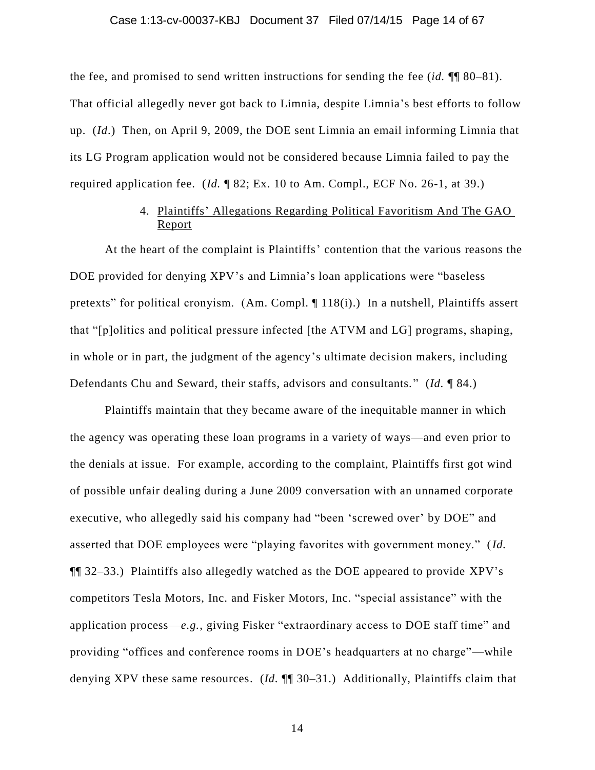#### Case 1:13-cv-00037-KBJ Document 37 Filed 07/14/15 Page 14 of 67

the fee, and promised to send written instructions for sending the fee (*id.* ¶¶ 80–81). That official allegedly never got back to Limnia, despite Limnia's best efforts to follow up. (*Id*.) Then, on April 9, 2009, the DOE sent Limnia an email informing Limnia that its LG Program application would not be considered because Limnia failed to pay the required application fee. (*Id.* ¶ 82; Ex. 10 to Am. Compl., ECF No. 26-1, at 39.)

# 4. Plaintiffs' Allegations Regarding Political Favoritism And The GAO Report

At the heart of the complaint is Plaintiffs' contention that the various reasons the DOE provided for denying XPV's and Limnia's loan applications were "baseless pretexts" for political cronyism. (Am. Compl. ¶ 118(i).) In a nutshell, Plaintiffs assert that "[p]olitics and political pressure infected [the ATVM and LG] programs, shaping, in whole or in part, the judgment of the agency's ultimate decision makers, including Defendants Chu and Seward, their staffs, advisors and consultants. " (*Id.* ¶ 84.)

Plaintiffs maintain that they became aware of the inequitable manner in which the agency was operating these loan programs in a variety of ways—and even prior to the denials at issue. For example, according to the complaint, Plaintiffs first got wind of possible unfair dealing during a June 2009 conversation with an unnamed corporate executive, who allegedly said his company had "been 'screwed over' by DOE" and asserted that DOE employees were "playing favorites with government money." (*Id.* ¶¶ 32–33.) Plaintiffs also allegedly watched as the DOE appeared to provide XPV's competitors Tesla Motors, Inc. and Fisker Motors, Inc. "special assistance" with the application process—*e.g.*, giving Fisker "extraordinary access to DOE staff time" and providing "offices and conference rooms in DOE's headquarters at no charge"—while denying XPV these same resources. (*Id.* ¶¶ 30–31.) Additionally, Plaintiffs claim that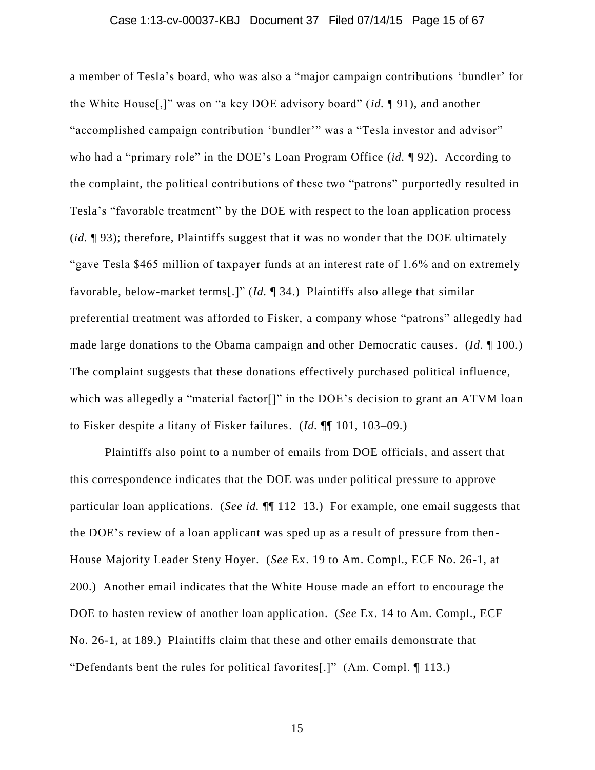#### Case 1:13-cv-00037-KBJ Document 37 Filed 07/14/15 Page 15 of 67

a member of Tesla's board, who was also a "major campaign contributions 'bundler' for the White House[,]" was on "a key DOE advisory board" (*id.* ¶ 91), and another "accomplished campaign contribution 'bundler'" was a "Tesla investor and advisor" who had a "primary role" in the DOE's Loan Program Office (*id.* ¶ 92). According to the complaint, the political contributions of these two "patrons" purportedly resulted in Tesla's "favorable treatment" by the DOE with respect to the loan application process (*id.* ¶ 93); therefore, Plaintiffs suggest that it was no wonder that the DOE ultimately "gave Tesla \$465 million of taxpayer funds at an interest rate of 1.6% and on extremely favorable, below-market terms[.]" (*Id.* ¶ 34.) Plaintiffs also allege that similar preferential treatment was afforded to Fisker, a company whose "patrons" allegedly had made large donations to the Obama campaign and other Democratic causes. (*Id.* ¶ 100.) The complaint suggests that these donations effectively purchased political influence, which was allegedly a "material factor<sup>[]"</sup> in the DOE's decision to grant an ATVM loan to Fisker despite a litany of Fisker failures. (*Id.* ¶¶ 101, 103–09.)

Plaintiffs also point to a number of emails from DOE officials, and assert that this correspondence indicates that the DOE was under political pressure to approve particular loan applications. (*See id.* ¶¶ 112–13.) For example, one email suggests that the DOE's review of a loan applicant was sped up as a result of pressure from then-House Majority Leader Steny Hoyer. (*See* Ex. 19 to Am. Compl., ECF No. 26-1, at 200.) Another email indicates that the White House made an effort to encourage the DOE to hasten review of another loan application. (*See* Ex. 14 to Am. Compl., ECF No. 26-1, at 189.) Plaintiffs claim that these and other emails demonstrate that "Defendants bent the rules for political favorites[.]" (Am. Compl. ¶ 113.)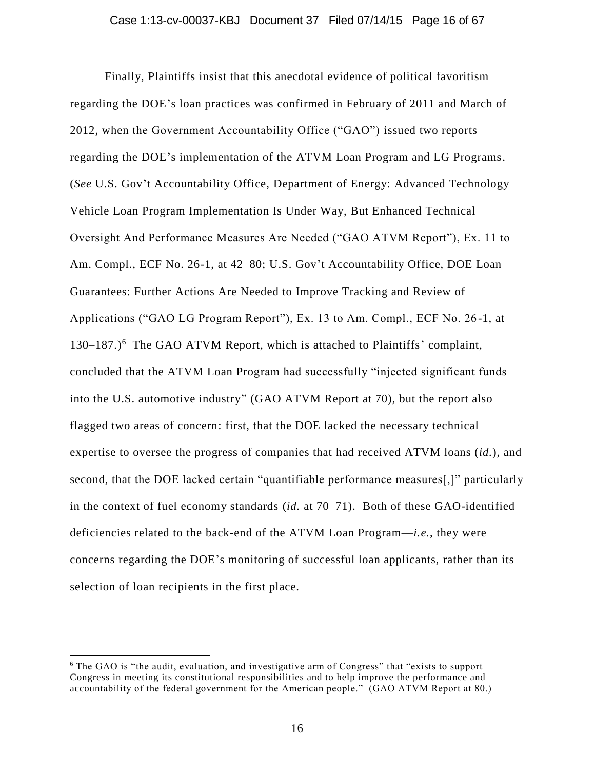Finally, Plaintiffs insist that this anecdotal evidence of political favoritism regarding the DOE's loan practices was confirmed in February of 2011 and March of 2012, when the Government Accountability Office ("GAO") issued two reports regarding the DOE's implementation of the ATVM Loan Program and LG Programs. (*See* U.S. Gov't Accountability Office, Department of Energy: Advanced Technology Vehicle Loan Program Implementation Is Under Way, But Enhanced Technical Oversight And Performance Measures Are Needed ("GAO ATVM Report"), Ex. 11 to Am. Compl., ECF No. 26-1, at 42–80; U.S. Gov't Accountability Office, DOE Loan Guarantees: Further Actions Are Needed to Improve Tracking and Review of Applications ("GAO LG Program Report"), Ex. 13 to Am. Compl., ECF No. 26 -1, at 130–187.) 6 The GAO ATVM Report, which is attached to Plaintiffs' complaint, concluded that the ATVM Loan Program had successfully "injected significant funds into the U.S. automotive industry" (GAO ATVM Report at 70), but the report also flagged two areas of concern: first, that the DOE lacked the necessary technical expertise to oversee the progress of companies that had received ATVM loans (*id.*), and second, that the DOE lacked certain "quantifiable performance measures[,]" particularly in the context of fuel economy standards (*id.* at 70–71). Both of these GAO-identified deficiencies related to the back-end of the ATVM Loan Program—*i.e.*, they were concerns regarding the DOE's monitoring of successful loan applicants, rather than its selection of loan recipients in the first place.

<sup>6</sup> The GAO is "the audit, evaluation, and investigative arm of Congress" that "exists to support Congress in meeting its constitutional responsibilities and to help improve the performance and accountability of the federal government for the American people." (GAO ATVM Report at 80.)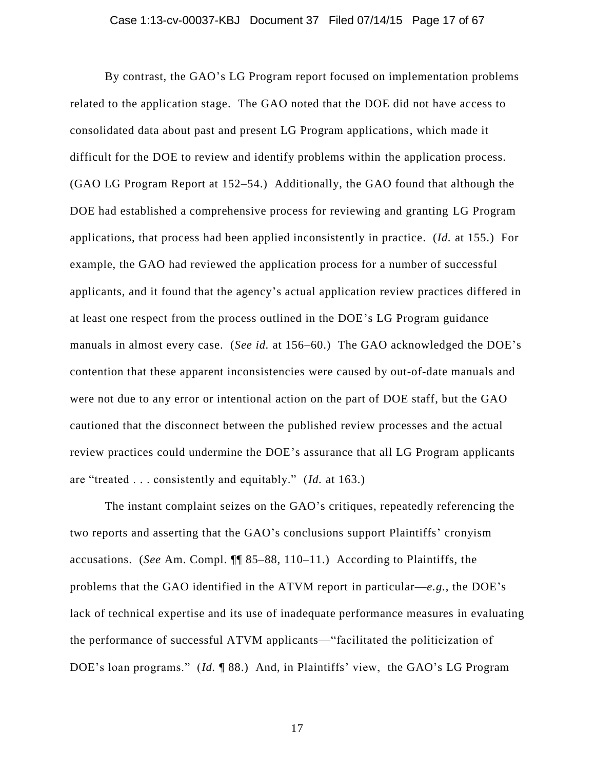By contrast, the GAO's LG Program report focused on implementation problems related to the application stage. The GAO noted that the DOE did not have access to consolidated data about past and present LG Program applications, which made it difficult for the DOE to review and identify problems within the application process. (GAO LG Program Report at 152–54.) Additionally, the GAO found that although the DOE had established a comprehensive process for reviewing and granting LG Program applications, that process had been applied inconsistently in practice. (*Id.* at 155.) For example, the GAO had reviewed the application process for a number of successful applicants, and it found that the agency's actual application review practices differed in at least one respect from the process outlined in the DOE's LG Program guidance manuals in almost every case. (*See id.* at 156–60.) The GAO acknowledged the DOE's contention that these apparent inconsistencies were caused by out-of-date manuals and were not due to any error or intentional action on the part of DOE staff, but the GAO cautioned that the disconnect between the published review processes and the actual review practices could undermine the DOE's assurance that all LG Program applicants are "treated . . . consistently and equitably." (*Id.* at 163.)

The instant complaint seizes on the GAO's critiques, repeatedly referencing the two reports and asserting that the GAO's conclusions support Plaintiffs' cronyism accusations. (*See* Am. Compl. ¶¶ 85–88, 110–11.) According to Plaintiffs, the problems that the GAO identified in the ATVM report in particular—*e.g.*, the DOE's lack of technical expertise and its use of inadequate performance measures in evaluating the performance of successful ATVM applicants—"facilitated the politicization of DOE's loan programs." (*Id.* ¶ 88.) And, in Plaintiffs' view, the GAO's LG Program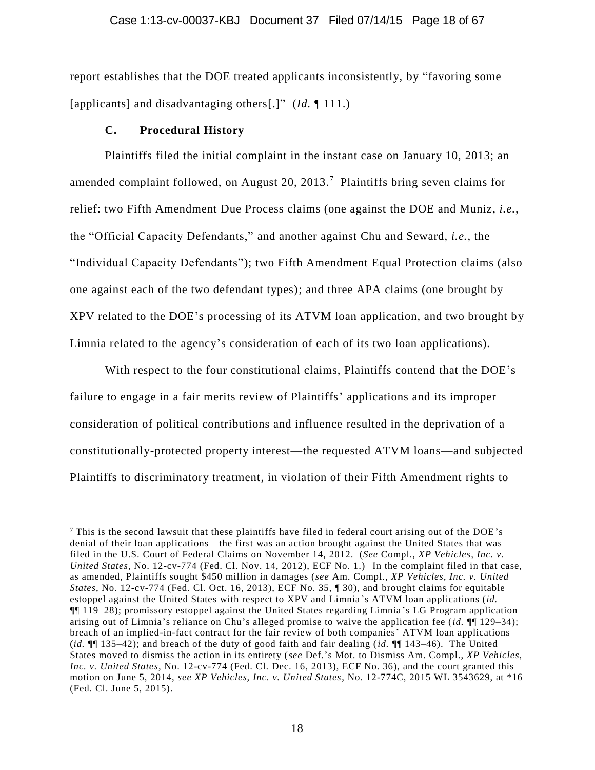report establishes that the DOE treated applicants inconsistently, by "favoring some [applicants] and disadvantaging others[.]" (*Id.* ¶ 111.)

### **C. Procedural History**

 $\overline{a}$ 

Plaintiffs filed the initial complaint in the instant case on January 10, 2013; an amended complaint followed, on August 20, 2013. 7 Plaintiffs bring seven claims for relief: two Fifth Amendment Due Process claims (one against the DOE and Muniz, *i.e.*, the "Official Capacity Defendants," and another against Chu and Seward, *i.e.*, the "Individual Capacity Defendants"); two Fifth Amendment Equal Protection claims (also one against each of the two defendant types); and three APA claims (one brought by XPV related to the DOE's processing of its ATVM loan application, and two brought by Limnia related to the agency's consideration of each of its two loan applications).

With respect to the four constitutional claims, Plaintiffs contend that the DOE's failure to engage in a fair merits review of Plaintiffs' applications and its improper consideration of political contributions and influence resulted in the deprivation of a constitutionally-protected property interest—the requested ATVM loans—and subjected Plaintiffs to discriminatory treatment, in violation of their Fifth Amendment rights to

<sup>7</sup> This is the second lawsuit that these plaintiffs have filed in federal court arising out of the DOE's denial of their loan applications—the first was an action brought against the United States that was filed in the U.S. Court of Federal Claims on November 14, 2012. (*See* Compl., *XP Vehicles, Inc. v. United States*, No. 12-cv-774 (Fed. Cl. Nov. 14, 2012), ECF No. 1.) In the complaint filed in that case, as amended, Plaintiffs sought \$450 million in damages (*see* Am. Compl., *XP Vehicles, Inc. v. United States*, No. 12-cv-774 (Fed. Cl. Oct. 16, 2013), ECF No. 35, ¶ 30), and brought claims for equitable estoppel against the United States with respect to XPV and Limnia 's ATVM loan applications (*id.* ¶¶ 119–28); promissory estoppel against the United States regarding Limnia 's LG Program application arising out of Limnia's reliance on Chu's alleged promise to waive the application fee (*id.* ¶¶ 129–34); breach of an implied-in-fact contract for the fair review of both companies' ATVM loan applications (*id.* ¶¶ 135–42); and breach of the duty of good faith and fair dealing (*id.* ¶¶ 143–46). The United States moved to dismiss the action in its entirety (*see* Def.'s Mot. to Dismiss Am. Compl., *XP Vehicles, Inc. v. United States*, No. 12-cv-774 (Fed. Cl. Dec. 16, 2013), ECF No. 36), and the court granted this motion on June 5, 2014, *see XP Vehicles, Inc. v. United States*, No. 12-774C, 2015 WL 3543629, at \*16 (Fed. Cl. June 5, 2015).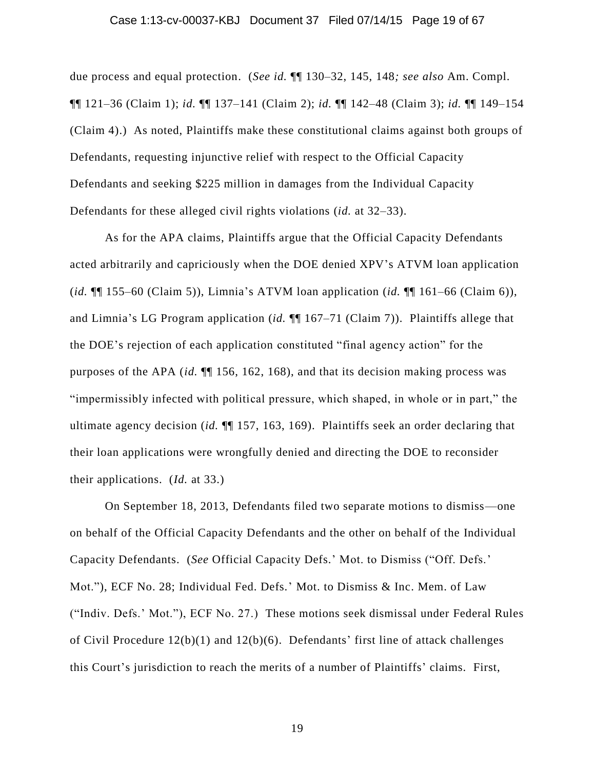#### Case 1:13-cv-00037-KBJ Document 37 Filed 07/14/15 Page 19 of 67

due process and equal protection. (*See id.* ¶¶ 130–32, 145, 148*; see also* Am. Compl. ¶¶ 121–36 (Claim 1); *id.* ¶¶ 137–141 (Claim 2); *id.* ¶¶ 142–48 (Claim 3); *id.* ¶¶ 149–154 (Claim 4).) As noted, Plaintiffs make these constitutional claims against both groups of Defendants, requesting injunctive relief with respect to the Official Capacity Defendants and seeking \$225 million in damages from the Individual Capacity Defendants for these alleged civil rights violations (*id.* at 32–33).

As for the APA claims, Plaintiffs argue that the Official Capacity Defendants acted arbitrarily and capriciously when the DOE denied XPV's ATVM loan application (*id.* ¶¶ 155–60 (Claim 5)), Limnia's ATVM loan application (*id.* ¶¶ 161–66 (Claim 6)), and Limnia's LG Program application (*id.* ¶¶ 167–71 (Claim 7)). Plaintiffs allege that the DOE's rejection of each application constituted "final agency action" for the purposes of the APA (*id.* ¶¶ 156, 162, 168), and that its decision making process was "impermissibly infected with political pressure, which shaped, in whole or in part," the ultimate agency decision (*id.* ¶¶ 157, 163, 169). Plaintiffs seek an order declaring that their loan applications were wrongfully denied and directing the DOE to reconsider their applications. (*Id.* at 33.)

On September 18, 2013, Defendants filed two separate motions to dismiss—one on behalf of the Official Capacity Defendants and the other on behalf of the Individual Capacity Defendants. (*See* Official Capacity Defs.' Mot. to Dismiss ("Off. Defs.' Mot."), ECF No. 28; Individual Fed. Defs.' Mot. to Dismiss & Inc. Mem. of Law ("Indiv. Defs.' Mot."), ECF No. 27.) These motions seek dismissal under Federal Rules of Civil Procedure 12(b)(1) and 12(b)(6). Defendants' first line of attack challenges this Court's jurisdiction to reach the merits of a number of Plaintiffs' claims. First,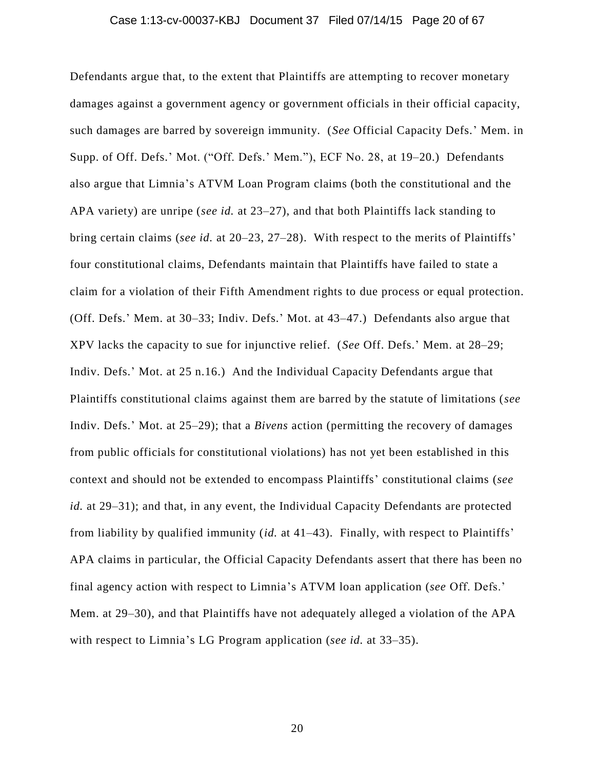#### Case 1:13-cv-00037-KBJ Document 37 Filed 07/14/15 Page 20 of 67

Defendants argue that, to the extent that Plaintiffs are attempting to recover monetary damages against a government agency or government officials in their official capacity, such damages are barred by sovereign immunity. (*See* Official Capacity Defs.' Mem. in Supp. of Off. Defs.' Mot. ("Off. Defs.' Mem."), ECF No. 28, at 19–20.) Defendants also argue that Limnia's ATVM Loan Program claims (both the constitutional and the APA variety) are unripe (*see id.* at 23–27), and that both Plaintiffs lack standing to bring certain claims (*see id.* at 20–23, 27–28). With respect to the merits of Plaintiffs' four constitutional claims, Defendants maintain that Plaintiffs have failed to state a claim for a violation of their Fifth Amendment rights to due process or equal protection. (Off. Defs.' Mem. at 30–33; Indiv. Defs.' Mot. at 43–47.) Defendants also argue that XPV lacks the capacity to sue for injunctive relief. (*See* Off. Defs.' Mem. at 28–29; Indiv. Defs.' Mot. at 25 n.16.) And the Individual Capacity Defendants argue that Plaintiffs constitutional claims against them are barred by the statute of limitations (*see* Indiv. Defs.' Mot. at 25–29); that a *Bivens* action (permitting the recovery of damages from public officials for constitutional violations) has not yet been established in this context and should not be extended to encompass Plaintiffs' constitutional claims (*see id.* at 29–31); and that, in any event, the Individual Capacity Defendants are protected from liability by qualified immunity (*id.* at 41–43). Finally, with respect to Plaintiffs' APA claims in particular, the Official Capacity Defendants assert that there has been no final agency action with respect to Limnia's ATVM loan application (*see* Off. Defs.' Mem. at 29–30), and that Plaintiffs have not adequately alleged a violation of the APA with respect to Limnia's LG Program application (*see id.* at 33–35).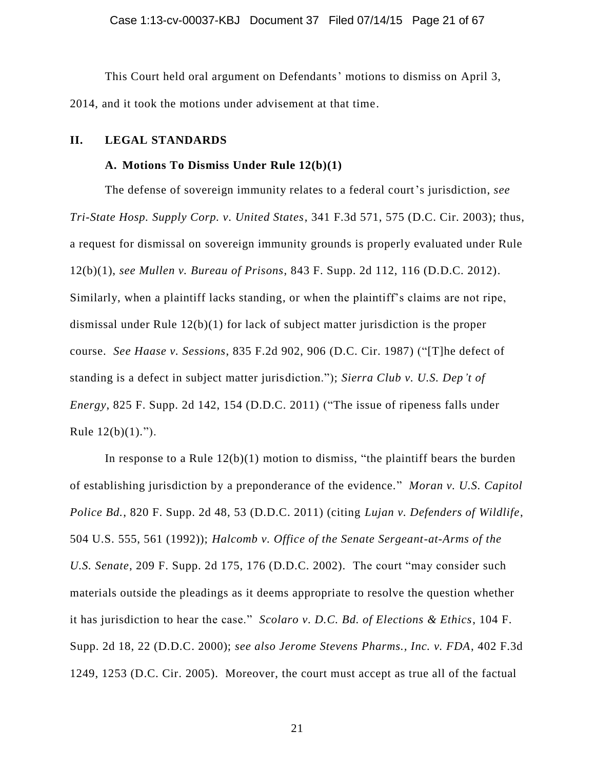This Court held oral argument on Defendants' motions to dismiss on April 3, 2014, and it took the motions under advisement at that time.

### **II. LEGAL STANDARDS**

#### **A. Motions To Dismiss Under Rule 12(b)(1)**

The defense of sovereign immunity relates to a federal court's jurisdiction, *see Tri-State Hosp. Supply Corp. v. United States*, 341 F.3d 571, 575 (D.C. Cir. 2003); thus, a request for dismissal on sovereign immunity grounds is properly evaluated under Rule 12(b)(1), *see Mullen v. Bureau of Prisons*, 843 F. Supp. 2d 112, 116 (D.D.C. 2012). Similarly, when a plaintiff lacks standing, or when the plaintiff's claims are not ripe, dismissal under Rule 12(b)(1) for lack of subject matter jurisdiction is the proper course. *See Haase v. Sessions*, 835 F.2d 902, 906 (D.C. Cir. 1987) ("[T]he defect of standing is a defect in subject matter jurisdiction."); *Sierra Club v. U.S. Dep't of Energy*, 825 F. Supp. 2d 142, 154 (D.D.C. 2011) ("The issue of ripeness falls under Rule  $12(b)(1)$ .").

In response to a Rule  $12(b)(1)$  motion to dismiss, "the plaintiff bears the burden of establishing jurisdiction by a preponderance of the evidence." *Moran v. U.S. Capitol Police Bd.*, 820 F. Supp. 2d 48, 53 (D.D.C. 2011) (citing *Lujan v. Defenders of Wildlife*, 504 U.S. 555, 561 (1992)); *Halcomb v. Office of the Senate Sergeant-at-Arms of the U.S. Senate*, 209 F. Supp. 2d 175, 176 (D.D.C. 2002). The court "may consider such materials outside the pleadings as it deems appropriate to resolve the question whether it has jurisdiction to hear the case." *Scolaro v. D.C. Bd. of Elections & Ethics*, 104 F. Supp. 2d 18, 22 (D.D.C. 2000); *see also Jerome Stevens Pharms., Inc. v. FDA*, 402 F.3d 1249, 1253 (D.C. Cir. 2005). Moreover, the court must accept as true all of the factual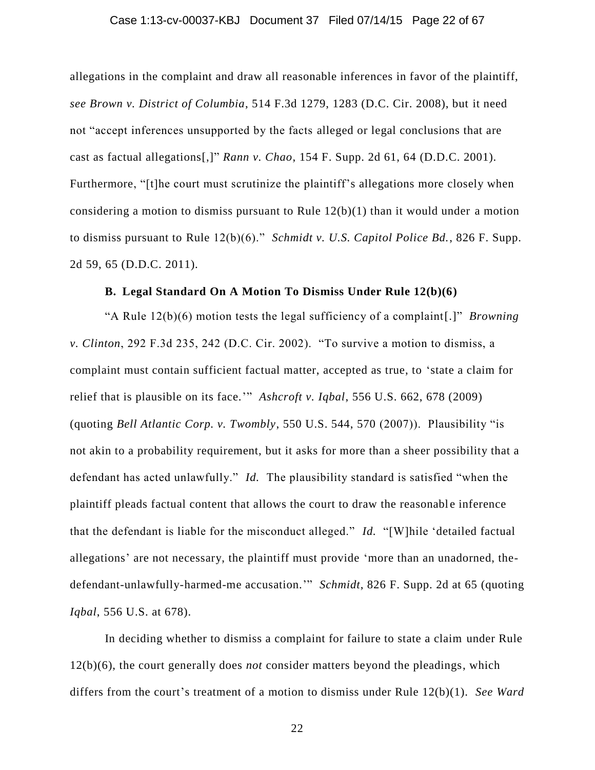#### Case 1:13-cv-00037-KBJ Document 37 Filed 07/14/15 Page 22 of 67

allegations in the complaint and draw all reasonable inferences in favor of the plaintiff, *see Brown v. District of Columbia*, 514 F.3d 1279, 1283 (D.C. Cir. 2008), but it need not "accept inferences unsupported by the facts alleged or legal conclusions that are cast as factual allegations[,]" *Rann v. Chao*, 154 F. Supp. 2d 61, 64 (D.D.C. 2001). Furthermore, "[t]he court must scrutinize the plaintiff's allegations more closely when considering a motion to dismiss pursuant to Rule 12(b)(1) than it would under a motion to dismiss pursuant to Rule 12(b)(6)." *Schmidt v. U.S. Capitol Police Bd.*, 826 F. Supp. 2d 59, 65 (D.D.C. 2011).

### **B. Legal Standard On A Motion To Dismiss Under Rule 12(b)(6)**

"A Rule 12(b)(6) motion tests the legal sufficiency of a complaint[.]" *Browning v. Clinton*, 292 F.3d 235, 242 (D.C. Cir. 2002). "To survive a motion to dismiss, a complaint must contain sufficient factual matter, accepted as true, to 'state a claim for relief that is plausible on its face.'" *Ashcroft v. Iqbal*, 556 U.S. 662, 678 (2009) (quoting *Bell Atlantic Corp. v. Twombly*, 550 U.S. 544, 570 (2007)). Plausibility "is not akin to a probability requirement, but it asks for more than a sheer possibility that a defendant has acted unlawfully." *Id.* The plausibility standard is satisfied "when the plaintiff pleads factual content that allows the court to draw the reasonable inference that the defendant is liable for the misconduct alleged." *Id.* "[W]hile 'detailed factual allegations' are not necessary, the plaintiff must provide 'more than an unadorned, thedefendant-unlawfully-harmed-me accusation.'" *Schmidt*, 826 F. Supp. 2d at 65 (quoting *Iqbal*, 556 U.S. at 678).

In deciding whether to dismiss a complaint for failure to state a claim under Rule 12(b)(6), the court generally does *not* consider matters beyond the pleadings, which differs from the court's treatment of a motion to dismiss under Rule 12(b)(1). *See Ward*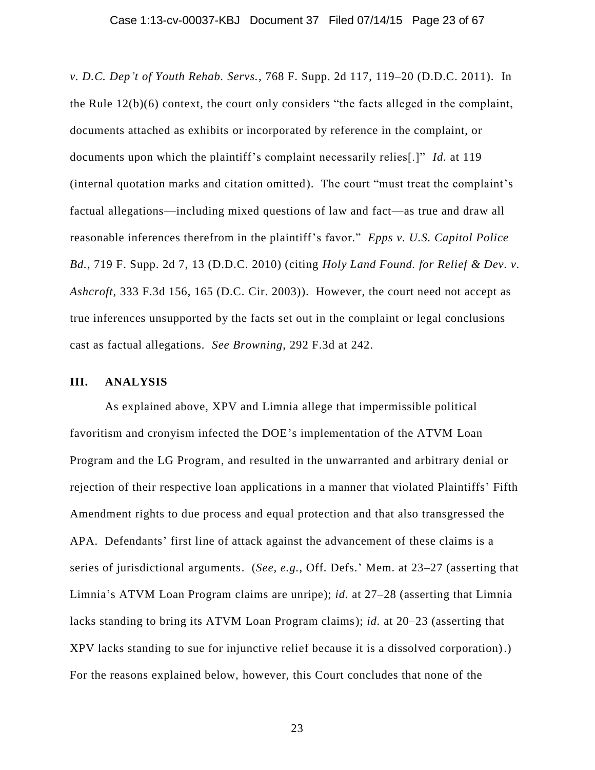*v. D.C. Dep't of Youth Rehab. Servs.*, 768 F. Supp. 2d 117, 119–20 (D.D.C. 2011). In the Rule 12(b)(6) context, the court only considers "the facts alleged in the complaint, documents attached as exhibits or incorporated by reference in the complaint, or documents upon which the plaintiff's complaint necessarily relies[.]" *Id.* at 119 (internal quotation marks and citation omitted). The court "must treat the complaint's factual allegations—including mixed questions of law and fact—as true and draw all reasonable inferences therefrom in the plaintiff's favor." *Epps v. U.S. Capitol Police Bd.*, 719 F. Supp. 2d 7, 13 (D.D.C. 2010) (citing *Holy Land Found. for Relief & Dev. v. Ashcroft*, 333 F.3d 156, 165 (D.C. Cir. 2003)). However, the court need not accept as true inferences unsupported by the facts set out in the complaint or legal conclusions cast as factual allegations. *See Browning*, 292 F.3d at 242.

## **III. ANALYSIS**

As explained above, XPV and Limnia allege that impermissible political favoritism and cronyism infected the DOE's implementation of the ATVM Loan Program and the LG Program, and resulted in the unwarranted and arbitrary denial or rejection of their respective loan applications in a manner that violated Plaintiffs' Fifth Amendment rights to due process and equal protection and that also transgressed the APA. Defendants' first line of attack against the advancement of these claims is a series of jurisdictional arguments. (*See, e.g.*, Off. Defs.' Mem. at 23–27 (asserting that Limnia's ATVM Loan Program claims are unripe); *id.* at 27–28 (asserting that Limnia lacks standing to bring its ATVM Loan Program claims); *id.* at 20–23 (asserting that XPV lacks standing to sue for injunctive relief because it is a dissolved corporation).) For the reasons explained below, however, this Court concludes that none of the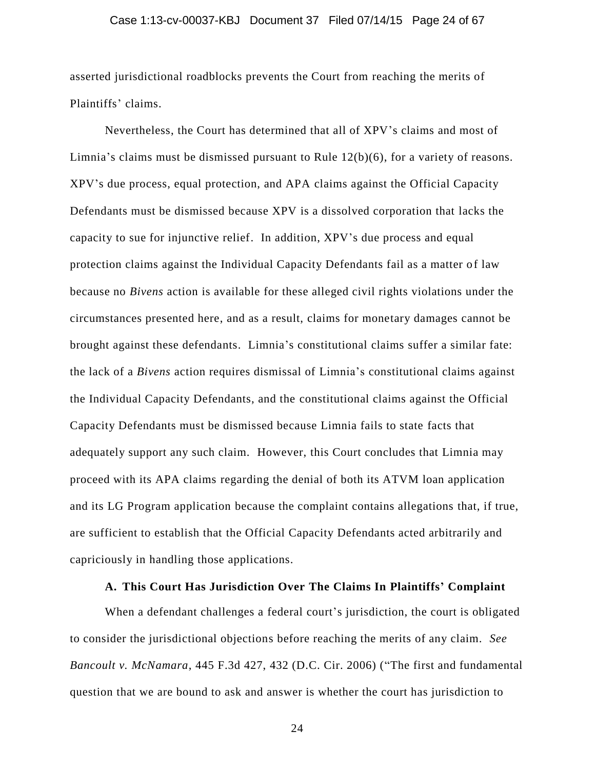#### Case 1:13-cv-00037-KBJ Document 37 Filed 07/14/15 Page 24 of 67

asserted jurisdictional roadblocks prevents the Court from reaching the merits of Plaintiffs' claims.

Nevertheless, the Court has determined that all of XPV's claims and most of Limnia's claims must be dismissed pursuant to Rule 12(b)(6), for a variety of reasons. XPV's due process, equal protection, and APA claims against the Official Capacity Defendants must be dismissed because XPV is a dissolved corporation that lacks the capacity to sue for injunctive relief. In addition, XPV's due process and equal protection claims against the Individual Capacity Defendants fail as a matter of law because no *Bivens* action is available for these alleged civil rights violations under the circumstances presented here, and as a result, claims for monetary damages cannot be brought against these defendants. Limnia's constitutional claims suffer a similar fate: the lack of a *Bivens* action requires dismissal of Limnia's constitutional claims against the Individual Capacity Defendants, and the constitutional claims against the Official Capacity Defendants must be dismissed because Limnia fails to state facts that adequately support any such claim. However, this Court concludes that Limnia may proceed with its APA claims regarding the denial of both its ATVM loan application and its LG Program application because the complaint contains allegations that, if true, are sufficient to establish that the Official Capacity Defendants acted arbitrarily and capriciously in handling those applications.

## **A. This Court Has Jurisdiction Over The Claims In Plaintiffs' Complaint**

When a defendant challenges a federal court's jurisdiction, the court is obligated to consider the jurisdictional objections before reaching the merits of any claim. *See Bancoult v. McNamara*, 445 F.3d 427, 432 (D.C. Cir. 2006) ("The first and fundamental question that we are bound to ask and answer is whether the court has jurisdiction to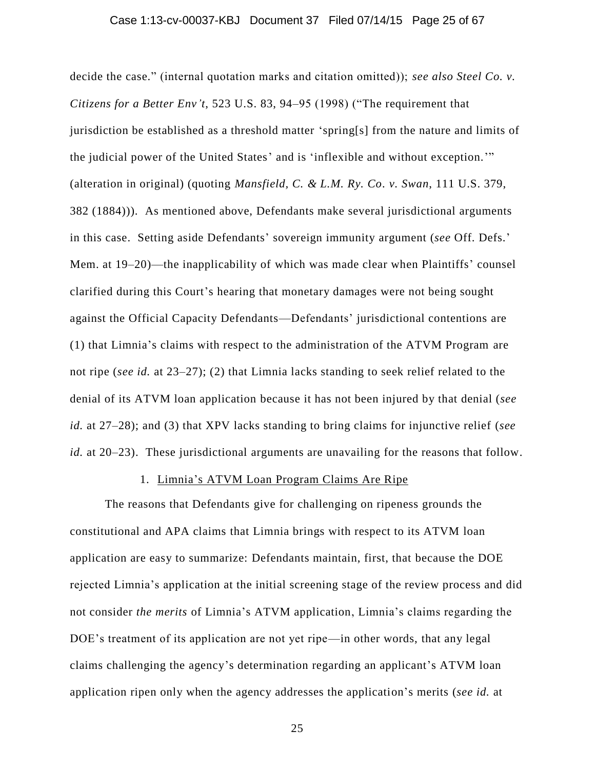decide the case." (internal quotation marks and citation omitted)); *see also Steel Co. v. Citizens for a Better Env't*, 523 U.S. 83, 94–95 (1998) ("The requirement that jurisdiction be established as a threshold matter 'spring[s] from the nature and limits of the judicial power of the United States' and is 'inflexible and without exception.'" (alteration in original) (quoting *Mansfield, C. & L.M. Ry. Co. v. Swan*, 111 U.S. 379, 382 (1884))). As mentioned above, Defendants make several jurisdictional arguments in this case. Setting aside Defendants' sovereign immunity argument (*see* Off. Defs.' Mem. at 19–20)—the inapplicability of which was made clear when Plaintiffs' counsel clarified during this Court's hearing that monetary damages were not being sought against the Official Capacity Defendants—Defendants' jurisdictional contentions are (1) that Limnia's claims with respect to the administration of the ATVM Program are not ripe (*see id.* at 23–27); (2) that Limnia lacks standing to seek relief related to the denial of its ATVM loan application because it has not been injured by that denial (*see id.* at 27–28); and (3) that XPV lacks standing to bring claims for injunctive relief (*see id.* at 20–23). These jurisdictional arguments are unavailing for the reasons that follow.

# 1. Limnia's ATVM Loan Program Claims Are Ripe

The reasons that Defendants give for challenging on ripeness grounds the constitutional and APA claims that Limnia brings with respect to its ATVM loan application are easy to summarize: Defendants maintain, first, that because the DOE rejected Limnia's application at the initial screening stage of the review process and did not consider *the merits* of Limnia's ATVM application, Limnia's claims regarding the DOE's treatment of its application are not yet ripe—in other words, that any legal claims challenging the agency's determination regarding an applicant's ATVM loan application ripen only when the agency addresses the application's merits (*see id.* at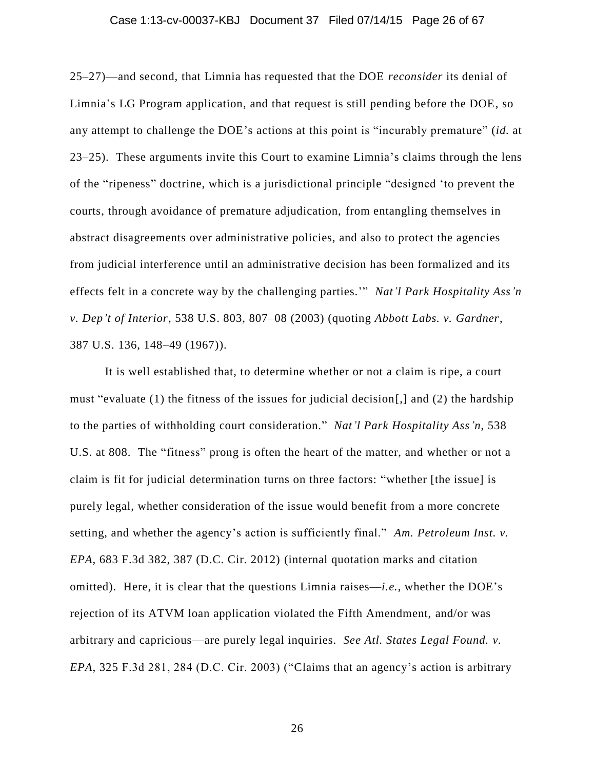#### Case 1:13-cv-00037-KBJ Document 37 Filed 07/14/15 Page 26 of 67

25–27)—and second, that Limnia has requested that the DOE *reconsider* its denial of Limnia's LG Program application, and that request is still pending before the DOE, so any attempt to challenge the DOE's actions at this point is "incurably premature" (*id.* at 23–25). These arguments invite this Court to examine Limnia's claims through the lens of the "ripeness" doctrine, which is a jurisdictional principle "designed 'to prevent the courts, through avoidance of premature adjudication, from entangling themselves in abstract disagreements over administrative policies, and also to protect the agencies from judicial interference until an administrative decision has been formalized and its effects felt in a concrete way by the challenging parties.'" *Nat'l Park Hospitality Ass'n v. Dep't of Interior*, 538 U.S. 803, 807–08 (2003) (quoting *Abbott Labs. v. Gardner*, 387 U.S. 136, 148–49 (1967)).

It is well established that, to determine whether or not a claim is ripe, a court must "evaluate (1) the fitness of the issues for judicial decision[,] and (2) the hardship to the parties of withholding court consideration." *Nat'l Park Hospitality Ass'n*, 538 U.S. at 808. The "fitness" prong is often the heart of the matter, and whether or not a claim is fit for judicial determination turns on three factors: "whether [the issue] is purely legal, whether consideration of the issue would benefit from a more concrete setting, and whether the agency's action is sufficiently final." *Am. Petroleum Inst. v. EPA*, 683 F.3d 382, 387 (D.C. Cir. 2012) (internal quotation marks and citation omitted). Here, it is clear that the questions Limnia raises—*i.e.*, whether the DOE's rejection of its ATVM loan application violated the Fifth Amendment, and/or was arbitrary and capricious—are purely legal inquiries. *See Atl. States Legal Found. v. EPA*, 325 F.3d 281, 284 (D.C. Cir. 2003) ("Claims that an agency's action is arbitrary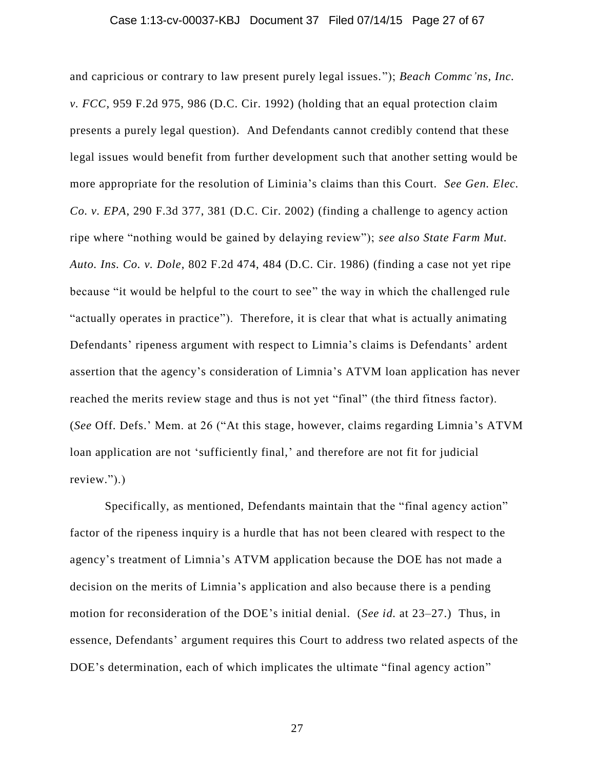#### Case 1:13-cv-00037-KBJ Document 37 Filed 07/14/15 Page 27 of 67

and capricious or contrary to law present purely legal issues."); *Beach Commc'ns, Inc. v. FCC*, 959 F.2d 975, 986 (D.C. Cir. 1992) (holding that an equal protection claim presents a purely legal question). And Defendants cannot credibly contend that these legal issues would benefit from further development such that another setting would be more appropriate for the resolution of Liminia's claims than this Court. *See Gen. Elec. Co. v. EPA*, 290 F.3d 377, 381 (D.C. Cir. 2002) (finding a challenge to agency action ripe where "nothing would be gained by delaying review"); *see also State Farm Mut. Auto. Ins. Co. v. Dole*, 802 F.2d 474, 484 (D.C. Cir. 1986) (finding a case not yet ripe because "it would be helpful to the court to see" the way in which the challenged rule "actually operates in practice"). Therefore, it is clear that what is actually animating Defendants' ripeness argument with respect to Limnia's claims is Defendants' ardent assertion that the agency's consideration of Limnia's ATVM loan application has never reached the merits review stage and thus is not yet "final" (the third fitness factor). (*See* Off. Defs.' Mem. at 26 ("At this stage, however, claims regarding Limnia's ATVM loan application are not 'sufficiently final,' and therefore are not fit for judicial review.").)

Specifically, as mentioned, Defendants maintain that the "final agency action" factor of the ripeness inquiry is a hurdle that has not been cleared with respect to the agency's treatment of Limnia's ATVM application because the DOE has not made a decision on the merits of Limnia's application and also because there is a pending motion for reconsideration of the DOE's initial denial. (*See id.* at 23–27.) Thus, in essence, Defendants' argument requires this Court to address two related aspects of the DOE's determination, each of which implicates the ultimate "final agency action"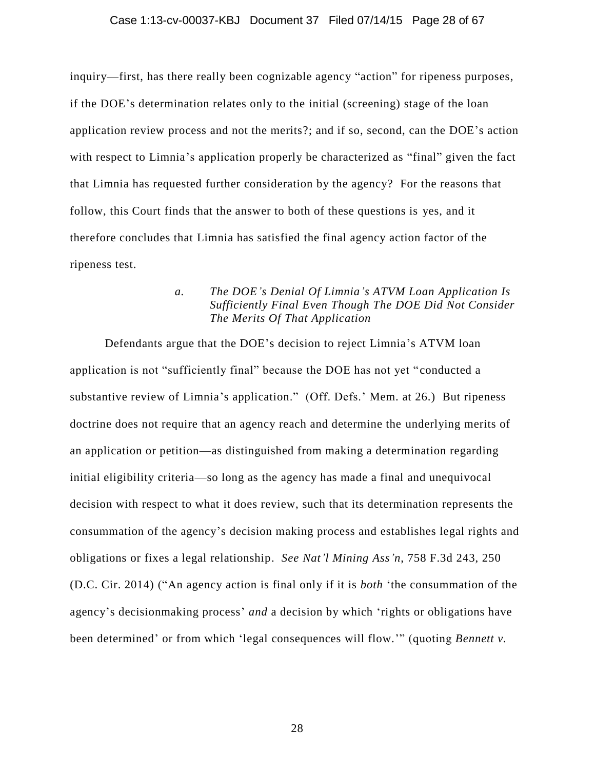#### Case 1:13-cv-00037-KBJ Document 37 Filed 07/14/15 Page 28 of 67

inquiry—first, has there really been cognizable agency "action" for ripeness purposes, if the DOE's determination relates only to the initial (screening) stage of the loan application review process and not the merits?; and if so, second, can the DOE's action with respect to Limnia's application properly be characterized as "final" given the fact that Limnia has requested further consideration by the agency? For the reasons that follow, this Court finds that the answer to both of these questions is yes, and it therefore concludes that Limnia has satisfied the final agency action factor of the ripeness test.

## *a. The DOE's Denial Of Limnia's ATVM Loan Application Is Sufficiently Final Even Though The DOE Did Not Consider The Merits Of That Application*

Defendants argue that the DOE's decision to reject Limnia's ATVM loan application is not "sufficiently final" because the DOE has not yet "conducted a substantive review of Limnia's application." (Off. Defs.' Mem. at 26.) But ripeness doctrine does not require that an agency reach and determine the underlying merits of an application or petition—as distinguished from making a determination regarding initial eligibility criteria—so long as the agency has made a final and unequivocal decision with respect to what it does review, such that its determination represents the consummation of the agency's decision making process and establishes legal rights and obligations or fixes a legal relationship. *See Nat'l Mining Ass'n*, 758 F.3d 243, 250 (D.C. Cir. 2014) ("An agency action is final only if it is *both* 'the consummation of the agency's decisionmaking process' *and* a decision by which 'rights or obligations have been determined' or from which 'legal consequences will flow.'" (quoting *Bennett v.*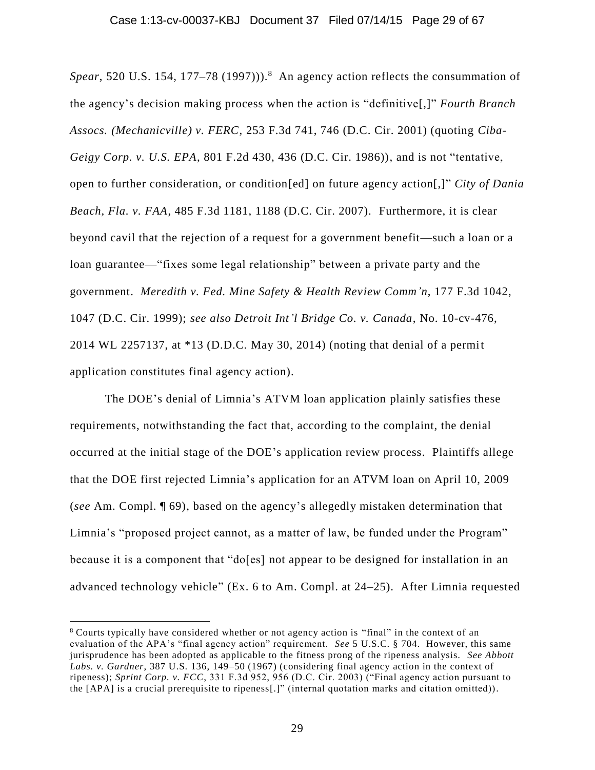*Spear*, 520 U.S. 154, 177–78 (1997))). <sup>8</sup> An agency action reflects the consummation of the agency's decision making process when the action is "definitive[,]" *Fourth Branch Assocs. (Mechanicville) v. FERC*, 253 F.3d 741, 746 (D.C. Cir. 2001) (quoting *Ciba-Geigy Corp. v. U.S. EPA*, 801 F.2d 430, 436 (D.C. Cir. 1986)), and is not "tentative, open to further consideration, or condition[ed] on future agency action[,]" *City of Dania Beach, Fla. v. FAA*, 485 F.3d 1181, 1188 (D.C. Cir. 2007). Furthermore, it is clear beyond cavil that the rejection of a request for a government benefit—such a loan or a loan guarantee—"fixes some legal relationship" between a private party and the government. *Meredith v. Fed. Mine Safety & Health Review Comm'n*, 177 F.3d 1042, 1047 (D.C. Cir. 1999); *see also Detroit Int'l Bridge Co. v. Canada*, No. 10-cv-476, 2014 WL 2257137, at \*13 (D.D.C. May 30, 2014) (noting that denial of a permit application constitutes final agency action).

The DOE's denial of Limnia's ATVM loan application plainly satisfies these requirements, notwithstanding the fact that, according to the complaint, the denial occurred at the initial stage of the DOE's application review process. Plaintiffs allege that the DOE first rejected Limnia's application for an ATVM loan on April 10, 2009 (*see* Am. Compl. ¶ 69), based on the agency's allegedly mistaken determination that Limnia's "proposed project cannot, as a matter of law, be funded under the Program" because it is a component that "do[es] not appear to be designed for installation in an advanced technology vehicle" (Ex. 6 to Am. Compl. at 24–25). After Limnia requested

<sup>8</sup> Courts typically have considered whether or not agency action is "final" in the context of an evaluation of the APA's "final agency action" requirement. *See* 5 U.S.C. § 704. However, this same jurisprudence has been adopted as applicable to the fitness prong of the ripeness analysis. *See Abbott Labs. v. Gardner*, 387 U.S. 136, 149–50 (1967) (considering final agency action in the context of ripeness); *Sprint Corp. v. FCC*, 331 F.3d 952, 956 (D.C. Cir. 2003) ("Final agency action pursuant to the [APA] is a crucial prerequisite to ripeness[.]" (internal quotation marks and citation omitted)).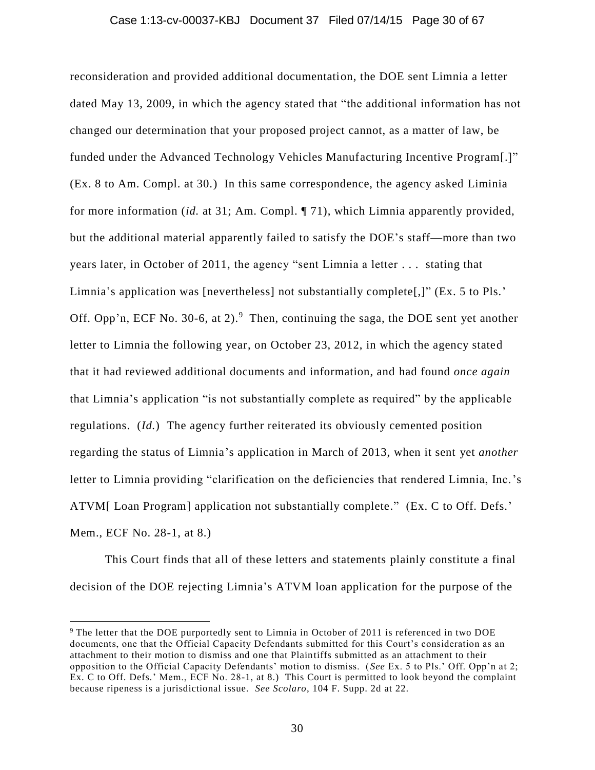#### Case 1:13-cv-00037-KBJ Document 37 Filed 07/14/15 Page 30 of 67

reconsideration and provided additional documentation, the DOE sent Limnia a letter dated May 13, 2009, in which the agency stated that "the additional information has not changed our determination that your proposed project cannot, as a matter of law, be funded under the Advanced Technology Vehicles Manufacturing Incentive Program[.]" (Ex. 8 to Am. Compl. at 30.) In this same correspondence, the agency asked Liminia for more information (*id.* at 31; Am. Compl. ¶ 71), which Limnia apparently provided, but the additional material apparently failed to satisfy the DOE's staff—more than two years later, in October of 2011, the agency "sent Limnia a letter . . . stating that Limnia's application was [nevertheless] not substantially complete[,]" (Ex. 5 to Pls.' Off. Opp'n, ECF No. 30-6, at 2). $9$  Then, continuing the saga, the DOE sent yet another letter to Limnia the following year, on October 23, 2012, in which the agency stated that it had reviewed additional documents and information, and had found *once again* that Limnia's application "is not substantially complete as required" by the applicable regulations. (*Id.*) The agency further reiterated its obviously cemented position regarding the status of Limnia's application in March of 2013, when it sent yet *another* letter to Limnia providing "clarification on the deficiencies that rendered Limnia, Inc.'s ATVM[Loan Program] application not substantially complete." (Ex. C to Off. Defs.' Mem., ECF No. 28-1, at 8.)

This Court finds that all of these letters and statements plainly constitute a final decision of the DOE rejecting Limnia's ATVM loan application for the purpose of the

<sup>9</sup> The letter that the DOE purportedly sent to Limnia in October of 2011 is referenced in two DOE documents, one that the Official Capacity Defendants submitted for this Court's consideration as an attachment to their motion to dismiss and one that Plaintiffs submitted as an attachment to their opposition to the Official Capacity Defendants' motion to dismiss. ( *See* Ex. 5 to Pls.' Off. Opp'n at 2; Ex. C to Off. Defs.' Mem., ECF No. 28-1, at 8.) This Court is permitted to look beyond the complaint because ripeness is a jurisdictional issue. *See Scolaro*, 104 F. Supp. 2d at 22.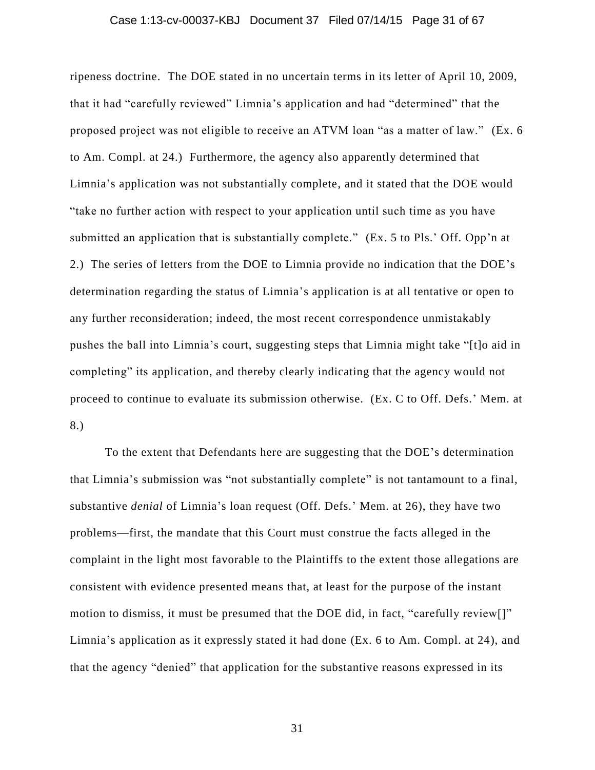#### Case 1:13-cv-00037-KBJ Document 37 Filed 07/14/15 Page 31 of 67

ripeness doctrine. The DOE stated in no uncertain terms in its letter of April 10, 2009, that it had "carefully reviewed" Limnia's application and had "determined" that the proposed project was not eligible to receive an ATVM loan "as a matter of law." (Ex. 6 to Am. Compl. at 24.) Furthermore, the agency also apparently determined that Limnia's application was not substantially complete, and it stated that the DOE would "take no further action with respect to your application until such time as you have submitted an application that is substantially complete." (Ex. 5 to Pls.' Off. Opp'n at 2.) The series of letters from the DOE to Limnia provide no indication that the DOE's determination regarding the status of Limnia's application is at all tentative or open to any further reconsideration; indeed, the most recent correspondence unmistakably pushes the ball into Limnia's court, suggesting steps that Limnia might take "[t]o aid in completing" its application, and thereby clearly indicating that the agency would not proceed to continue to evaluate its submission otherwise. (Ex. C to Off. Defs.' Mem. at 8.)

To the extent that Defendants here are suggesting that the DOE's determination that Limnia's submission was "not substantially complete" is not tantamount to a final, substantive *denial* of Limnia's loan request (Off. Defs.' Mem. at 26), they have two problems—first, the mandate that this Court must construe the facts alleged in the complaint in the light most favorable to the Plaintiffs to the extent those allegations are consistent with evidence presented means that, at least for the purpose of the instant motion to dismiss, it must be presumed that the DOE did, in fact, "carefully review[]" Limnia's application as it expressly stated it had done (Ex. 6 to Am. Compl. at 24), and that the agency "denied" that application for the substantive reasons expressed in its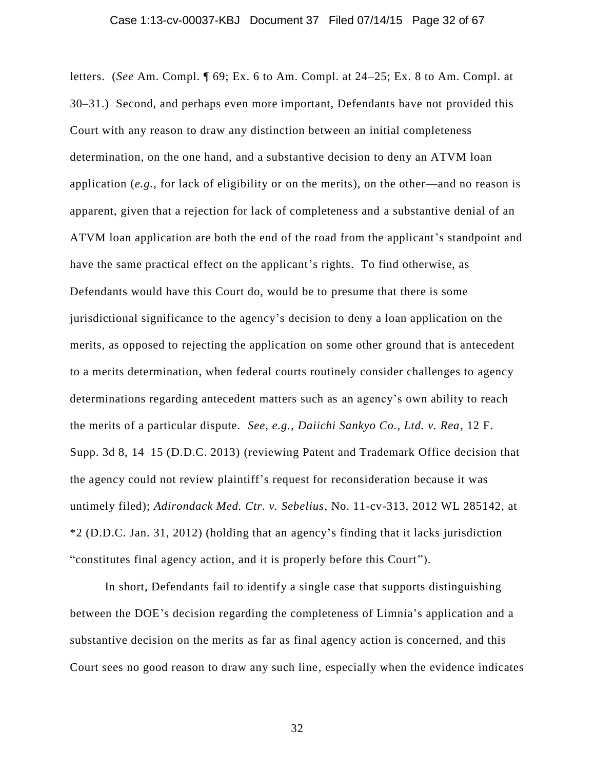#### Case 1:13-cv-00037-KBJ Document 37 Filed 07/14/15 Page 32 of 67

letters. (*See* Am. Compl. ¶ 69; Ex. 6 to Am. Compl. at 24–25; Ex. 8 to Am. Compl. at 30–31.) Second, and perhaps even more important, Defendants have not provided this Court with any reason to draw any distinction between an initial completeness determination, on the one hand, and a substantive decision to deny an ATVM loan application (*e.g.*, for lack of eligibility or on the merits), on the other—and no reason is apparent, given that a rejection for lack of completeness and a substantive denial of an ATVM loan application are both the end of the road from the applicant's standpoint and have the same practical effect on the applicant's rights. To find otherwise, as Defendants would have this Court do, would be to presume that there is some jurisdictional significance to the agency's decision to deny a loan application on the merits, as opposed to rejecting the application on some other ground that is antecedent to a merits determination, when federal courts routinely consider challenges to agency determinations regarding antecedent matters such as an agency's own ability to reach the merits of a particular dispute. *See, e.g.*, *Daiichi Sankyo Co., Ltd. v. Rea*, 12 F. Supp. 3d 8, 14–15 (D.D.C. 2013) (reviewing Patent and Trademark Office decision that the agency could not review plaintiff's request for reconsideration because it was untimely filed); *Adirondack Med. Ctr. v. Sebelius*, No. 11-cv-313, 2012 WL 285142, at \*2 (D.D.C. Jan. 31, 2012) (holding that an agency's finding that it lacks jurisdiction "constitutes final agency action, and it is properly before this Court ").

In short, Defendants fail to identify a single case that supports distinguishing between the DOE's decision regarding the completeness of Limnia's application and a substantive decision on the merits as far as final agency action is concerned, and this Court sees no good reason to draw any such line, especially when the evidence indicates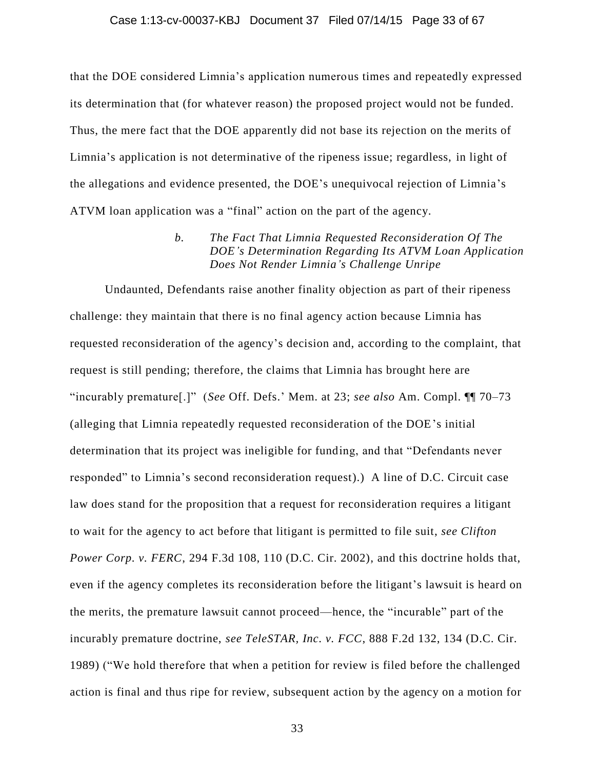#### Case 1:13-cv-00037-KBJ Document 37 Filed 07/14/15 Page 33 of 67

that the DOE considered Limnia's application numerous times and repeatedly expressed its determination that (for whatever reason) the proposed project would not be funded. Thus, the mere fact that the DOE apparently did not base its rejection on the merits of Limnia's application is not determinative of the ripeness issue; regardless, in light of the allegations and evidence presented, the DOE's unequivocal rejection of Limnia's ATVM loan application was a "final" action on the part of the agency.

> *b. The Fact That Limnia Requested Reconsideration Of The DOE's Determination Regarding Its ATVM Loan Application Does Not Render Limnia's Challenge Unripe*

Undaunted, Defendants raise another finality objection as part of their ripeness challenge: they maintain that there is no final agency action because Limnia has requested reconsideration of the agency's decision and, according to the complaint, that request is still pending; therefore, the claims that Limnia has brought here are "incurably premature[.]" (*See* Off. Defs.' Mem. at 23; *see also* Am. Compl. ¶¶ 70–73 (alleging that Limnia repeatedly requested reconsideration of the DOE's initial determination that its project was ineligible for funding, and that "Defendants never responded" to Limnia's second reconsideration request).) A line of D.C. Circuit case law does stand for the proposition that a request for reconsideration requires a litigant to wait for the agency to act before that litigant is permitted to file suit, *see Clifton Power Corp. v. FERC*, 294 F.3d 108, 110 (D.C. Cir. 2002), and this doctrine holds that, even if the agency completes its reconsideration before the litigant's lawsuit is heard on the merits, the premature lawsuit cannot proceed—hence, the "incurable" part of the incurably premature doctrine, *see TeleSTAR, Inc. v. FCC*, 888 F.2d 132, 134 (D.C. Cir. 1989) ("We hold therefore that when a petition for review is filed before the challenged action is final and thus ripe for review, subsequent action by the agency on a motion for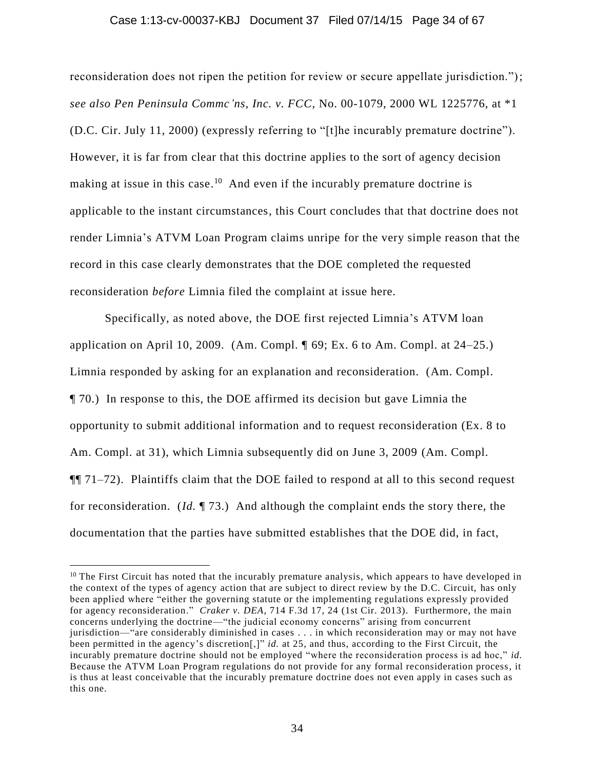#### Case 1:13-cv-00037-KBJ Document 37 Filed 07/14/15 Page 34 of 67

reconsideration does not ripen the petition for review or secure appellate jurisdiction."); *see also Pen Peninsula Commc'ns, Inc. v. FCC*, No. 00-1079, 2000 WL 1225776, at \*1 (D.C. Cir. July 11, 2000) (expressly referring to "[t]he incurably premature doctrine"). However, it is far from clear that this doctrine applies to the sort of agency decision making at issue in this case.<sup>10</sup> And even if the incurably premature doctrine is applicable to the instant circumstances, this Court concludes that that doctrine does not render Limnia's ATVM Loan Program claims unripe for the very simple reason that the record in this case clearly demonstrates that the DOE completed the requested reconsideration *before* Limnia filed the complaint at issue here.

Specifically, as noted above, the DOE first rejected Limnia's ATVM loan application on April 10, 2009. (Am. Compl.  $\parallel$  69; Ex. 6 to Am. Compl. at 24–25.) Limnia responded by asking for an explanation and reconsideration. (Am. Compl. ¶ 70.) In response to this, the DOE affirmed its decision but gave Limnia the opportunity to submit additional information and to request reconsideration (Ex. 8 to Am. Compl. at 31), which Limnia subsequently did on June 3, 2009 (Am. Compl. ¶¶ 71–72). Plaintiffs claim that the DOE failed to respond at all to this second request for reconsideration. (*Id.* ¶ 73.) And although the complaint ends the story there, the documentation that the parties have submitted establishes that the DOE did, in fact,

 $10$  The First Circuit has noted that the incurably premature analysis, which appears to have developed in the context of the types of agency action that are subject to direct review by the D.C. Circuit, has only been applied where "either the governing statute or the implementing regulations expressly provided for agency reconsideration." *Craker v. DEA*, 714 F.3d 17, 24 (1st Cir. 2013). Furthermore, the main concerns underlying the doctrine—"the judicial economy concerns" arising from concurrent jurisdiction—"are considerably diminished in cases . . . in which reconsideration may or may not have been permitted in the agency's discretion[,]" *id.* at 25, and thus, according to the First Circuit, the incurably premature doctrine should not be employed "where the reconsideration process is ad hoc," *id.* Because the ATVM Loan Program regulations do not provide for any formal reconsideration process, it is thus at least conceivable that the incurably premature doctrine does not even apply in cases such as this one.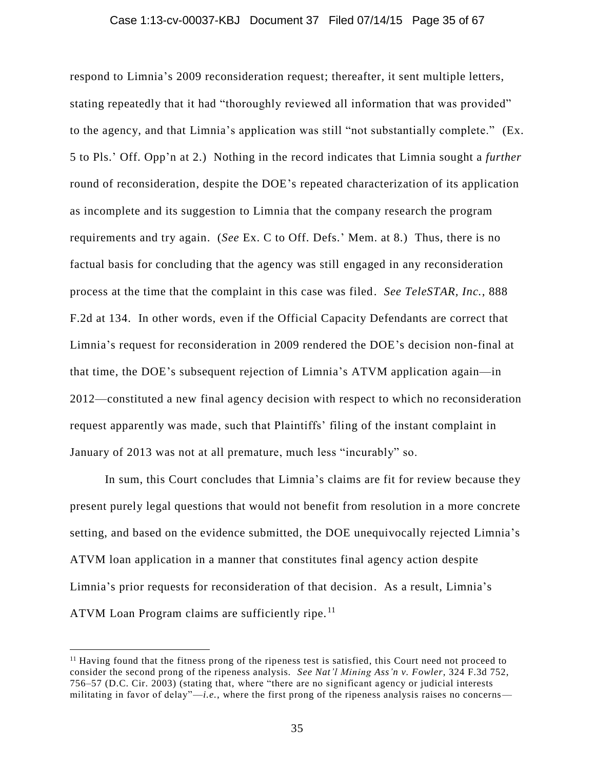#### Case 1:13-cv-00037-KBJ Document 37 Filed 07/14/15 Page 35 of 67

respond to Limnia's 2009 reconsideration request; thereafter, it sent multiple letters, stating repeatedly that it had "thoroughly reviewed all information that was provided" to the agency, and that Limnia's application was still "not substantially complete." (Ex. 5 to Pls.' Off. Opp'n at 2.) Nothing in the record indicates that Limnia sought a *further* round of reconsideration, despite the DOE's repeated characterization of its application as incomplete and its suggestion to Limnia that the company research the program requirements and try again. (*See* Ex. C to Off. Defs.' Mem. at 8.) Thus, there is no factual basis for concluding that the agency was still engaged in any reconsideration process at the time that the complaint in this case was filed. *See TeleSTAR, Inc.*, 888 F.2d at 134. In other words, even if the Official Capacity Defendants are correct that Limnia's request for reconsideration in 2009 rendered the DOE's decision non-final at that time, the DOE's subsequent rejection of Limnia's ATVM application again—in 2012—constituted a new final agency decision with respect to which no reconsideration request apparently was made, such that Plaintiffs' filing of the instant complaint in January of 2013 was not at all premature, much less "incurably" so.

In sum, this Court concludes that Limnia's claims are fit for review because they present purely legal questions that would not benefit from resolution in a more concrete setting, and based on the evidence submitted, the DOE unequivocally rejected Limnia's ATVM loan application in a manner that constitutes final agency action despite Limnia's prior requests for reconsideration of that decision. As a result, Limnia's ATVM Loan Program claims are sufficiently ripe.<sup>11</sup>

 $<sup>11</sup>$  Having found that the fitness prong of the ripeness test is satisfied, this Court need not proceed to</sup> consider the second prong of the ripeness analysis. *See Nat'l Mining Ass'n v. Fowler*, 324 F.3d 752, 756–57 (D.C. Cir. 2003) (stating that, where "there are no significant agency or judicial interests militating in favor of delay" $-i.e.,$  where the first prong of the ripeness analysis raises no concerns—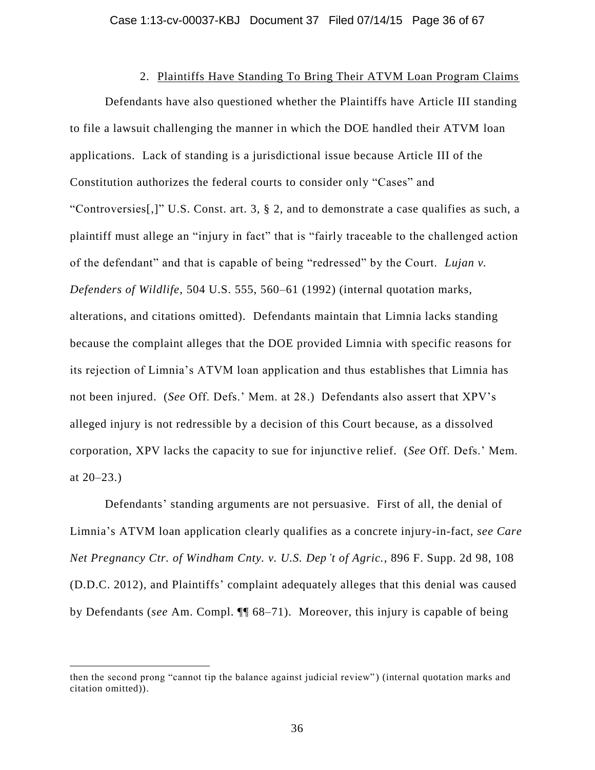# 2. Plaintiffs Have Standing To Bring Their ATVM Loan Program Claims

Defendants have also questioned whether the Plaintiffs have Article III standing to file a lawsuit challenging the manner in which the DOE handled their ATVM loan applications. Lack of standing is a jurisdictional issue because Article III of the Constitution authorizes the federal courts to consider only "Cases" and "Controversies[,]" U.S. Const. art. 3, § 2, and to demonstrate a case qualifies as such, a plaintiff must allege an "injury in fact" that is "fairly traceable to the challenged action of the defendant" and that is capable of being "redressed" by the Court. *Lujan v. Defenders of Wildlife*, 504 U.S. 555, 560–61 (1992) (internal quotation marks, alterations, and citations omitted). Defendants maintain that Limnia lacks standing because the complaint alleges that the DOE provided Limnia with specific reasons for its rejection of Limnia's ATVM loan application and thus establishes that Limnia has not been injured. (*See* Off. Defs.' Mem. at 28.) Defendants also assert that XPV's alleged injury is not redressible by a decision of this Court because, as a dissolved corporation, XPV lacks the capacity to sue for injunctive relief. (*See* Off. Defs.' Mem. at  $20 - 23.$ )

Defendants' standing arguments are not persuasive. First of all, the denial of Limnia's ATVM loan application clearly qualifies as a concrete injury-in-fact, *see Care Net Pregnancy Ctr. of Windham Cnty. v. U.S. Dep't of Agric.*, 896 F. Supp. 2d 98, 108 (D.D.C. 2012), and Plaintiffs' complaint adequately alleges that this denial was caused by Defendants (*see* Am. Compl. ¶¶ 68–71). Moreover, this injury is capable of being

then the second prong "cannot tip the balance against judicial review" ) (internal quotation marks and citation omitted)).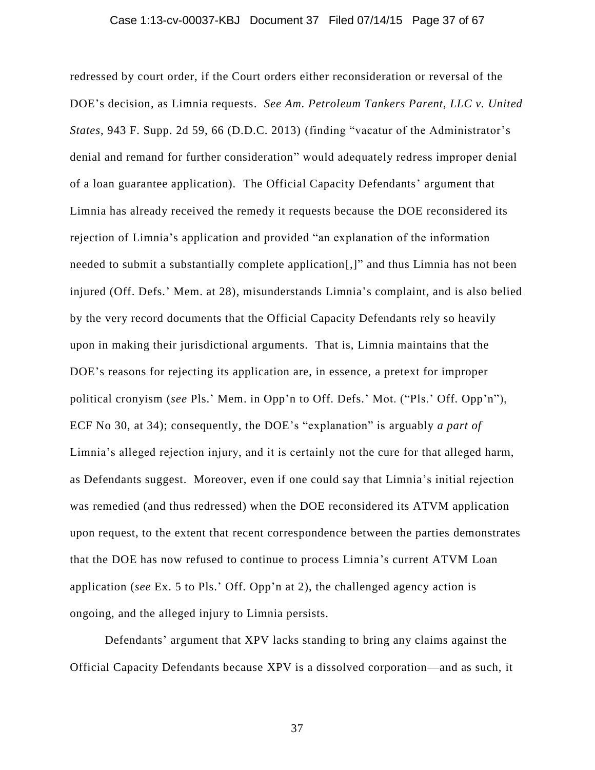#### Case 1:13-cv-00037-KBJ Document 37 Filed 07/14/15 Page 37 of 67

redressed by court order, if the Court orders either reconsideration or reversal of the DOE's decision, as Limnia requests. *See Am. Petroleum Tankers Parent, LLC v. United States*, 943 F. Supp. 2d 59, 66 (D.D.C. 2013) (finding "vacatur of the Administrator's denial and remand for further consideration" would adequately redress improper denial of a loan guarantee application). The Official Capacity Defendants' argument that Limnia has already received the remedy it requests because the DOE reconsidered its rejection of Limnia's application and provided "an explanation of the information needed to submit a substantially complete application[,]" and thus Limnia has not been injured (Off. Defs.' Mem. at 28), misunderstands Limnia's complaint, and is also belied by the very record documents that the Official Capacity Defendants rely so heavily upon in making their jurisdictional arguments. That is, Limnia maintains that the DOE's reasons for rejecting its application are, in essence, a pretext for improper political cronyism (*see* Pls.' Mem. in Opp'n to Off. Defs.' Mot. ("Pls.' Off. Opp'n"), ECF No 30, at 34); consequently, the DOE's "explanation" is arguably *a part of* Limnia's alleged rejection injury, and it is certainly not the cure for that alleged harm, as Defendants suggest. Moreover, even if one could say that Limnia's initial rejection was remedied (and thus redressed) when the DOE reconsidered its ATVM application upon request, to the extent that recent correspondence between the parties demonstrates that the DOE has now refused to continue to process Limnia's current ATVM Loan application (*see* Ex. 5 to Pls.' Off. Opp'n at 2), the challenged agency action is ongoing, and the alleged injury to Limnia persists.

Defendants' argument that XPV lacks standing to bring any claims against the Official Capacity Defendants because XPV is a dissolved corporation—and as such, it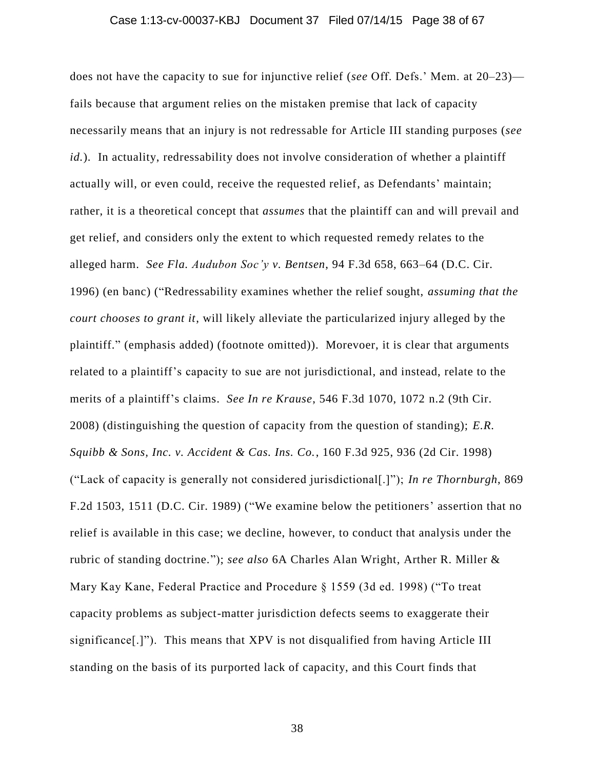#### Case 1:13-cv-00037-KBJ Document 37 Filed 07/14/15 Page 38 of 67

does not have the capacity to sue for injunctive relief (*see* Off. Defs.' Mem. at 20–23) fails because that argument relies on the mistaken premise that lack of capacity necessarily means that an injury is not redressable for Article III standing purposes (*see id.*). In actuality, redressability does not involve consideration of whether a plaintiff actually will, or even could, receive the requested relief, as Defendants' maintain; rather, it is a theoretical concept that *assumes* that the plaintiff can and will prevail and get relief, and considers only the extent to which requested remedy relates to the alleged harm. *See Fla. Audubon Soc'y v. Bentsen*, 94 F.3d 658, 663–64 (D.C. Cir. 1996) (en banc) ("Redressability examines whether the relief sought, *assuming that the court chooses to grant it*, will likely alleviate the particularized injury alleged by the plaintiff." (emphasis added) (footnote omitted)). Morevoer, it is clear that arguments related to a plaintiff's capacity to sue are not jurisdictional, and instead, relate to the merits of a plaintiff's claims. *See In re Krause*, 546 F.3d 1070, 1072 n.2 (9th Cir. 2008) (distinguishing the question of capacity from the question of standing); *E.R. Squibb & Sons, Inc. v. Accident & Cas. Ins. Co.*, 160 F.3d 925, 936 (2d Cir. 1998) ("Lack of capacity is generally not considered jurisdictional[.]"); *In re Thornburgh*, 869 F.2d 1503, 1511 (D.C. Cir. 1989) ("We examine below the petitioners' assertion that no relief is available in this case; we decline, however, to conduct that analysis under the rubric of standing doctrine."); *see also* 6A Charles Alan Wright, Arther R. Miller & Mary Kay Kane, Federal Practice and Procedure § 1559 (3d ed. 1998) ("To treat capacity problems as subject-matter jurisdiction defects seems to exaggerate their significance[.]"). This means that XPV is not disqualified from having Article III standing on the basis of its purported lack of capacity, and this Court finds that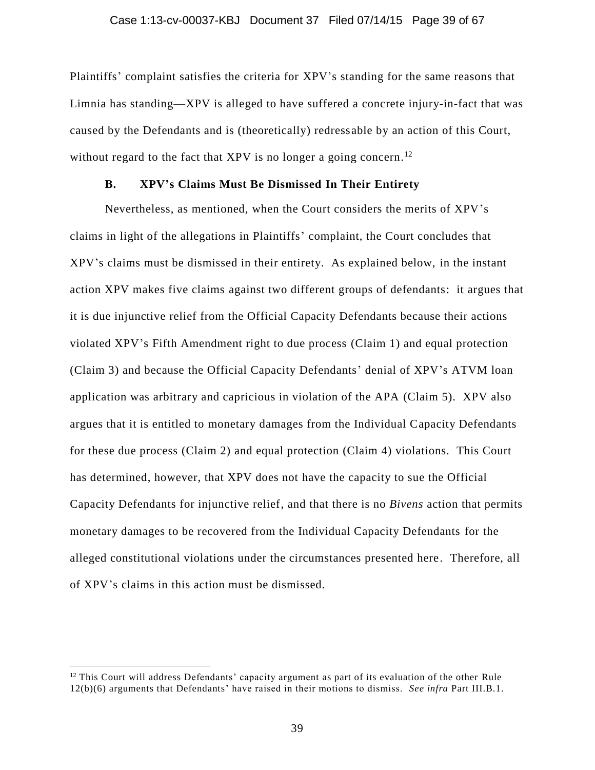Plaintiffs' complaint satisfies the criteria for XPV's standing for the same reasons that Limnia has standing—XPV is alleged to have suffered a concrete injury-in-fact that was caused by the Defendants and is (theoretically) redressable by an action of this Court, without regard to the fact that XPV is no longer a going concern.<sup>12</sup>

### **B. XPV's Claims Must Be Dismissed In Their Entirety**

Nevertheless, as mentioned, when the Court considers the merits of XPV's claims in light of the allegations in Plaintiffs' complaint, the Court concludes that XPV's claims must be dismissed in their entirety. As explained below, in the instant action XPV makes five claims against two different groups of defendants: it argues that it is due injunctive relief from the Official Capacity Defendants because their actions violated XPV's Fifth Amendment right to due process (Claim 1) and equal protection (Claim 3) and because the Official Capacity Defendants' denial of XPV's ATVM loan application was arbitrary and capricious in violation of the APA (Claim 5). XPV also argues that it is entitled to monetary damages from the Individual Capacity Defendants for these due process (Claim 2) and equal protection (Claim 4) violations. This Court has determined, however, that XPV does not have the capacity to sue the Official Capacity Defendants for injunctive relief, and that there is no *Bivens* action that permits monetary damages to be recovered from the Individual Capacity Defendants for the alleged constitutional violations under the circumstances presented here. Therefore, all of XPV's claims in this action must be dismissed.

 $12$  This Court will address Defendants' capacity argument as part of its evaluation of the other Rule 12(b)(6) arguments that Defendants' have raised in their motions to dismiss. *See infra* Part III.B.1.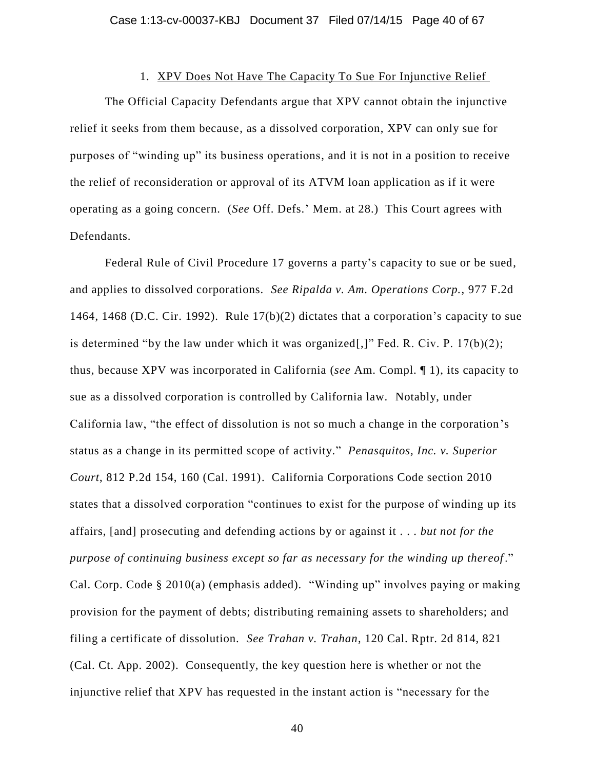## 1. XPV Does Not Have The Capacity To Sue For Injunctive Relief

The Official Capacity Defendants argue that XPV cannot obtain the injunctive relief it seeks from them because, as a dissolved corporation, XPV can only sue for purposes of "winding up" its business operations, and it is not in a position to receive the relief of reconsideration or approval of its ATVM loan application as if it were operating as a going concern. (*See* Off. Defs.' Mem. at 28.) This Court agrees with Defendants.

Federal Rule of Civil Procedure 17 governs a party's capacity to sue or be sued, and applies to dissolved corporations. *See Ripalda v. Am. Operations Corp.*, 977 F.2d 1464, 1468 (D.C. Cir. 1992). Rule  $17(b)(2)$  dictates that a corporation's capacity to sue is determined "by the law under which it was organized[,]" Fed. R. Civ. P.  $17(b)(2)$ ; thus, because XPV was incorporated in California (*see* Am. Compl. ¶ 1), its capacity to sue as a dissolved corporation is controlled by California law. Notably, under California law, "the effect of dissolution is not so much a change in the corporation's status as a change in its permitted scope of activity." *Penasquitos, Inc. v. Superior Court*, 812 P.2d 154, 160 (Cal. 1991). California Corporations Code section 2010 states that a dissolved corporation "continues to exist for the purpose of winding up its affairs, [and] prosecuting and defending actions by or against it . . . *but not for the purpose of continuing business except so far as necessary for the winding up thereof*." Cal. Corp. Code § 2010(a) (emphasis added). "Winding up" involves paying or making provision for the payment of debts; distributing remaining assets to shareholders; and filing a certificate of dissolution. *See Trahan v. Trahan*, 120 Cal. Rptr. 2d 814, 821 (Cal. Ct. App. 2002). Consequently, the key question here is whether or not the injunctive relief that XPV has requested in the instant action is "necessary for the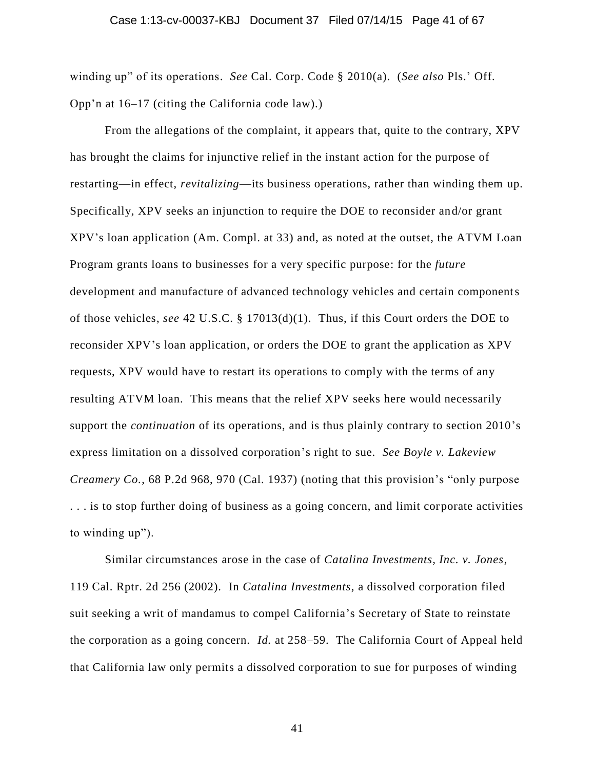#### Case 1:13-cv-00037-KBJ Document 37 Filed 07/14/15 Page 41 of 67

winding up" of its operations. *See* Cal. Corp. Code § 2010(a). (*See also* Pls.' Off. Opp'n at 16–17 (citing the California code law).)

From the allegations of the complaint, it appears that, quite to the contrary, XPV has brought the claims for injunctive relief in the instant action for the purpose of restarting—in effect, *revitalizing*—its business operations, rather than winding them up. Specifically, XPV seeks an injunction to require the DOE to reconsider and/or grant XPV's loan application (Am. Compl. at 33) and, as noted at the outset, the ATVM Loan Program grants loans to businesses for a very specific purpose: for the *future* development and manufacture of advanced technology vehicles and certain components of those vehicles, *see* 42 U.S.C. § 17013(d)(1). Thus, if this Court orders the DOE to reconsider XPV's loan application, or orders the DOE to grant the application as XPV requests, XPV would have to restart its operations to comply with the terms of any resulting ATVM loan. This means that the relief XPV seeks here would necessarily support the *continuation* of its operations, and is thus plainly contrary to section 2010's express limitation on a dissolved corporation's right to sue. *See Boyle v. Lakeview Creamery Co.*, 68 P.2d 968, 970 (Cal. 1937) (noting that this provision's "only purpose . . . is to stop further doing of business as a going concern, and limit corporate activities to winding up").

Similar circumstances arose in the case of *Catalina Investments, Inc. v. Jones*, 119 Cal. Rptr. 2d 256 (2002). In *Catalina Investments*, a dissolved corporation filed suit seeking a writ of mandamus to compel California's Secretary of State to reinstate the corporation as a going concern. *Id.* at 258–59. The California Court of Appeal held that California law only permits a dissolved corporation to sue for purposes of winding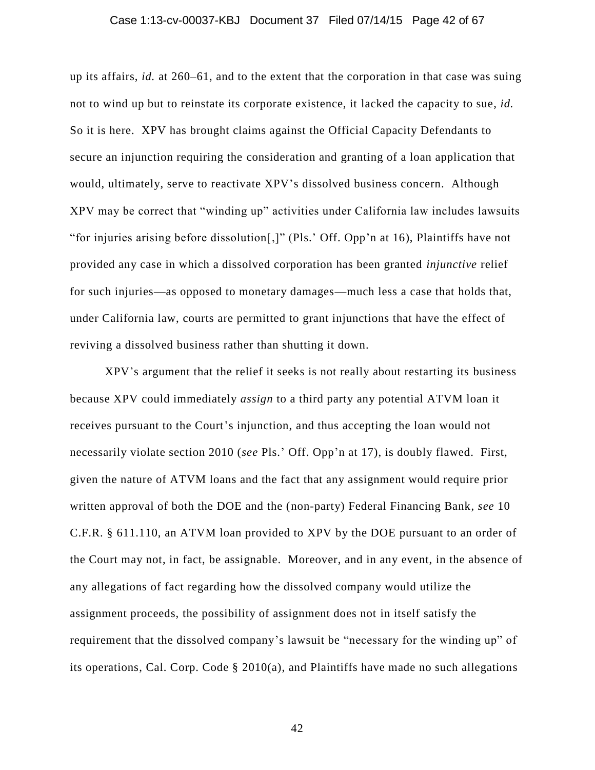#### Case 1:13-cv-00037-KBJ Document 37 Filed 07/14/15 Page 42 of 67

up its affairs, *id.* at 260–61, and to the extent that the corporation in that case was suing not to wind up but to reinstate its corporate existence, it lacked the capacity to sue, *id.* So it is here. XPV has brought claims against the Official Capacity Defendants to secure an injunction requiring the consideration and granting of a loan application that would, ultimately, serve to reactivate XPV's dissolved business concern. Although XPV may be correct that "winding up" activities under California law includes lawsuits "for injuries arising before dissolution[,]" (Pls.' Off. Opp'n at 16), Plaintiffs have not provided any case in which a dissolved corporation has been granted *injunctive* relief for such injuries—as opposed to monetary damages—much less a case that holds that, under California law, courts are permitted to grant injunctions that have the effect of reviving a dissolved business rather than shutting it down.

XPV's argument that the relief it seeks is not really about restarting its business because XPV could immediately *assign* to a third party any potential ATVM loan it receives pursuant to the Court's injunction, and thus accepting the loan would not necessarily violate section 2010 (*see* Pls.' Off. Opp'n at 17), is doubly flawed. First, given the nature of ATVM loans and the fact that any assignment would require prior written approval of both the DOE and the (non-party) Federal Financing Bank, *see* 10 C.F.R. § 611.110, an ATVM loan provided to XPV by the DOE pursuant to an order of the Court may not, in fact, be assignable. Moreover, and in any event, in the absence of any allegations of fact regarding how the dissolved company would utilize the assignment proceeds, the possibility of assignment does not in itself satisfy the requirement that the dissolved company's lawsuit be "necessary for the winding up" of its operations, Cal. Corp. Code § 2010(a), and Plaintiffs have made no such allegations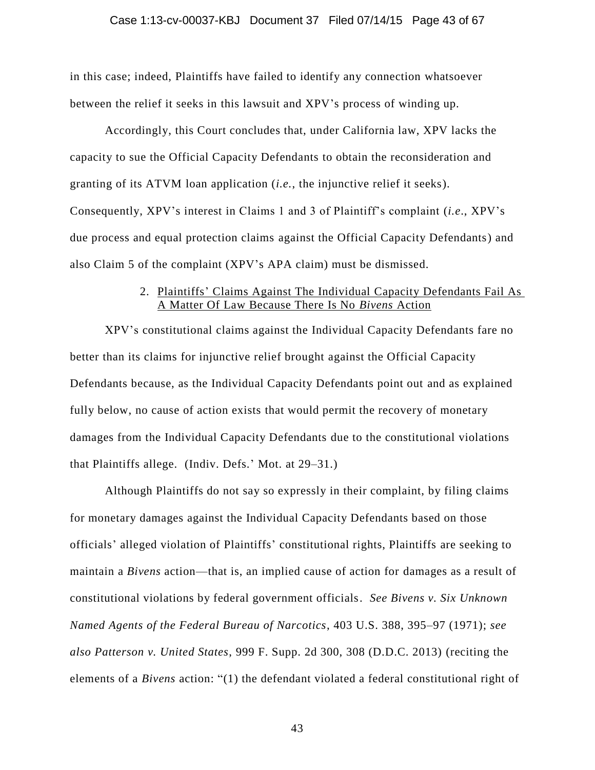#### Case 1:13-cv-00037-KBJ Document 37 Filed 07/14/15 Page 43 of 67

in this case; indeed, Plaintiffs have failed to identify any connection whatsoever between the relief it seeks in this lawsuit and XPV's process of winding up.

Accordingly, this Court concludes that, under California law, XPV lacks the capacity to sue the Official Capacity Defendants to obtain the reconsideration and granting of its ATVM loan application (*i.e.*, the injunctive relief it seeks). Consequently, XPV's interest in Claims 1 and 3 of Plaintiff's complaint (*i.e*., XPV's due process and equal protection claims against the Official Capacity Defendants) and also Claim 5 of the complaint (XPV's APA claim) must be dismissed.

## 2. Plaintiffs' Claims Against The Individual Capacity Defendants Fail As A Matter Of Law Because There Is No *Bivens* Action

XPV's constitutional claims against the Individual Capacity Defendants fare no better than its claims for injunctive relief brought against the Official Capacity Defendants because, as the Individual Capacity Defendants point out and as explained fully below, no cause of action exists that would permit the recovery of monetary damages from the Individual Capacity Defendants due to the constitutional violations that Plaintiffs allege. (Indiv. Defs.' Mot. at 29–31.)

Although Plaintiffs do not say so expressly in their complaint, by filing claims for monetary damages against the Individual Capacity Defendants based on those officials' alleged violation of Plaintiffs' constitutional rights, Plaintiffs are seeking to maintain a *Bivens* action—that is, an implied cause of action for damages as a result of constitutional violations by federal government officials. *See Bivens v. Six Unknown Named Agents of the Federal Bureau of Narcotics*, 403 U.S. 388, 395–97 (1971); *see also Patterson v. United States*, 999 F. Supp. 2d 300, 308 (D.D.C. 2013) (reciting the elements of a *Bivens* action: "(1) the defendant violated a federal constitutional right of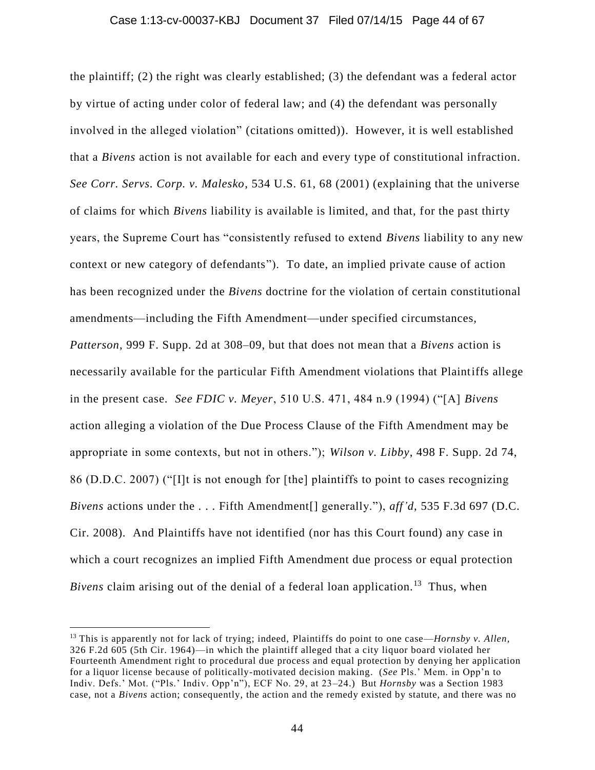#### Case 1:13-cv-00037-KBJ Document 37 Filed 07/14/15 Page 44 of 67

the plaintiff; (2) the right was clearly established; (3) the defendant was a federal actor by virtue of acting under color of federal law; and (4) the defendant was personally involved in the alleged violation" (citations omitted)). However, it is well established that a *Bivens* action is not available for each and every type of constitutional infraction. *See Corr. Servs. Corp. v. Malesko*, 534 U.S. 61, 68 (2001) (explaining that the universe of claims for which *Bivens* liability is available is limited, and that, for the past thirty years, the Supreme Court has "consistently refused to extend *Bivens* liability to any new context or new category of defendants"). To date, an implied private cause of action has been recognized under the *Bivens* doctrine for the violation of certain constitutional amendments—including the Fifth Amendment—under specified circumstances, *Patterson*, 999 F. Supp. 2d at 308–09, but that does not mean that a *Bivens* action is necessarily available for the particular Fifth Amendment violations that Plaintiffs allege in the present case. *See FDIC v. Meyer*, 510 U.S. 471, 484 n.9 (1994) ("[A] *Bivens*  action alleging a violation of the Due Process Clause of the Fifth Amendment may be appropriate in some contexts, but not in others."); *Wilson v. Libby*, 498 F. Supp. 2d 74, 86 (D.D.C. 2007) ("[I]t is not enough for [the] plaintiffs to point to cases recognizing *Bivens* actions under the . . . Fifth Amendment[] generally."), *aff'd*, 535 F.3d 697 (D.C. Cir. 2008). And Plaintiffs have not identified (nor has this Court found) any case in which a court recognizes an implied Fifth Amendment due process or equal protection Bivens claim arising out of the denial of a federal loan application.<sup>13</sup> Thus, when

<sup>13</sup> This is apparently not for lack of trying; indeed, Plaintiffs do point to one case—*Hornsby v. Allen*, 326 F.2d 605 (5th Cir. 1964)—in which the plaintiff alleged that a city liquor board violated her Fourteenth Amendment right to procedural due process and equal protection by denying her application for a liquor license because of politically-motivated decision making. (*See* Pls.' Mem. in Opp'n to Indiv. Defs.' Mot. ("Pls.' Indiv. Opp'n"), ECF No. 29, at 23–24.) But *Hornsby* was a Section 1983 case, not a *Bivens* action; consequently, the action and the remedy existed by statute, and there was no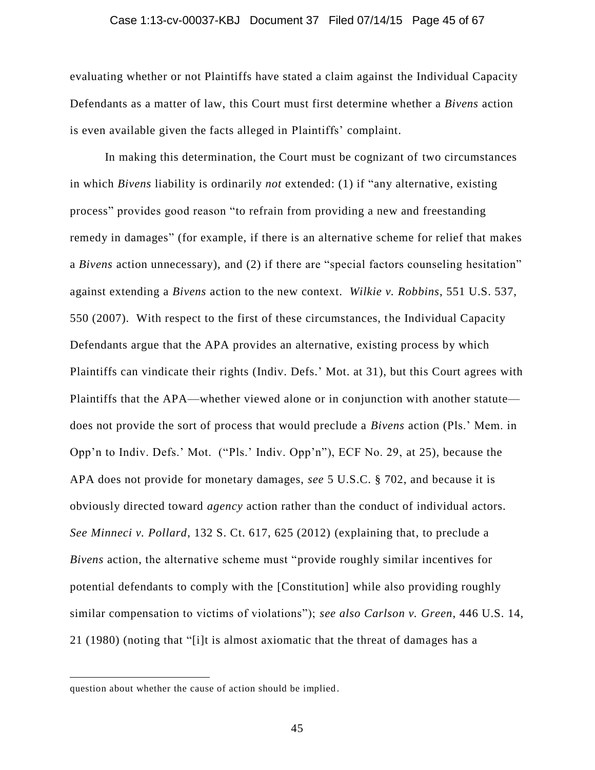#### Case 1:13-cv-00037-KBJ Document 37 Filed 07/14/15 Page 45 of 67

evaluating whether or not Plaintiffs have stated a claim against the Individual Capacity Defendants as a matter of law, this Court must first determine whether a *Bivens* action is even available given the facts alleged in Plaintiffs' complaint.

In making this determination, the Court must be cognizant of two circumstances in which *Bivens* liability is ordinarily *not* extended: (1) if "any alternative, existing process" provides good reason "to refrain from providing a new and freestanding remedy in damages" (for example, if there is an alternative scheme for relief that makes a *Bivens* action unnecessary), and (2) if there are "special factors counseling hesitation" against extending a *Bivens* action to the new context. *Wilkie v. Robbins*, 551 U.S. 537, 550 (2007). With respect to the first of these circumstances, the Individual Capacity Defendants argue that the APA provides an alternative, existing process by which Plaintiffs can vindicate their rights (Indiv. Defs.' Mot. at 31), but this Court agrees with Plaintiffs that the APA—whether viewed alone or in conjunction with another statute does not provide the sort of process that would preclude a *Bivens* action (Pls.' Mem. in Opp'n to Indiv. Defs.' Mot. ("Pls.' Indiv. Opp'n"), ECF No. 29, at 25), because the APA does not provide for monetary damages, *see* 5 U.S.C. § 702, and because it is obviously directed toward *agency* action rather than the conduct of individual actors. *See Minneci v. Pollard*, 132 S. Ct. 617, 625 (2012) (explaining that, to preclude a *Bivens* action, the alternative scheme must "provide roughly similar incentives for potential defendants to comply with the [Constitution] while also providing roughly similar compensation to victims of violations"); *see also Carlson v. Green*, 446 U.S. 14, 21 (1980) (noting that "[i]t is almost axiomatic that the threat of damages has a

question about whether the cause of action should be implied .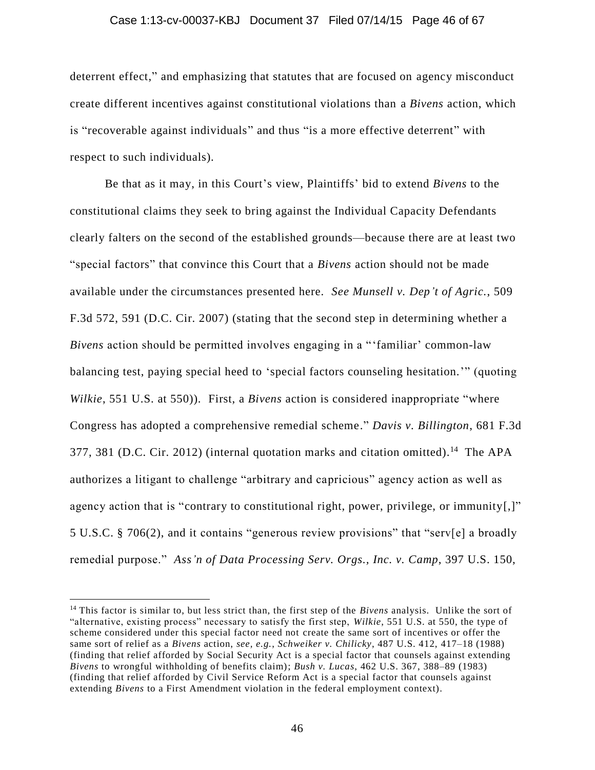#### Case 1:13-cv-00037-KBJ Document 37 Filed 07/14/15 Page 46 of 67

deterrent effect," and emphasizing that statutes that are focused on agency misconduct create different incentives against constitutional violations than a *Bivens* action, which is "recoverable against individuals" and thus "is a more effective deterrent" with respect to such individuals).

Be that as it may, in this Court's view, Plaintiffs' bid to extend *Bivens* to the constitutional claims they seek to bring against the Individual Capacity Defendants clearly falters on the second of the established grounds—because there are at least two "special factors" that convince this Court that a *Bivens* action should not be made available under the circumstances presented here. *See Munsell v. Dep't of Agric.*, 509 F.3d 572, 591 (D.C. Cir. 2007) (stating that the second step in determining whether a *Bivens* action should be permitted involves engaging in a "'familiar' common-law balancing test, paying special heed to 'special factors counseling hesitation.'" (quoting *Wilkie*, 551 U.S. at 550)). First, a *Bivens* action is considered inappropriate "where Congress has adopted a comprehensive remedial scheme." *Davis v. Billington*, 681 F.3d 377, 381 (D.C. Cir. 2012) (internal quotation marks and citation omitted).<sup>14</sup> The APA authorizes a litigant to challenge "arbitrary and capricious" agency action as well as agency action that is "contrary to constitutional right, power, privilege, or immunity[,]" 5 U.S.C. § 706(2), and it contains "generous review provisions" that "serv[e] a broadly remedial purpose." *Ass'n of Data Processing Serv. Orgs., Inc. v. Camp*, 397 U.S. 150,

<sup>&</sup>lt;sup>14</sup> This factor is similar to, but less strict than, the first step of the *Bivens* analysis. Unlike the sort of "alternative, existing process" necessary to satisfy the first step, *Wilkie*, 551 U.S. at 550, the type of scheme considered under this special factor need not create the same sort of incentives or offer the same sort of relief as a *Bivens* action, *see, e.g.*, *Schweiker v. Chilicky*, 487 U.S. 412, 417–18 (1988) (finding that relief afforded by Social Security Act is a special factor that counsels against extending *Bivens* to wrongful withholding of benefits claim); *Bush v. Lucas*, 462 U.S. 367, 388–89 (1983) (finding that relief afforded by Civil Service Reform Act is a special factor that counsels against extending *Bivens* to a First Amendment violation in the federal employment context).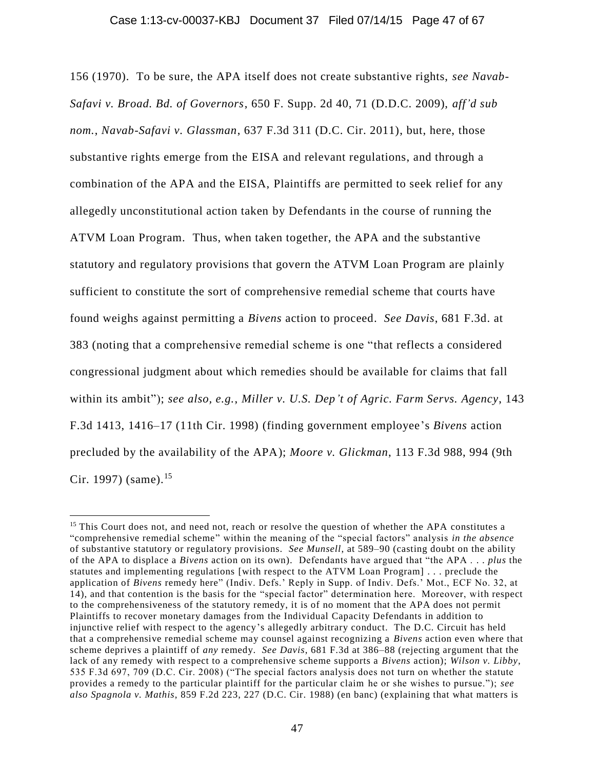156 (1970). To be sure, the APA itself does not create substantive rights, *see Navab-Safavi v. Broad. Bd. of Governors*, 650 F. Supp. 2d 40, 71 (D.D.C. 2009), *aff'd sub nom.*, *Navab-Safavi v. Glassman*, 637 F.3d 311 (D.C. Cir. 2011), but, here, those substantive rights emerge from the EISA and relevant regulations, and through a combination of the APA and the EISA, Plaintiffs are permitted to seek relief for any allegedly unconstitutional action taken by Defendants in the course of running the ATVM Loan Program. Thus, when taken together, the APA and the substantive statutory and regulatory provisions that govern the ATVM Loan Program are plainly sufficient to constitute the sort of comprehensive remedial scheme that courts have found weighs against permitting a *Bivens* action to proceed. *See Davis*, 681 F.3d. at 383 (noting that a comprehensive remedial scheme is one "that reflects a considered congressional judgment about which remedies should be available for claims that fall within its ambit"); *see also, e.g.*, *Miller v. U.S. Dep't of Agric. Farm Servs. Agency*, 143 F.3d 1413, 1416–17 (11th Cir. 1998) (finding government employee's *Bivens* action precluded by the availability of the APA); *Moore v. Glickman*, 113 F.3d 988, 994 (9th Cir. 1997) (same).<sup>15</sup>

<sup>&</sup>lt;sup>15</sup> This Court does not, and need not, reach or resolve the question of whether the APA constitutes a "comprehensive remedial scheme" within the meaning of the "special factors" analysis *in the absence* of substantive statutory or regulatory provisions. *See Munsell*, at 589–90 (casting doubt on the ability of the APA to displace a *Bivens* action on its own). Defendants have argued that "the APA . . . *plus* the statutes and implementing regulations [with respect to the ATVM Loan Program] . . . preclude the application of *Bivens* remedy here" (Indiv. Defs.' Reply in Supp. of Indiv. Defs.' Mot., ECF No. 32, at 14), and that contention is the basis for the "special factor" determination here. Moreover, with respect to the comprehensiveness of the statutory remedy, it is of no moment that the APA does not permit Plaintiffs to recover monetary damages from the Individual Capacity Defendants in addition to injunctive relief with respect to the agency's allegedly arbitrary conduct. The D.C. Circuit has held that a comprehensive remedial scheme may counsel against recognizing a *Bivens* action even where that scheme deprives a plaintiff of *any* remedy. *See Davis*, 681 F.3d at 386–88 (rejecting argument that the lack of any remedy with respect to a comprehensive scheme supports a *Bivens* action); *Wilson v. Libby*, 535 F.3d 697, 709 (D.C. Cir. 2008) ("The special factors analysis does not turn on whether the statute provides a remedy to the particular plaintiff for the particular claim he or she wishes to pursue."); *see also Spagnola v. Mathis*, 859 F.2d 223, 227 (D.C. Cir. 1988) (en banc) (explaining that what matters is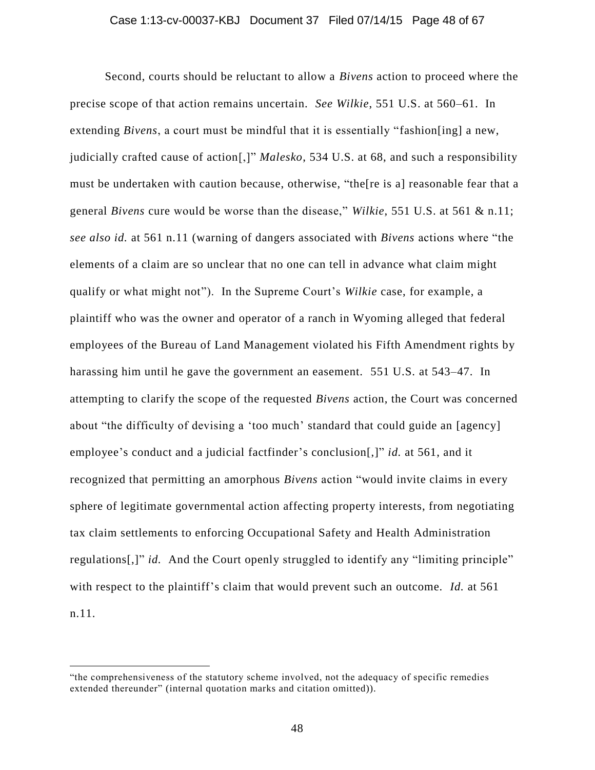#### Case 1:13-cv-00037-KBJ Document 37 Filed 07/14/15 Page 48 of 67

Second, courts should be reluctant to allow a *Bivens* action to proceed where the precise scope of that action remains uncertain. *See Wilkie*, 551 U.S. at 560–61. In extending *Bivens*, a court must be mindful that it is essentially "fashion[ing] a new, judicially crafted cause of action[,]" *Malesko*, 534 U.S. at 68, and such a responsibility must be undertaken with caution because, otherwise, "the[re is a] reasonable fear that a general *Bivens* cure would be worse than the disease," *Wilkie*, 551 U.S. at 561 & n.11; *see also id.* at 561 n.11 (warning of dangers associated with *Bivens* actions where "the elements of a claim are so unclear that no one can tell in advance what claim might qualify or what might not"). In the Supreme Court's *Wilkie* case, for example, a plaintiff who was the owner and operator of a ranch in Wyoming alleged that federal employees of the Bureau of Land Management violated his Fifth Amendment rights by harassing him until he gave the government an easement. 551 U.S. at 543–47. In attempting to clarify the scope of the requested *Bivens* action, the Court was concerned about "the difficulty of devising a 'too much' standard that could guide an [agency] employee's conduct and a judicial factfinder's conclusion[,]" *id.* at 561, and it recognized that permitting an amorphous *Bivens* action "would invite claims in every sphere of legitimate governmental action affecting property interests, from negotiating tax claim settlements to enforcing Occupational Safety and Health Administration regulations[,]" *id.* And the Court openly struggled to identify any "limiting principle" with respect to the plaintiff's claim that would prevent such an outcome. *Id.* at 561 n.11.

<sup>&</sup>quot;the comprehensiveness of the statutory scheme involved, not the adequacy of specific remedies extended thereunder" (internal quotation marks and citation omitted)).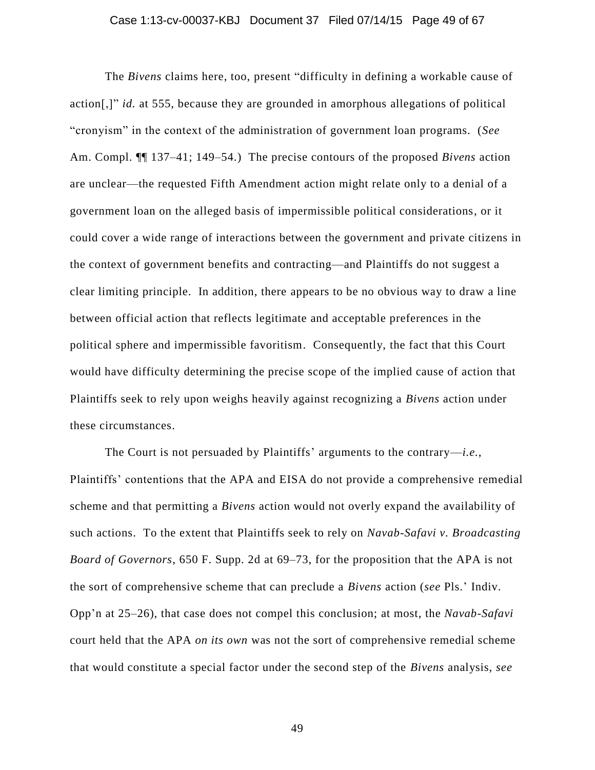#### Case 1:13-cv-00037-KBJ Document 37 Filed 07/14/15 Page 49 of 67

The *Bivens* claims here, too, present "difficulty in defining a workable cause of action[,]" *id.* at 555, because they are grounded in amorphous allegations of political "cronyism" in the context of the administration of government loan programs. (*See* Am. Compl. ¶¶ 137–41; 149–54.) The precise contours of the proposed *Bivens* action are unclear—the requested Fifth Amendment action might relate only to a denial of a government loan on the alleged basis of impermissible political considerations, or it could cover a wide range of interactions between the government and private citizens in the context of government benefits and contracting—and Plaintiffs do not suggest a clear limiting principle. In addition, there appears to be no obvious way to draw a line between official action that reflects legitimate and acceptable preferences in the political sphere and impermissible favoritism. Consequently, the fact that this Court would have difficulty determining the precise scope of the implied cause of action that Plaintiffs seek to rely upon weighs heavily against recognizing a *Bivens* action under these circumstances.

The Court is not persuaded by Plaintiffs' arguments to the contrary—*i.e.*, Plaintiffs' contentions that the APA and EISA do not provide a comprehensive remedial scheme and that permitting a *Bivens* action would not overly expand the availability of such actions. To the extent that Plaintiffs seek to rely on *Navab-Safavi v. Broadcasting Board of Governors*, 650 F. Supp. 2d at 69–73, for the proposition that the APA is not the sort of comprehensive scheme that can preclude a *Bivens* action (*see* Pls.' Indiv. Opp'n at 25–26), that case does not compel this conclusion; at most, the *Navab-Safavi*  court held that the APA *on its own* was not the sort of comprehensive remedial scheme that would constitute a special factor under the second step of the *Bivens* analysis, *see*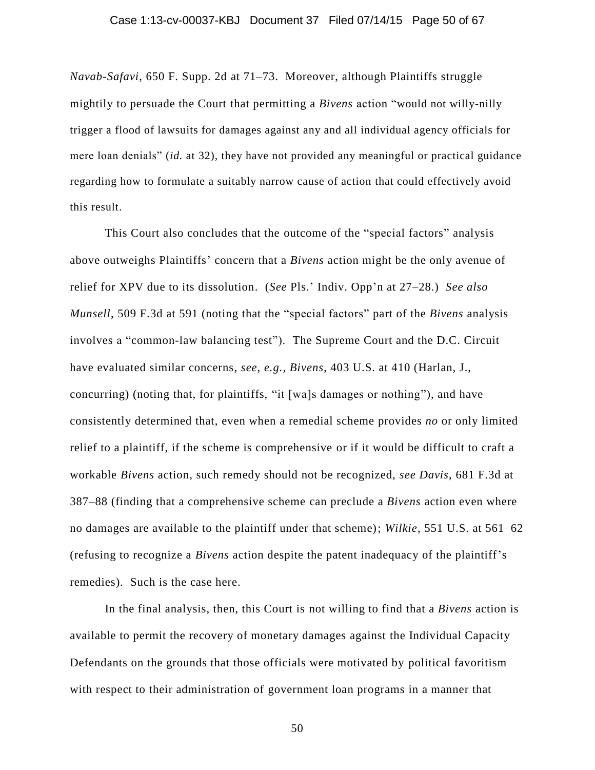#### Case 1:13-cv-00037-KBJ Document 37 Filed 07/14/15 Page 50 of 67

*Navab-Safavi*, 650 F. Supp. 2d at 71–73. Moreover, although Plaintiffs struggle mightily to persuade the Court that permitting a *Bivens* action "would not willy-nilly trigger a flood of lawsuits for damages against any and all individual agency officials for mere loan denials" (*id.* at 32), they have not provided any meaningful or practical guidance regarding how to formulate a suitably narrow cause of action that could effectively avoid this result.

This Court also concludes that the outcome of the "special factors" analysis above outweighs Plaintiffs' concern that a *Bivens* action might be the only avenue of relief for XPV due to its dissolution. (*See* Pls.' Indiv. Opp'n at 27–28.) *See also Munsell*, 509 F.3d at 591 (noting that the "special factors" part of the *Bivens* analysis involves a "common-law balancing test"). The Supreme Court and the D.C. Circuit have evaluated similar concerns, *see, e.g., Bivens*, 403 U.S. at 410 (Harlan, J., concurring) (noting that, for plaintiffs, "it [wa]s damages or nothing"), and have consistently determined that, even when a remedial scheme provides *no* or only limited relief to a plaintiff, if the scheme is comprehensive or if it would be difficult to craft a workable *Bivens* action, such remedy should not be recognized, *see Davis*, 681 F.3d at 387–88 (finding that a comprehensive scheme can preclude a *Bivens* action even where no damages are available to the plaintiff under that scheme); *Wilkie*, 551 U.S. at 561–62 (refusing to recognize a *Bivens* action despite the patent inadequacy of the plaintiff's remedies). Such is the case here.

In the final analysis, then, this Court is not willing to find that a *Bivens* action is available to permit the recovery of monetary damages against the Individual Capacity Defendants on the grounds that those officials were motivated by political favoritism with respect to their administration of government loan programs in a manner that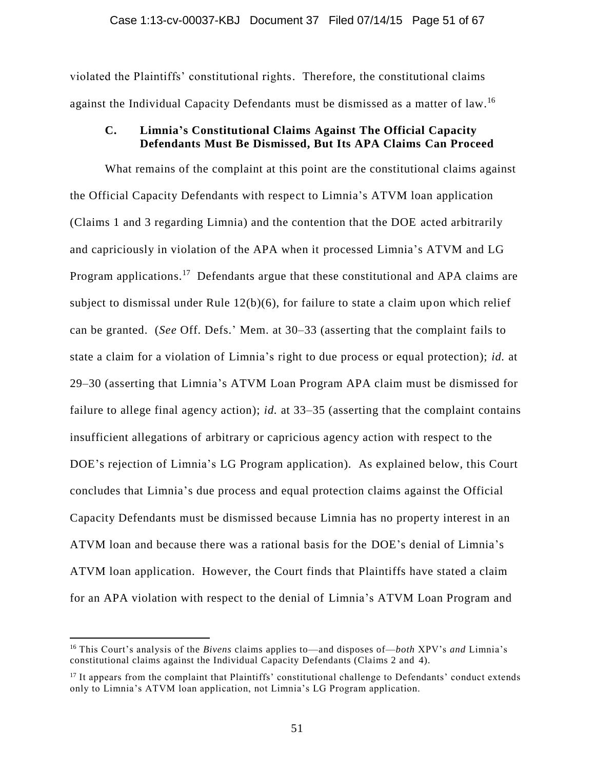violated the Plaintiffs' constitutional rights. Therefore, the constitutional claims against the Individual Capacity Defendants must be dismissed as a matter of law.<sup>16</sup>

# **C. Limnia's Constitutional Claims Against The Official Capacity Defendants Must Be Dismissed, But Its APA Claims Can Proceed**

What remains of the complaint at this point are the constitutional claims against the Official Capacity Defendants with respect to Limnia's ATVM loan application (Claims 1 and 3 regarding Limnia) and the contention that the DOE acted arbitrarily and capriciously in violation of the APA when it processed Limnia's ATVM and LG Program applications.<sup>17</sup> Defendants argue that these constitutional and APA claims are subject to dismissal under Rule 12(b)(6), for failure to state a claim upon which relief can be granted. (*See* Off. Defs.' Mem. at 30–33 (asserting that the complaint fails to state a claim for a violation of Limnia's right to due process or equal protection); *id.* at 29–30 (asserting that Limnia's ATVM Loan Program APA claim must be dismissed for failure to allege final agency action); *id.* at 33–35 (asserting that the complaint contains insufficient allegations of arbitrary or capricious agency action with respect to the DOE's rejection of Limnia's LG Program application). As explained below, this Court concludes that Limnia's due process and equal protection claims against the Official Capacity Defendants must be dismissed because Limnia has no property interest in an ATVM loan and because there was a rational basis for the DOE's denial of Limnia's ATVM loan application. However, the Court finds that Plaintiffs have stated a claim for an APA violation with respect to the denial of Limnia's ATVM Loan Program and

<sup>16</sup> This Court's analysis of the *Bivens* claims applies to—and disposes of—*both* XPV's *and* Limnia's constitutional claims against the Individual Capacity Defendants (Claims 2 and 4).

<sup>&</sup>lt;sup>17</sup> It appears from the complaint that Plaintiffs' constitutional challenge to Defendants' conduct extends only to Limnia's ATVM loan application, not Limnia's LG Program application.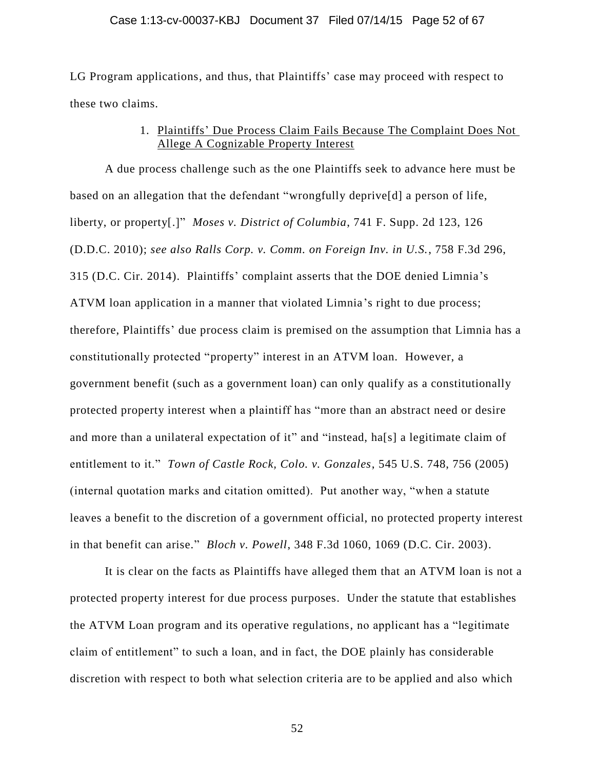LG Program applications, and thus, that Plaintiffs' case may proceed with respect to these two claims.

# 1. Plaintiffs' Due Process Claim Fails Because The Complaint Does Not Allege A Cognizable Property Interest

A due process challenge such as the one Plaintiffs seek to advance here must be based on an allegation that the defendant "wrongfully deprive[d] a person of life, liberty, or property[.]" *Moses v. District of Columbia*, 741 F. Supp. 2d 123, 126 (D.D.C. 2010); *see also Ralls Corp. v. Comm. on Foreign Inv. in U.S.*, 758 F.3d 296, 315 (D.C. Cir. 2014). Plaintiffs' complaint asserts that the DOE denied Limnia's ATVM loan application in a manner that violated Limnia's right to due process; therefore, Plaintiffs' due process claim is premised on the assumption that Limnia has a constitutionally protected "property" interest in an ATVM loan. However, a government benefit (such as a government loan) can only qualify as a constitutionally protected property interest when a plaintiff has "more than an abstract need or desire and more than a unilateral expectation of it" and "instead, ha[s] a legitimate claim of entitlement to it." *Town of Castle Rock, Colo. v. Gonzales*, 545 U.S. 748, 756 (2005) (internal quotation marks and citation omitted). Put another way, "when a statute leaves a benefit to the discretion of a government official, no protected property interest in that benefit can arise." *Bloch v. Powell*, 348 F.3d 1060, 1069 (D.C. Cir. 2003).

It is clear on the facts as Plaintiffs have alleged them that an ATVM loan is not a protected property interest for due process purposes. Under the statute that establishes the ATVM Loan program and its operative regulations, no applicant has a "legitimate claim of entitlement" to such a loan, and in fact, the DOE plainly has considerable discretion with respect to both what selection criteria are to be applied and also which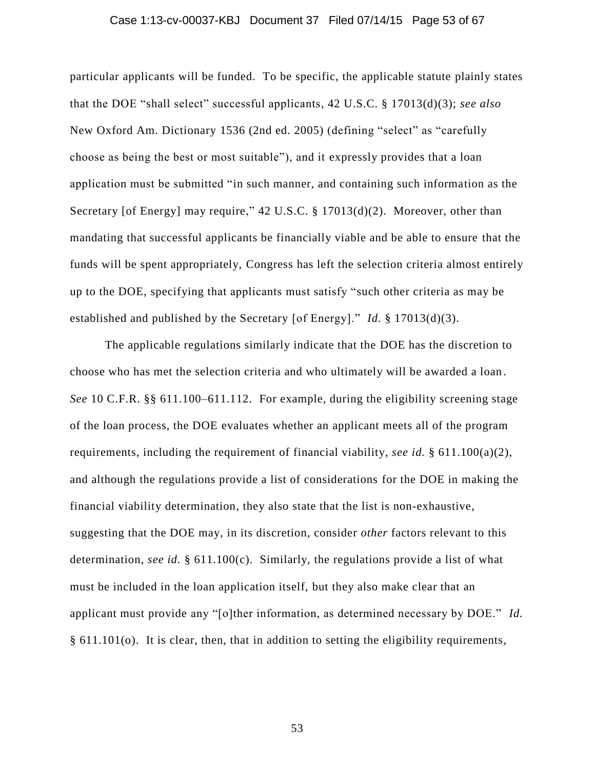#### Case 1:13-cv-00037-KBJ Document 37 Filed 07/14/15 Page 53 of 67

particular applicants will be funded. To be specific, the applicable statute plainly states that the DOE "shall select" successful applicants, 42 U.S.C. § 17013(d)(3); *see also* New Oxford Am. Dictionary 1536 (2nd ed. 2005) (defining "select" as "carefully choose as being the best or most suitable"), and it expressly provides that a loan application must be submitted "in such manner, and containing such information as the Secretary [of Energy] may require," 42 U.S.C. § 17013(d)(2). Moreover, other than mandating that successful applicants be financially viable and be able to ensure that the funds will be spent appropriately, Congress has left the selection criteria almost entirely up to the DOE, specifying that applicants must satisfy "such other criteria as may be established and published by the Secretary [of Energy]." *Id.* § 17013(d)(3).

The applicable regulations similarly indicate that the DOE has the discretion to choose who has met the selection criteria and who ultimately will be awarded a loan . *See* 10 C.F.R. §§ 611.100–611.112. For example, during the eligibility screening stage of the loan process, the DOE evaluates whether an applicant meets all of the program requirements, including the requirement of financial viability, *see id.* § 611.100(a)(2), and although the regulations provide a list of considerations for the DOE in making the financial viability determination, they also state that the list is non-exhaustive, suggesting that the DOE may, in its discretion, consider *other* factors relevant to this determination, *see id.* § 611.100(c). Similarly, the regulations provide a list of what must be included in the loan application itself, but they also make clear that an applicant must provide any "[o]ther information, as determined necessary by DOE." *Id.* § 611.101(o). It is clear, then, that in addition to setting the eligibility requirements,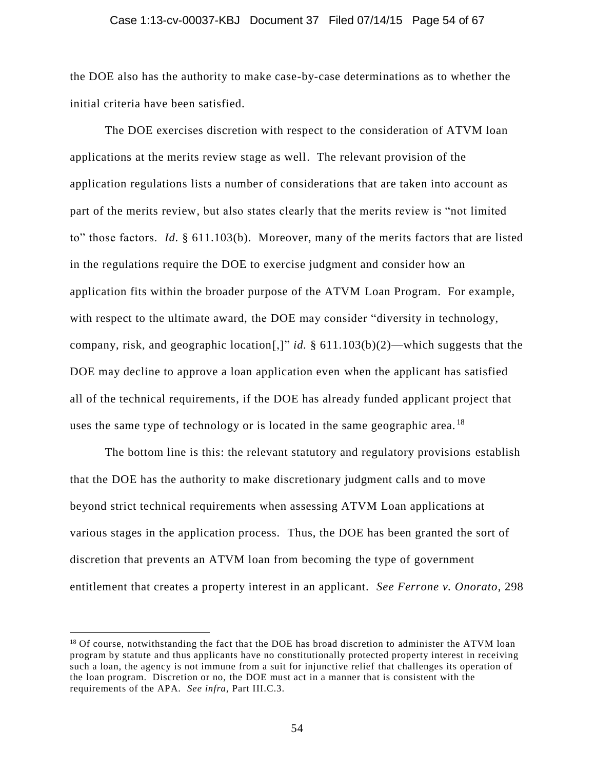#### Case 1:13-cv-00037-KBJ Document 37 Filed 07/14/15 Page 54 of 67

the DOE also has the authority to make case-by-case determinations as to whether the initial criteria have been satisfied.

The DOE exercises discretion with respect to the consideration of ATVM loan applications at the merits review stage as well. The relevant provision of the application regulations lists a number of considerations that are taken into account as part of the merits review, but also states clearly that the merits review is "not limited to" those factors. *Id.* § 611.103(b). Moreover, many of the merits factors that are listed in the regulations require the DOE to exercise judgment and consider how an application fits within the broader purpose of the ATVM Loan Program. For example, with respect to the ultimate award, the DOE may consider "diversity in technology, company, risk, and geographic location[,]" *id.* § 611.103(b)(2)—which suggests that the DOE may decline to approve a loan application even when the applicant has satisfied all of the technical requirements, if the DOE has already funded applicant project that uses the same type of technology or is located in the same geographic area.<sup>18</sup>

The bottom line is this: the relevant statutory and regulatory provisions establish that the DOE has the authority to make discretionary judgment calls and to move beyond strict technical requirements when assessing ATVM Loan applications at various stages in the application process. Thus, the DOE has been granted the sort of discretion that prevents an ATVM loan from becoming the type of government entitlement that creates a property interest in an applicant. *See Ferrone v. Onorato*, 298

<sup>&</sup>lt;sup>18</sup> Of course, notwithstanding the fact that the DOE has broad discretion to administer the ATVM loan program by statute and thus applicants have no constitutionally protected property interest in receiving such a loan, the agency is not immune from a suit for injunctive relief that challenges its operation of the loan program. Discretion or no, the DOE must act in a manner that is consistent with the requirements of the APA. *See infra*, Part III.C.3.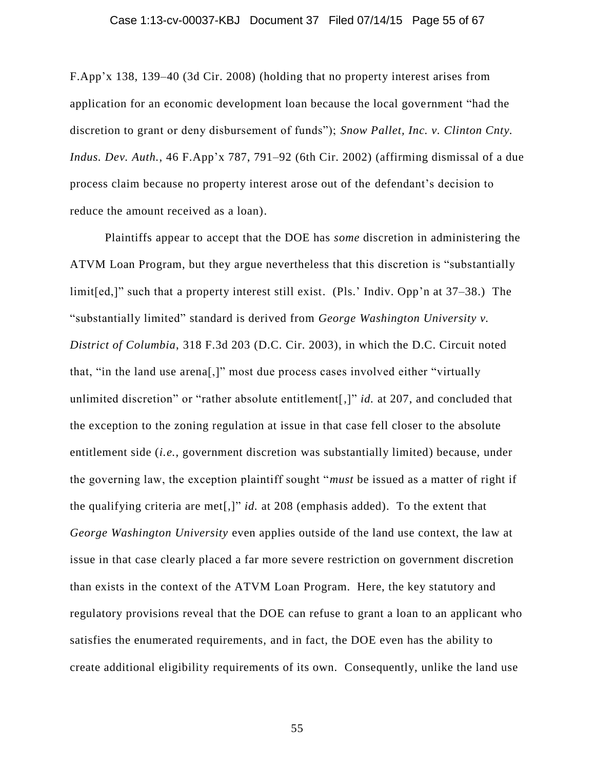F.App'x 138, 139–40 (3d Cir. 2008) (holding that no property interest arises from application for an economic development loan because the local government "had the discretion to grant or deny disbursement of funds"); *Snow Pallet, Inc. v. Clinton Cnty. Indus. Dev. Auth.*, 46 F.App'x 787, 791–92 (6th Cir. 2002) (affirming dismissal of a due process claim because no property interest arose out of the defendant's decision to reduce the amount received as a loan).

Plaintiffs appear to accept that the DOE has *some* discretion in administering the ATVM Loan Program, but they argue nevertheless that this discretion is "substantially limit[ed,]" such that a property interest still exist. (Pls.' Indiv. Opp'n at 37–38.) The "substantially limited" standard is derived from *George Washington University v. District of Columbia*, 318 F.3d 203 (D.C. Cir. 2003), in which the D.C. Circuit noted that, "in the land use arena[,]" most due process cases involved either "virtually unlimited discretion" or "rather absolute entitlement[,]" *id.* at 207, and concluded that the exception to the zoning regulation at issue in that case fell closer to the absolute entitlement side (*i.e.*, government discretion was substantially limited) because, under the governing law, the exception plaintiff sought "*must* be issued as a matter of right if the qualifying criteria are met[,]" *id.* at 208 (emphasis added). To the extent that *George Washington University* even applies outside of the land use context, the law at issue in that case clearly placed a far more severe restriction on government discretion than exists in the context of the ATVM Loan Program. Here, the key statutory and regulatory provisions reveal that the DOE can refuse to grant a loan to an applicant who satisfies the enumerated requirements, and in fact, the DOE even has the ability to create additional eligibility requirements of its own. Consequently, unlike the land use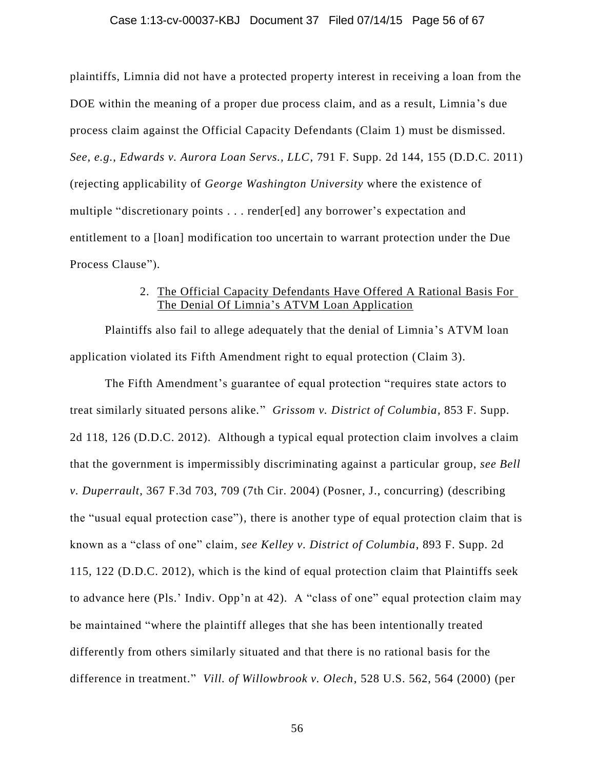#### Case 1:13-cv-00037-KBJ Document 37 Filed 07/14/15 Page 56 of 67

plaintiffs, Limnia did not have a protected property interest in receiving a loan from the DOE within the meaning of a proper due process claim, and as a result, Limnia's due process claim against the Official Capacity Defendants (Claim 1) must be dismissed. *See, e.g.*, *Edwards v. Aurora Loan Servs., LLC*, 791 F. Supp. 2d 144, 155 (D.D.C. 2011) (rejecting applicability of *George Washington University* where the existence of multiple "discretionary points . . . render[ed] any borrower's expectation and entitlement to a [loan] modification too uncertain to warrant protection under the Due Process Clause").

# 2. The Official Capacity Defendants Have Offered A Rational Basis For The Denial Of Limnia's ATVM Loan Application

Plaintiffs also fail to allege adequately that the denial of Limnia's ATVM loan application violated its Fifth Amendment right to equal protection (Claim 3).

The Fifth Amendment's guarantee of equal protection "requires state actors to treat similarly situated persons alike." *Grissom v. District of Columbia*, 853 F. Supp. 2d 118, 126 (D.D.C. 2012). Although a typical equal protection claim involves a claim that the government is impermissibly discriminating against a particular group, *see Bell v. Duperrault*, 367 F.3d 703, 709 (7th Cir. 2004) (Posner, J., concurring) (describing the "usual equal protection case"), there is another type of equal protection claim that is known as a "class of one" claim, *see Kelley v. District of Columbia*, 893 F. Supp. 2d 115, 122 (D.D.C. 2012), which is the kind of equal protection claim that Plaintiffs seek to advance here (Pls.' Indiv. Opp'n at 42). A "class of one" equal protection claim may be maintained "where the plaintiff alleges that she has been intentionally treated differently from others similarly situated and that there is no rational basis for the difference in treatment." *Vill. of Willowbrook v. Olech*, 528 U.S. 562, 564 (2000) (per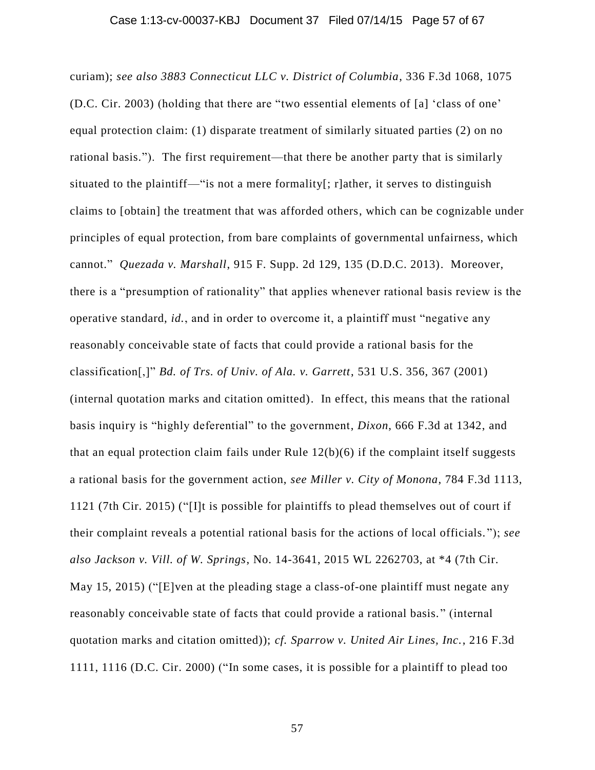curiam); *see also 3883 Connecticut LLC v. District of Columbia*, 336 F.3d 1068, 1075 (D.C. Cir. 2003) (holding that there are "two essential elements of [a] 'class of one' equal protection claim: (1) disparate treatment of similarly situated parties (2) on no rational basis."). The first requirement—that there be another party that is similarly situated to the plaintiff—"is not a mere formality[; r]ather, it serves to distinguish claims to [obtain] the treatment that was afforded others, which can be cognizable under principles of equal protection, from bare complaints of governmental unfairness, which cannot." *Quezada v. Marshall*, 915 F. Supp. 2d 129, 135 (D.D.C. 2013). Moreover, there is a "presumption of rationality" that applies whenever rational basis review is the operative standard, *id.*, and in order to overcome it, a plaintiff must "negative any reasonably conceivable state of facts that could provide a rational basis for the classification[,]" *Bd. of Trs. of Univ. of Ala. v. Garrett*, 531 U.S. 356, 367 (2001) (internal quotation marks and citation omitted). In effect, this means that the rational basis inquiry is "highly deferential" to the government, *Dixon*, 666 F.3d at 1342, and that an equal protection claim fails under Rule  $12(b)(6)$  if the complaint itself suggests a rational basis for the government action, *see Miller v. City of Monona*, 784 F.3d 1113, 1121 (7th Cir. 2015) ("[I]t is possible for plaintiffs to plead themselves out of court if their complaint reveals a potential rational basis for the actions of local officials. "); *see also Jackson v. Vill. of W. Springs*, No. 14-3641, 2015 WL 2262703, at \*4 (7th Cir. May 15, 2015) ("[E]ven at the pleading stage a class-of-one plaintiff must negate any reasonably conceivable state of facts that could provide a rational basis. " (internal quotation marks and citation omitted)); *cf. Sparrow v. United Air Lines, Inc.*, 216 F.3d 1111, 1116 (D.C. Cir. 2000) ("In some cases, it is possible for a plaintiff to plead too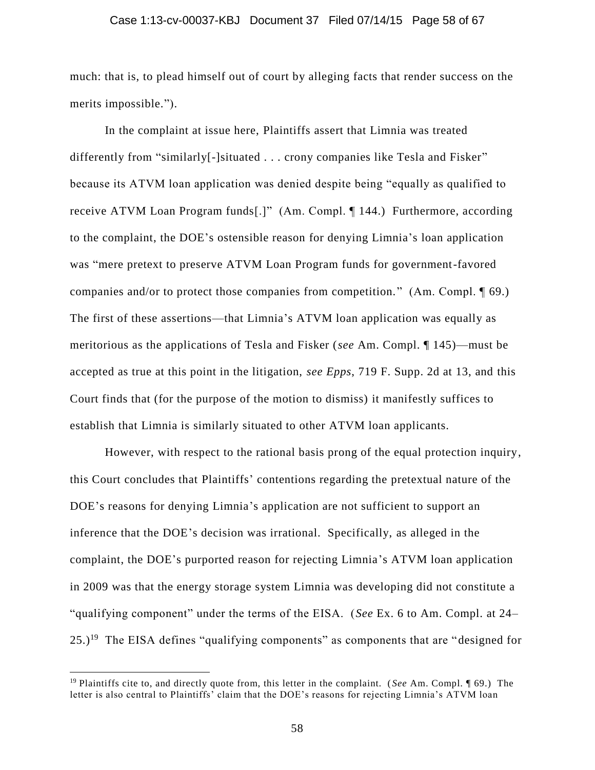#### Case 1:13-cv-00037-KBJ Document 37 Filed 07/14/15 Page 58 of 67

much: that is, to plead himself out of court by alleging facts that render success on the merits impossible.").

In the complaint at issue here, Plaintiffs assert that Limnia was treated differently from "similarly[-]situated . . . crony companies like Tesla and Fisker" because its ATVM loan application was denied despite being "equally as qualified to receive ATVM Loan Program funds[.]" (Am. Compl. ¶ 144.) Furthermore, according to the complaint, the DOE's ostensible reason for denying Limnia's loan application was "mere pretext to preserve ATVM Loan Program funds for government-favored companies and/or to protect those companies from competition." (Am. Compl. 169.) The first of these assertions—that Limnia's ATVM loan application was equally as meritorious as the applications of Tesla and Fisker (*see* Am. Compl. ¶ 145)—must be accepted as true at this point in the litigation, *see Epps*, 719 F. Supp. 2d at 13, and this Court finds that (for the purpose of the motion to dismiss) it manifestly suffices to establish that Limnia is similarly situated to other ATVM loan applicants.

However, with respect to the rational basis prong of the equal protection inquiry, this Court concludes that Plaintiffs' contentions regarding the pretextual nature of the DOE's reasons for denying Limnia's application are not sufficient to support an inference that the DOE's decision was irrational. Specifically, as alleged in the complaint, the DOE's purported reason for rejecting Limnia's ATVM loan application in 2009 was that the energy storage system Limnia was developing did not constitute a "qualifying component" under the terms of the EISA. (*See* Ex. 6 to Am. Compl. at 24–  $25.$ )<sup>19</sup> The EISA defines "qualifying components" as components that are "designed for

<sup>19</sup> Plaintiffs cite to, and directly quote from, this letter in the complaint. ( *See* Am. Compl. ¶ 69.) The letter is also central to Plaintiffs' claim that the DOE's reasons for rejecting Limnia's ATVM loan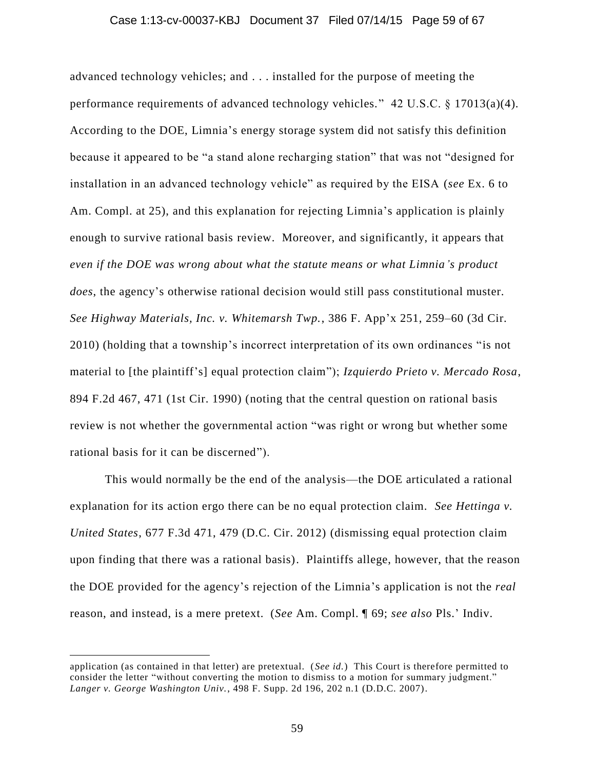#### Case 1:13-cv-00037-KBJ Document 37 Filed 07/14/15 Page 59 of 67

advanced technology vehicles; and . . . installed for the purpose of meeting the performance requirements of advanced technology vehicles." 42 U.S.C. § 17013(a)(4). According to the DOE, Limnia's energy storage system did not satisfy this definition because it appeared to be "a stand alone recharging station" that was not "designed for installation in an advanced technology vehicle" as required by the EISA (*see* Ex. 6 to Am. Compl. at 25), and this explanation for rejecting Limnia's application is plainly enough to survive rational basis review. Moreover, and significantly, it appears that *even if the DOE was wrong about what the statute means or what Limnia's product does*, the agency's otherwise rational decision would still pass constitutional muster. *See Highway Materials, Inc. v. Whitemarsh Twp.*, 386 F. App'x 251, 259–60 (3d Cir. 2010) (holding that a township's incorrect interpretation of its own ordinances "is not material to [the plaintiff's] equal protection claim"); *Izquierdo Prieto v. Mercado Rosa*, 894 F.2d 467, 471 (1st Cir. 1990) (noting that the central question on rational basis review is not whether the governmental action "was right or wrong but whether some rational basis for it can be discerned").

This would normally be the end of the analysis—the DOE articulated a rational explanation for its action ergo there can be no equal protection claim. *See Hettinga v. United States*, 677 F.3d 471, 479 (D.C. Cir. 2012) (dismissing equal protection claim upon finding that there was a rational basis). Plaintiffs allege, however, that the reason the DOE provided for the agency's rejection of the Limnia's application is not the *real* reason, and instead, is a mere pretext. (*See* Am. Compl. ¶ 69; *see also* Pls.' Indiv.

application (as contained in that letter) are pretextual. (*See id.*) This Court is therefore permitted to consider the letter "without converting the motion to dismiss to a motion for summary judgment." *Langer v. George Washington Univ.*, 498 F. Supp. 2d 196, 202 n.1 (D.D.C. 2007).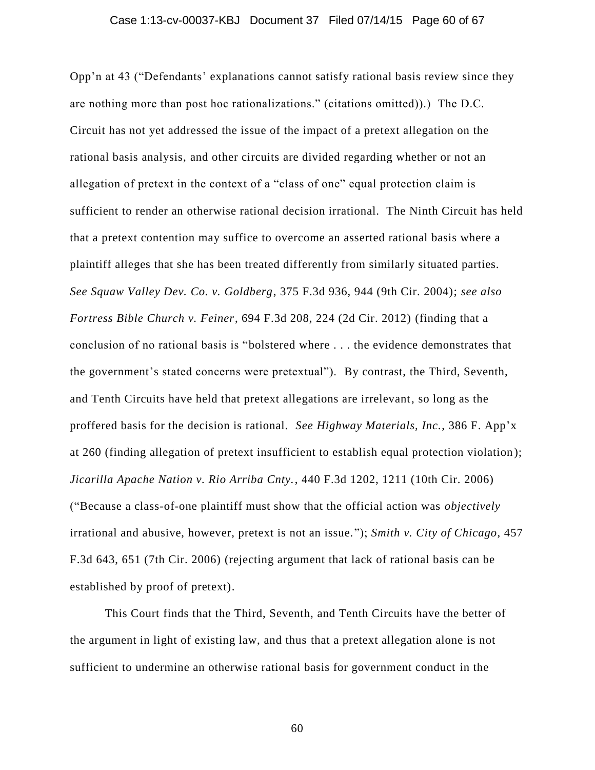#### Case 1:13-cv-00037-KBJ Document 37 Filed 07/14/15 Page 60 of 67

Opp'n at 43 ("Defendants' explanations cannot satisfy rational basis review since they are nothing more than post hoc rationalizations." (citations omitted)).) The D.C. Circuit has not yet addressed the issue of the impact of a pretext allegation on the rational basis analysis, and other circuits are divided regarding whether or not an allegation of pretext in the context of a "class of one" equal protection claim is sufficient to render an otherwise rational decision irrational. The Ninth Circuit has held that a pretext contention may suffice to overcome an asserted rational basis where a plaintiff alleges that she has been treated differently from similarly situated parties. *See Squaw Valley Dev. Co. v. Goldberg*, 375 F.3d 936, 944 (9th Cir. 2004); *see also Fortress Bible Church v. Feiner*, 694 F.3d 208, 224 (2d Cir. 2012) (finding that a conclusion of no rational basis is "bolstered where . . . the evidence demonstrates that the government's stated concerns were pretextual"). By contrast, the Third, Seventh, and Tenth Circuits have held that pretext allegations are irrelevant, so long as the proffered basis for the decision is rational. *See Highway Materials, Inc.*, 386 F. App'x at 260 (finding allegation of pretext insufficient to establish equal protection violation ); *Jicarilla Apache Nation v. Rio Arriba Cnty.*, 440 F.3d 1202, 1211 (10th Cir. 2006) ("Because a class-of-one plaintiff must show that the official action was *objectively* irrational and abusive, however, pretext is not an issue."); *Smith v. City of Chicago*, 457 F.3d 643, 651 (7th Cir. 2006) (rejecting argument that lack of rational basis can be established by proof of pretext).

This Court finds that the Third, Seventh, and Tenth Circuits have the better of the argument in light of existing law, and thus that a pretext allegation alone is not sufficient to undermine an otherwise rational basis for government conduct in the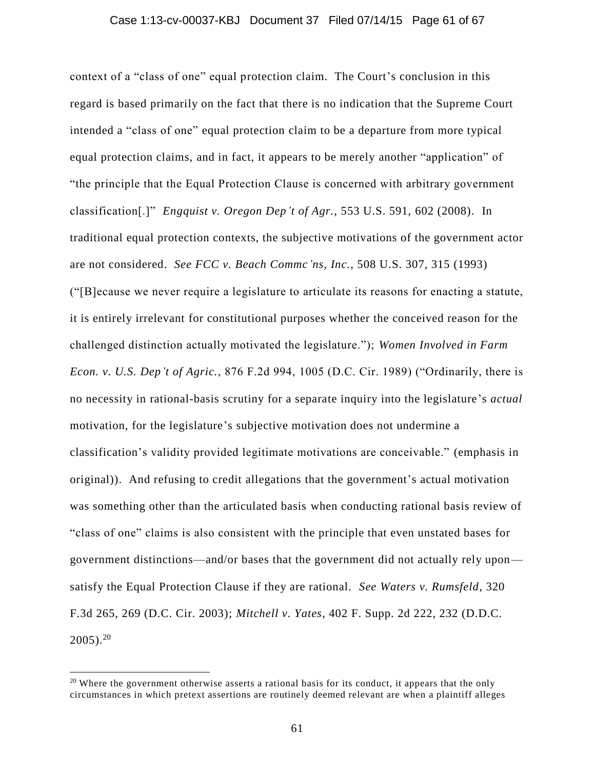#### Case 1:13-cv-00037-KBJ Document 37 Filed 07/14/15 Page 61 of 67

context of a "class of one" equal protection claim. The Court's conclusion in this regard is based primarily on the fact that there is no indication that the Supreme Court intended a "class of one" equal protection claim to be a departure from more typical equal protection claims, and in fact, it appears to be merely another "application" of "the principle that the Equal Protection Clause is concerned with arbitrary government classification[.]" *Engquist v. Oregon Dep't of Agr.*, 553 U.S. 591, 602 (2008). In traditional equal protection contexts, the subjective motivations of the government actor are not considered. *See FCC v. Beach Commc'ns, Inc.*, 508 U.S. 307, 315 (1993) ("[B]ecause we never require a legislature to articulate its reasons for enacting a statute, it is entirely irrelevant for constitutional purposes whether the conceived reason for the challenged distinction actually motivated the legislature."); *Women Involved in Farm Econ. v. U.S. Dep't of Agric.*, 876 F.2d 994, 1005 (D.C. Cir. 1989) ("Ordinarily, there is no necessity in rational-basis scrutiny for a separate inquiry into the legislature's *actual* motivation, for the legislature's subjective motivation does not undermine a classification's validity provided legitimate motivations are conceivable." (emphasis in original)). And refusing to credit allegations that the government's actual motivation was something other than the articulated basis when conducting rational basis review of "class of one" claims is also consistent with the principle that even unstated bases for government distinctions—and/or bases that the government did not actually rely upon satisfy the Equal Protection Clause if they are rational. *See Waters v. Rumsfeld*, 320 F.3d 265, 269 (D.C. Cir. 2003); *Mitchell v. Yates*, 402 F. Supp. 2d 222, 232 (D.D.C.  $2005$ ).<sup>20</sup>

<sup>&</sup>lt;sup>20</sup> Where the government otherwise asserts a rational basis for its conduct, it appears that the only circumstances in which pretext assertions are routinely deemed relevant are when a plaintiff alleges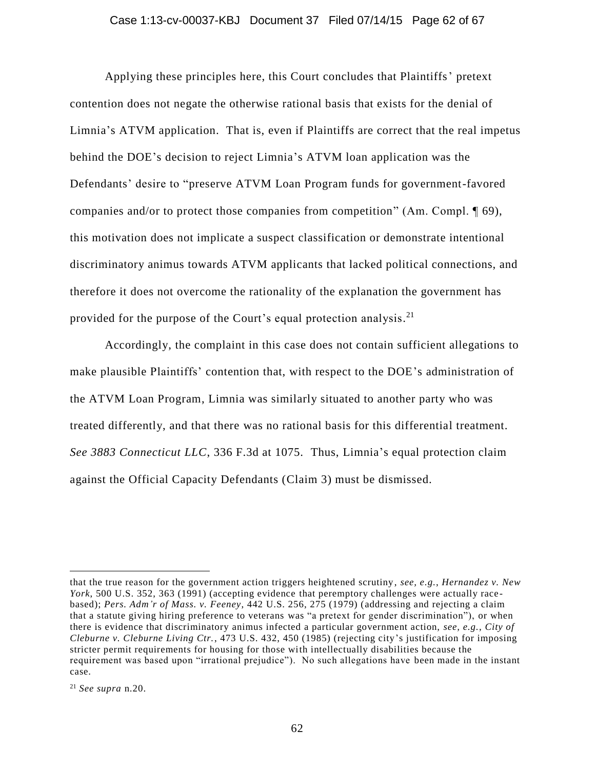#### Case 1:13-cv-00037-KBJ Document 37 Filed 07/14/15 Page 62 of 67

Applying these principles here, this Court concludes that Plaintiffs' pretext contention does not negate the otherwise rational basis that exists for the denial of Limnia's ATVM application. That is, even if Plaintiffs are correct that the real impetus behind the DOE's decision to reject Limnia's ATVM loan application was the Defendants' desire to "preserve ATVM Loan Program funds for government-favored companies and/or to protect those companies from competition" (Am. Compl. ¶ 69), this motivation does not implicate a suspect classification or demonstrate intentional discriminatory animus towards ATVM applicants that lacked political connections, and therefore it does not overcome the rationality of the explanation the government has provided for the purpose of the Court's equal protection analysis.<sup>21</sup>

Accordingly, the complaint in this case does not contain sufficient allegations to make plausible Plaintiffs' contention that, with respect to the DOE's administration of the ATVM Loan Program, Limnia was similarly situated to another party who was treated differently, and that there was no rational basis for this differential treatment. *See 3883 Connecticut LLC*, 336 F.3d at 1075. Thus, Limnia's equal protection claim against the Official Capacity Defendants (Claim 3) must be dismissed.

that the true reason for the government action triggers heightened scrutiny , *see, e.g.*, *Hernandez v. New York*, 500 U.S. 352, 363 (1991) (accepting evidence that peremptory challenges were actually race based); *Pers. Adm'r of Mass. v. Feeney*, 442 U.S. 256, 275 (1979) (addressing and rejecting a claim that a statute giving hiring preference to veterans was "a pretext for gender discrimination"), or when there is evidence that discriminatory animus infected a particular government action, *see, e.g.*, *City of Cleburne v. Cleburne Living Ctr.*, 473 U.S. 432, 450 (1985) (rejecting city's justification for imposing stricter permit requirements for housing for those with intellectually disabilities because the requirement was based upon "irrational prejudice"). No such allegations have been made in the instant case.

<sup>21</sup> *See supra* n.20.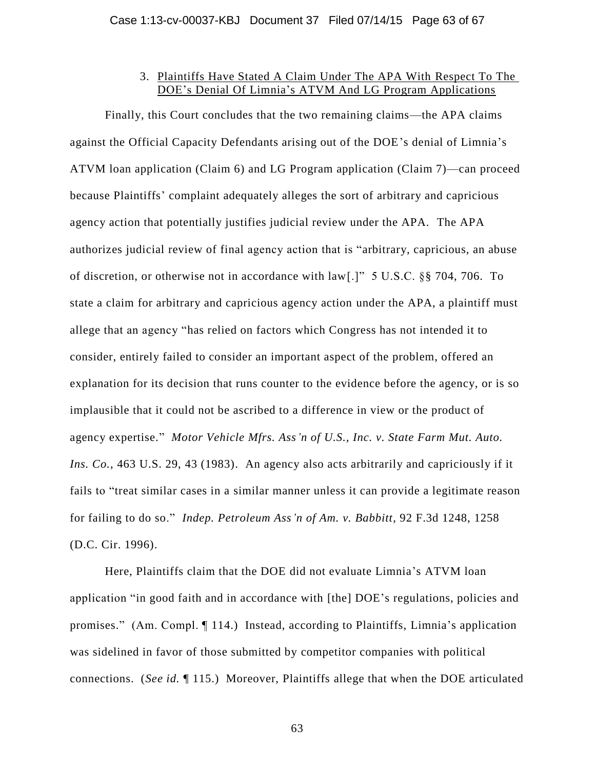# 3. Plaintiffs Have Stated A Claim Under The APA With Respect To The DOE's Denial Of Limnia's ATVM And LG Program Applications

Finally, this Court concludes that the two remaining claims—the APA claims against the Official Capacity Defendants arising out of the DOE's denial of Limnia's ATVM loan application (Claim 6) and LG Program application (Claim 7)—can proceed because Plaintiffs' complaint adequately alleges the sort of arbitrary and capricious agency action that potentially justifies judicial review under the APA. The APA authorizes judicial review of final agency action that is "arbitrary, capricious, an abuse of discretion, or otherwise not in accordance with law[.]" 5 U.S.C. §§ 704, 706. To state a claim for arbitrary and capricious agency action under the APA, a plaintiff must allege that an agency "has relied on factors which Congress has not intended it to consider, entirely failed to consider an important aspect of the problem, offered an explanation for its decision that runs counter to the evidence before the agency, or is so implausible that it could not be ascribed to a difference in view or the product of agency expertise." *Motor Vehicle Mfrs. Ass'n of U.S., Inc. v. State Farm Mut. Auto. Ins. Co.*, 463 U.S. 29, 43 (1983). An agency also acts arbitrarily and capriciously if it fails to "treat similar cases in a similar manner unless it can provide a legitimate reason for failing to do so." *Indep. Petroleum Ass'n of Am. v. Babbitt*, 92 F.3d 1248, 1258 (D.C. Cir. 1996).

Here, Plaintiffs claim that the DOE did not evaluate Limnia's ATVM loan application "in good faith and in accordance with [the] DOE's regulations, policies and promises." (Am. Compl. ¶ 114.) Instead, according to Plaintiffs, Limnia's application was sidelined in favor of those submitted by competitor companies with political connections. (*See id.* ¶ 115.) Moreover, Plaintiffs allege that when the DOE articulated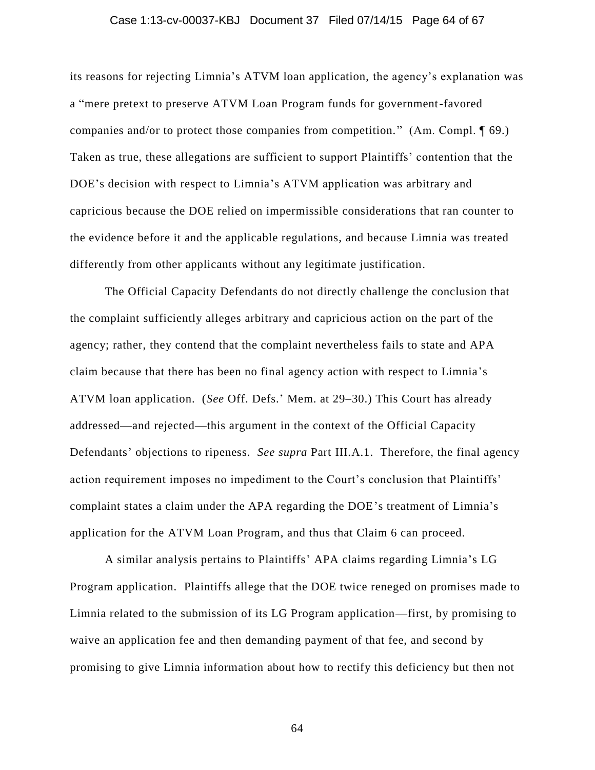#### Case 1:13-cv-00037-KBJ Document 37 Filed 07/14/15 Page 64 of 67

its reasons for rejecting Limnia's ATVM loan application, the agency's explanation was a "mere pretext to preserve ATVM Loan Program funds for government-favored companies and/or to protect those companies from competition." (Am. Compl. 169.) Taken as true, these allegations are sufficient to support Plaintiffs' contention that the DOE's decision with respect to Limnia's ATVM application was arbitrary and capricious because the DOE relied on impermissible considerations that ran counter to the evidence before it and the applicable regulations, and because Limnia was treated differently from other applicants without any legitimate justification.

The Official Capacity Defendants do not directly challenge the conclusion that the complaint sufficiently alleges arbitrary and capricious action on the part of the agency; rather, they contend that the complaint nevertheless fails to state and APA claim because that there has been no final agency action with respect to Limnia's ATVM loan application. (*See* Off. Defs.' Mem. at 29–30.) This Court has already addressed—and rejected—this argument in the context of the Official Capacity Defendants' objections to ripeness. *See supra* Part III.A.1. Therefore, the final agency action requirement imposes no impediment to the Court's conclusion that Plaintiffs' complaint states a claim under the APA regarding the DOE's treatment of Limnia's application for the ATVM Loan Program, and thus that Claim 6 can proceed.

A similar analysis pertains to Plaintiffs' APA claims regarding Limnia's LG Program application. Plaintiffs allege that the DOE twice reneged on promises made to Limnia related to the submission of its LG Program application—first, by promising to waive an application fee and then demanding payment of that fee, and second by promising to give Limnia information about how to rectify this deficiency but then not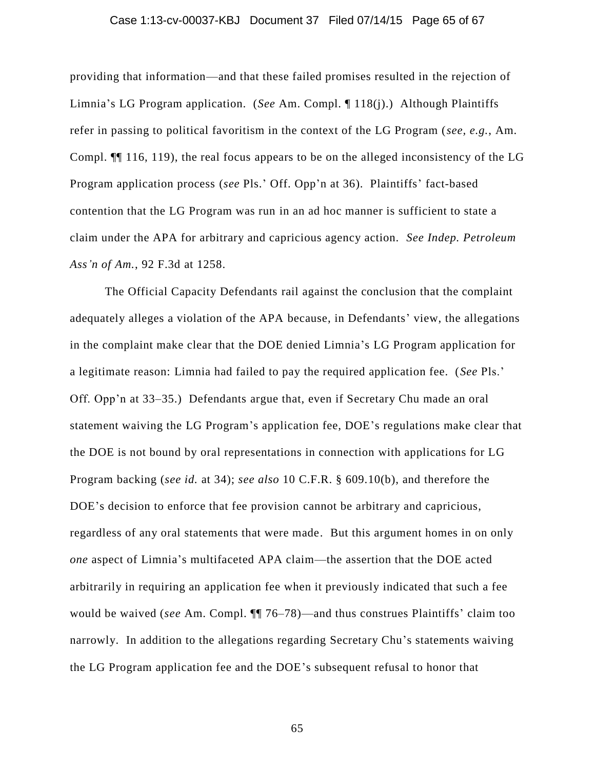#### Case 1:13-cv-00037-KBJ Document 37 Filed 07/14/15 Page 65 of 67

providing that information—and that these failed promises resulted in the rejection of Limnia's LG Program application. (*See* Am. Compl. ¶ 118(j).) Although Plaintiffs refer in passing to political favoritism in the context of the LG Program (*see, e.g.*, Am. Compl. ¶¶ 116, 119), the real focus appears to be on the alleged inconsistency of the LG Program application process (*see* Pls.' Off. Opp'n at 36). Plaintiffs' fact-based contention that the LG Program was run in an ad hoc manner is sufficient to state a claim under the APA for arbitrary and capricious agency action. *See Indep. Petroleum Ass'n of Am.*, 92 F.3d at 1258.

The Official Capacity Defendants rail against the conclusion that the complaint adequately alleges a violation of the APA because, in Defendants' view, the allegations in the complaint make clear that the DOE denied Limnia's LG Program application for a legitimate reason: Limnia had failed to pay the required application fee. (*See* Pls.' Off. Opp'n at 33–35.) Defendants argue that, even if Secretary Chu made an oral statement waiving the LG Program's application fee, DOE's regulations make clear that the DOE is not bound by oral representations in connection with applications for LG Program backing (*see id.* at 34); *see also* 10 C.F.R. § 609.10(b), and therefore the DOE's decision to enforce that fee provision cannot be arbitrary and capricious, regardless of any oral statements that were made. But this argument homes in on only *one* aspect of Limnia's multifaceted APA claim—the assertion that the DOE acted arbitrarily in requiring an application fee when it previously indicated that such a fee would be waived (*see* Am. Compl. ¶¶ 76–78)—and thus construes Plaintiffs' claim too narrowly. In addition to the allegations regarding Secretary Chu's statements waiving the LG Program application fee and the DOE's subsequent refusal to honor that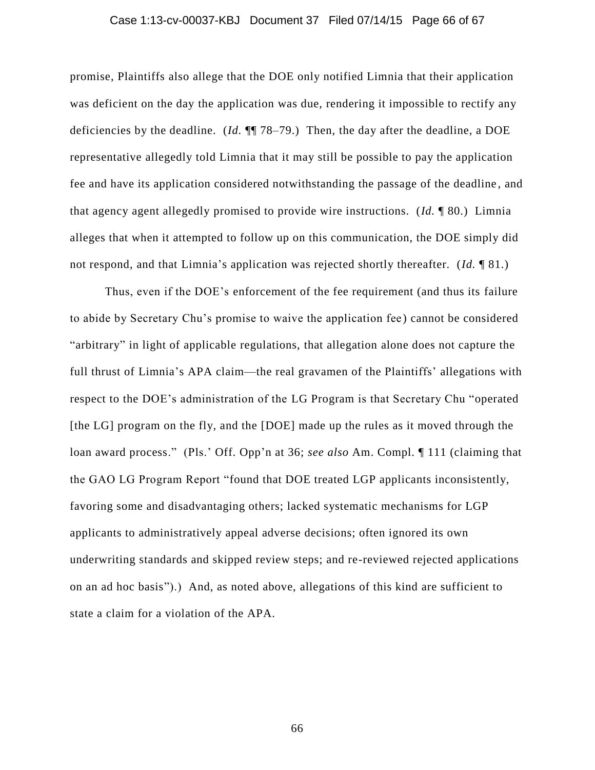#### Case 1:13-cv-00037-KBJ Document 37 Filed 07/14/15 Page 66 of 67

promise, Plaintiffs also allege that the DOE only notified Limnia that their application was deficient on the day the application was due, rendering it impossible to rectify any deficiencies by the deadline. (*Id.* ¶¶ 78–79.) Then, the day after the deadline, a DOE representative allegedly told Limnia that it may still be possible to pay the application fee and have its application considered notwithstanding the passage of the deadline , and that agency agent allegedly promised to provide wire instructions. (*Id.* ¶ 80.) Limnia alleges that when it attempted to follow up on this communication, the DOE simply did not respond, and that Limnia's application was rejected shortly thereafter. (*Id.* ¶ 81.)

Thus, even if the DOE's enforcement of the fee requirement (and thus its failure to abide by Secretary Chu's promise to waive the application fee ) cannot be considered "arbitrary" in light of applicable regulations, that allegation alone does not capture the full thrust of Limnia's APA claim—the real gravamen of the Plaintiffs' allegations with respect to the DOE's administration of the LG Program is that Secretary Chu "operated [the LG] program on the fly, and the [DOE] made up the rules as it moved through the loan award process." (Pls.' Off. Opp'n at 36; *see also* Am. Compl. ¶ 111 (claiming that the GAO LG Program Report "found that DOE treated LGP applicants inconsistently, favoring some and disadvantaging others; lacked systematic mechanisms for LGP applicants to administratively appeal adverse decisions; often ignored its own underwriting standards and skipped review steps; and re-reviewed rejected applications on an ad hoc basis").) And, as noted above, allegations of this kind are sufficient to state a claim for a violation of the APA.